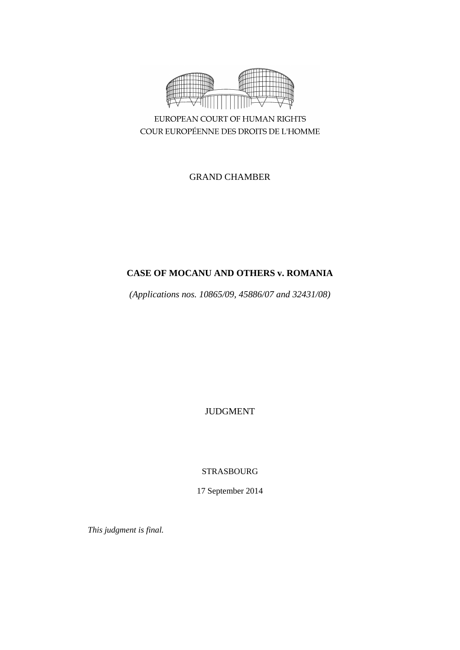

COUR EUROPÉENNE DES DROITS DE L'HOMME

GRAND CHAMBER

# **CASE OF MOCANU AND OTHERS v. ROMANIA**

*(Applications nos. 10865/09, 45886/07 and 32431/08)*

JUDGMENT

STRASBOURG

17 September 2014

*This judgment is final.*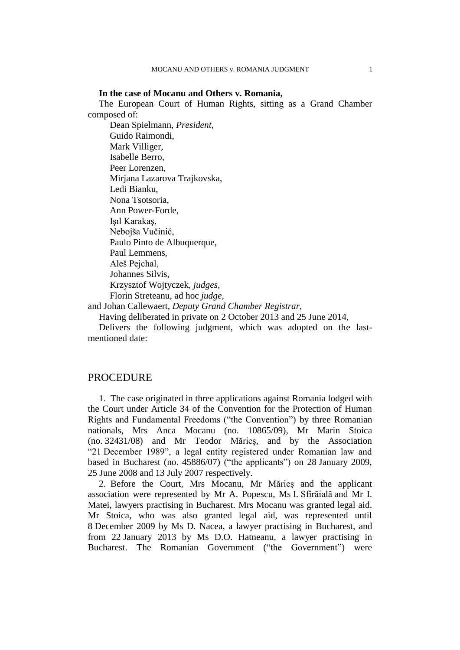### **In the case of Mocanu and Others v. Romania,**

The European Court of Human Rights, sitting as a Grand Chamber composed of:

Dean Spielmann, *President,* Guido Raimondi, Mark Villiger, Isabelle Berro, Peer Lorenzen, Mirjana Lazarova Trajkovska, Ledi Bianku, Nona Tsotsoria, Ann Power-Forde, Işıl Karakaş, Nebojša Vučinić, Paulo Pinto de Albuquerque, Paul Lemmens, Aleš Pejchal, Johannes Silvis, Krzysztof Wojtyczek, *judges,* Florin Streteanu, ad hoc *judge,*

and Johan Callewaert, *Deputy Grand Chamber Registrar,* Having deliberated in private on 2 October 2013 and 25 June 2014,

Delivers the following judgment, which was adopted on the lastmentioned date:

### **PROCEDURE**

1. The case originated in three applications against Romania lodged with the Court under Article 34 of the Convention for the Protection of Human Rights and Fundamental Freedoms ("the Convention") by three Romanian nationals, Mrs Anca Mocanu (no. 10865/09), Mr Marin Stoica (no. 32431/08) and Mr Teodor Mărieş, and by the Association "21 December 1989", a legal entity registered under Romanian law and based in Bucharest (no. 45886/07) ("the applicants") on 28 January 2009, 25 June 2008 and 13 July 2007 respectively.

2. Before the Court, Mrs Mocanu, Mr Mărieş and the applicant association were represented by Mr A. Popescu, Ms I. Sfîrăială and Mr I. Matei, lawyers practising in Bucharest. Mrs Mocanu was granted legal aid. Mr Stoica, who was also granted legal aid, was represented until 8 December 2009 by Ms D. Nacea, a lawyer practising in Bucharest, and from 22 January 2013 by Ms D.O. Hatneanu, a lawyer practising in Bucharest. The Romanian Government ("the Government") were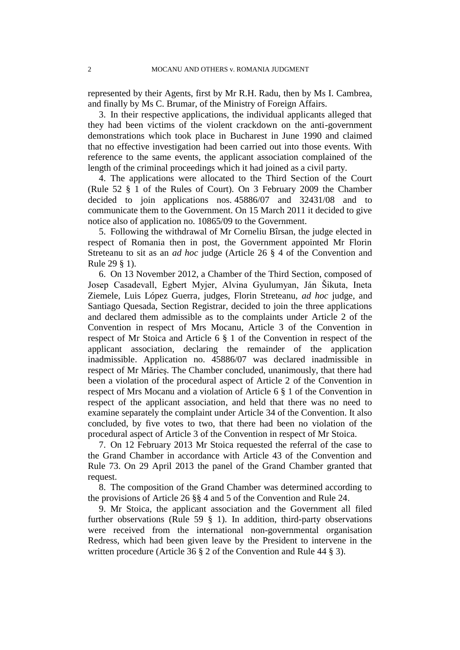represented by their Agents, first by Mr R.H. Radu, then by Ms I. Cambrea, and finally by Ms C. Brumar, of the Ministry of Foreign Affairs.

3. In their respective applications, the individual applicants alleged that they had been victims of the violent crackdown on the anti-government demonstrations which took place in Bucharest in June 1990 and claimed that no effective investigation had been carried out into those events. With reference to the same events, the applicant association complained of the length of the criminal proceedings which it had joined as a civil party.

4. The applications were allocated to the Third Section of the Court (Rule 52 § 1 of the Rules of Court). On 3 February 2009 the Chamber decided to join applications nos. 45886/07 and 32431/08 and to communicate them to the Government. On 15 March 2011 it decided to give notice also of application no. 10865/09 to the Government.

5. Following the withdrawal of Mr Corneliu Bîrsan, the judge elected in respect of Romania then in post, the Government appointed Mr Florin Streteanu to sit as an *ad hoc* judge (Article 26 § 4 of the Convention and Rule 29 § 1).

6. On 13 November 2012, a Chamber of the Third Section, composed of Josep Casadevall, Egbert Myjer, Alvina Gyulumyan, Ján Šikuta, Ineta Ziemele, Luis López Guerra, judges, Florin Streteanu, *ad hoc* judge, and Santiago Quesada, Section Registrar, decided to join the three applications and declared them admissible as to the complaints under Article 2 of the Convention in respect of Mrs Mocanu, Article 3 of the Convention in respect of Mr Stoica and Article 6 § 1 of the Convention in respect of the applicant association, declaring the remainder of the application inadmissible. Application no. 45886/07 was declared inadmissible in respect of Mr Mărieş. The Chamber concluded, unanimously, that there had been a violation of the procedural aspect of Article 2 of the Convention in respect of Mrs Mocanu and a violation of Article 6 § 1 of the Convention in respect of the applicant association, and held that there was no need to examine separately the complaint under Article 34 of the Convention. It also concluded, by five votes to two, that there had been no violation of the procedural aspect of Article 3 of the Convention in respect of Mr Stoica.

7. On 12 February 2013 Mr Stoica requested the referral of the case to the Grand Chamber in accordance with Article 43 of the Convention and Rule 73. On 29 April 2013 the panel of the Grand Chamber granted that request.

8. The composition of the Grand Chamber was determined according to the provisions of Article 26 §§ 4 and 5 of the Convention and Rule 24.

9. Mr Stoica, the applicant association and the Government all filed further observations (Rule 59 § 1). In addition, third-party observations were received from the international non-governmental organisation Redress, which had been given leave by the President to intervene in the written procedure (Article 36 § 2 of the Convention and Rule 44 § 3).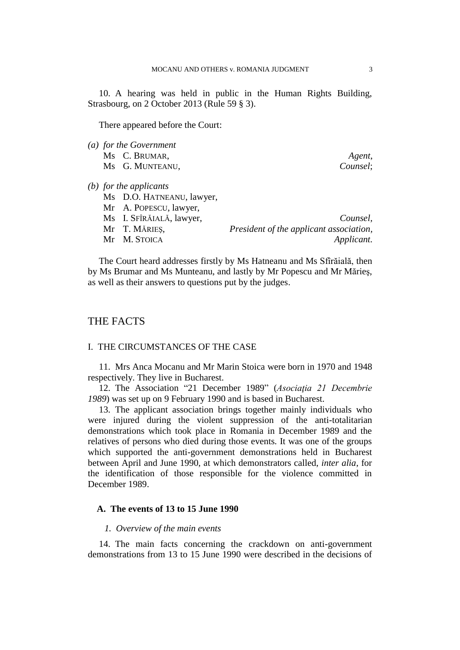10. A hearing was held in public in the Human Rights Building, Strasbourg, on 2 October 2013 (Rule 59 § 3).

There appeared before the Court:

*(a) for the Government*  Ms C. BRUMAR, *Agent*, Ms G. MUNTEANU, *Counsel*;

*(b) for the applicants*

| Ms D.O. HATNEANU, lawyer, |                                         |
|---------------------------|-----------------------------------------|
| Mr A. POPESCU, lawyer,    |                                         |
| Ms I. SFÎRĂIALĂ, lawyer,  | Counsel,                                |
| Mr T. MĂRIEȘ,             | President of the applicant association, |
| Mr M. Stoica              | Applicant.                              |

The Court heard addresses firstly by Ms Hatneanu and Ms Sfîrăială, then by Ms Brumar and Ms Munteanu, and lastly by Mr Popescu and Mr Mărieş, as well as their answers to questions put by the judges.

## THE FACTS

### I. THE CIRCUMSTANCES OF THE CASE

11. Mrs Anca Mocanu and Mr Marin Stoica were born in 1970 and 1948 respectively. They live in Bucharest.

12. The Association "21 December 1989" (*Asociaţia 21 Decembrie 1989*) was set up on 9 February 1990 and is based in Bucharest.

13. The applicant association brings together mainly individuals who were injured during the violent suppression of the anti-totalitarian demonstrations which took place in Romania in December 1989 and the relatives of persons who died during those events. It was one of the groups which supported the anti-government demonstrations held in Bucharest between April and June 1990, at which demonstrators called, *inter alia*, for the identification of those responsible for the violence committed in December 1989.

#### **A. The events of 13 to 15 June 1990**

#### *1. Overview of the main events*

14. The main facts concerning the crackdown on anti-government demonstrations from 13 to 15 June 1990 were described in the decisions of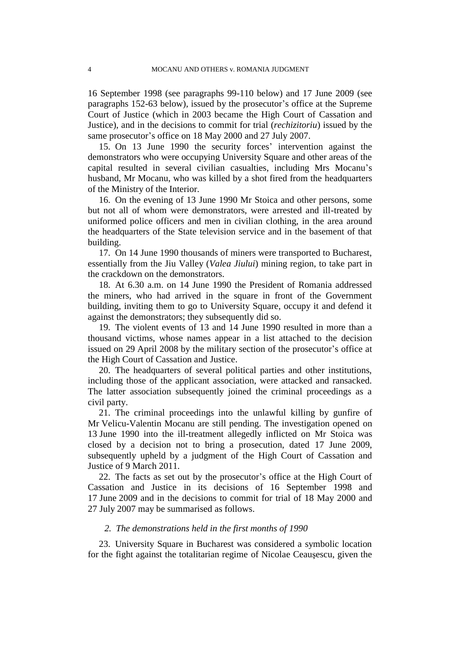16 September 1998 (see paragraphs 99-110 below) and 17 June 2009 (see paragraphs 152-63 below), issued by the prosecutor's office at the Supreme Court of Justice (which in 2003 became the High Court of Cassation and Justice), and in the decisions to commit for trial (*rechizitoriu*) issued by the same prosecutor's office on 18 May 2000 and 27 July 2007.

15. On 13 June 1990 the security forces' intervention against the demonstrators who were occupying University Square and other areas of the capital resulted in several civilian casualties, including Mrs Mocanu's husband, Mr Mocanu, who was killed by a shot fired from the headquarters of the Ministry of the Interior.

16. On the evening of 13 June 1990 Mr Stoica and other persons, some but not all of whom were demonstrators, were arrested and ill-treated by uniformed police officers and men in civilian clothing, in the area around the headquarters of the State television service and in the basement of that building.

17. On 14 June 1990 thousands of miners were transported to Bucharest, essentially from the Jiu Valley (*Valea Jiului*) mining region, to take part in the crackdown on the demonstrators.

18. At 6.30 a.m. on 14 June 1990 the President of Romania addressed the miners, who had arrived in the square in front of the Government building, inviting them to go to University Square, occupy it and defend it against the demonstrators; they subsequently did so.

19. The violent events of 13 and 14 June 1990 resulted in more than a thousand victims, whose names appear in a list attached to the decision issued on 29 April 2008 by the military section of the prosecutor's office at the High Court of Cassation and Justice.

20. The headquarters of several political parties and other institutions, including those of the applicant association, were attacked and ransacked. The latter association subsequently joined the criminal proceedings as a civil party.

21. The criminal proceedings into the unlawful killing by gunfire of Mr Velicu-Valentin Mocanu are still pending. The investigation opened on 13 June 1990 into the ill-treatment allegedly inflicted on Mr Stoica was closed by a decision not to bring a prosecution, dated 17 June 2009, subsequently upheld by a judgment of the High Court of Cassation and Justice of 9 March 2011.

22. The facts as set out by the prosecutor's office at the High Court of Cassation and Justice in its decisions of 16 September 1998 and 17 June 2009 and in the decisions to commit for trial of 18 May 2000 and 27 July 2007 may be summarised as follows.

### *2. The demonstrations held in the first months of 1990*

23. University Square in Bucharest was considered a symbolic location for the fight against the totalitarian regime of Nicolae Ceauşescu, given the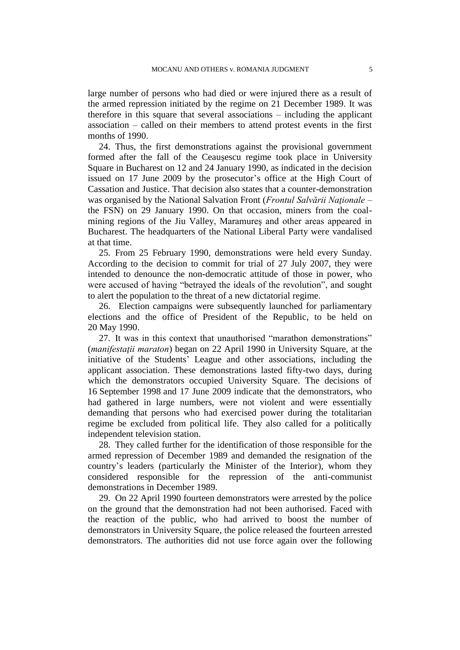large number of persons who had died or were injured there as a result of the armed repression initiated by the regime on 21 December 1989. It was therefore in this square that several associations – including the applicant association – called on their members to attend protest events in the first months of 1990.

24. Thus, the first demonstrations against the provisional government formed after the fall of the Ceauşescu regime took place in University Square in Bucharest on 12 and 24 January 1990, as indicated in the decision issued on 17 June 2009 by the prosecutor's office at the High Court of Cassation and Justice. That decision also states that a counter-demonstration was organised by the National Salvation Front (*Frontul Salvării Nationale* – the FSN) on 29 January 1990. On that occasion, miners from the coalmining regions of the Jiu Valley, Maramureş and other areas appeared in Bucharest. The headquarters of the National Liberal Party were vandalised at that time.

25. From 25 February 1990, demonstrations were held every Sunday. According to the decision to commit for trial of 27 July 2007, they were intended to denounce the non-democratic attitude of those in power, who were accused of having "betrayed the ideals of the revolution", and sought to alert the population to the threat of a new dictatorial regime.

26. Election campaigns were subsequently launched for parliamentary elections and the office of President of the Republic, to be held on 20 May 1990.

27. It was in this context that unauthorised "marathon demonstrations" (*manifestaţii maraton*) began on 22 April 1990 in University Square, at the initiative of the Students' League and other associations, including the applicant association. These demonstrations lasted fifty-two days, during which the demonstrators occupied University Square. The decisions of 16 September 1998 and 17 June 2009 indicate that the demonstrators, who had gathered in large numbers, were not violent and were essentially demanding that persons who had exercised power during the totalitarian regime be excluded from political life. They also called for a politically independent television station.

28. They called further for the identification of those responsible for the armed repression of December 1989 and demanded the resignation of the country's leaders (particularly the Minister of the Interior), whom they considered responsible for the repression of the anti-communist demonstrations in December 1989.

29. On 22 April 1990 fourteen demonstrators were arrested by the police on the ground that the demonstration had not been authorised. Faced with the reaction of the public, who had arrived to boost the number of demonstrators in University Square, the police released the fourteen arrested demonstrators. The authorities did not use force again over the following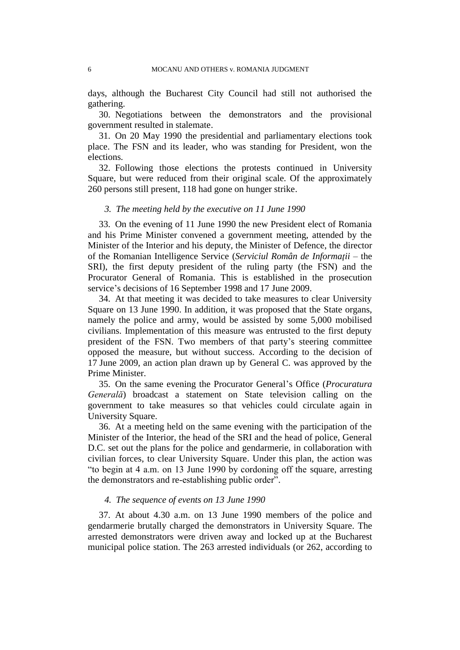days, although the Bucharest City Council had still not authorised the gathering.

30. Negotiations between the demonstrators and the provisional government resulted in stalemate.

31. On 20 May 1990 the presidential and parliamentary elections took place. The FSN and its leader, who was standing for President, won the elections.

32. Following those elections the protests continued in University Square, but were reduced from their original scale. Of the approximately 260 persons still present, 118 had gone on hunger strike.

### *3. The meeting held by the executive on 11 June 1990*

33. On the evening of 11 June 1990 the new President elect of Romania and his Prime Minister convened a government meeting, attended by the Minister of the Interior and his deputy, the Minister of Defence, the director of the Romanian Intelligence Service (*Serviciul Român de Informaţii* – the SRI), the first deputy president of the ruling party (the FSN) and the Procurator General of Romania. This is established in the prosecution service's decisions of 16 September 1998 and 17 June 2009.

34. At that meeting it was decided to take measures to clear University Square on 13 June 1990. In addition, it was proposed that the State organs, namely the police and army, would be assisted by some 5,000 mobilised civilians. Implementation of this measure was entrusted to the first deputy president of the FSN. Two members of that party's steering committee opposed the measure, but without success. According to the decision of 17 June 2009, an action plan drawn up by General C. was approved by the Prime Minister.

35. On the same evening the Procurator General's Office (*Procuratura Generală*) broadcast a statement on State television calling on the government to take measures so that vehicles could circulate again in University Square.

36. At a meeting held on the same evening with the participation of the Minister of the Interior, the head of the SRI and the head of police, General D.C. set out the plans for the police and gendarmerie, in collaboration with civilian forces, to clear University Square. Under this plan, the action was "to begin at 4 a.m. on 13 June 1990 by cordoning off the square, arresting the demonstrators and re-establishing public order".

#### *4. The sequence of events on 13 June 1990*

37. At about 4.30 a.m. on 13 June 1990 members of the police and gendarmerie brutally charged the demonstrators in University Square. The arrested demonstrators were driven away and locked up at the Bucharest municipal police station. The 263 arrested individuals (or 262, according to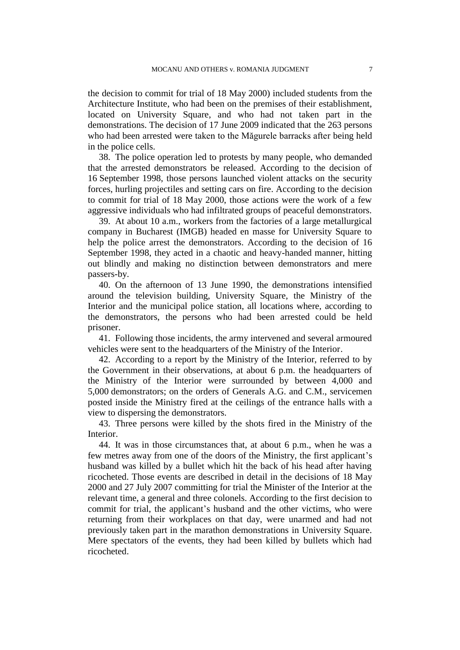the decision to commit for trial of 18 May 2000) included students from the Architecture Institute, who had been on the premises of their establishment, located on University Square, and who had not taken part in the demonstrations. The decision of 17 June 2009 indicated that the 263 persons who had been arrested were taken to the Măgurele barracks after being held in the police cells.

38. The police operation led to protests by many people, who demanded that the arrested demonstrators be released. According to the decision of 16 September 1998, those persons launched violent attacks on the security forces, hurling projectiles and setting cars on fire. According to the decision to commit for trial of 18 May 2000, those actions were the work of a few aggressive individuals who had infiltrated groups of peaceful demonstrators.

39. At about 10 a.m., workers from the factories of a large metallurgical company in Bucharest (IMGB) headed en masse for University Square to help the police arrest the demonstrators. According to the decision of 16 September 1998, they acted in a chaotic and heavy-handed manner, hitting out blindly and making no distinction between demonstrators and mere passers-by.

40. On the afternoon of 13 June 1990, the demonstrations intensified around the television building, University Square, the Ministry of the Interior and the municipal police station, all locations where, according to the demonstrators, the persons who had been arrested could be held prisoner.

41. Following those incidents, the army intervened and several armoured vehicles were sent to the headquarters of the Ministry of the Interior.

42. According to a report by the Ministry of the Interior, referred to by the Government in their observations, at about 6 p.m. the headquarters of the Ministry of the Interior were surrounded by between 4,000 and 5,000 demonstrators; on the orders of Generals A.G. and C.M., servicemen posted inside the Ministry fired at the ceilings of the entrance halls with a view to dispersing the demonstrators.

43. Three persons were killed by the shots fired in the Ministry of the Interior.

44. It was in those circumstances that, at about 6 p.m., when he was a few metres away from one of the doors of the Ministry, the first applicant's husband was killed by a bullet which hit the back of his head after having ricocheted. Those events are described in detail in the decisions of 18 May 2000 and 27 July 2007 committing for trial the Minister of the Interior at the relevant time, a general and three colonels. According to the first decision to commit for trial, the applicant's husband and the other victims, who were returning from their workplaces on that day, were unarmed and had not previously taken part in the marathon demonstrations in University Square. Mere spectators of the events, they had been killed by bullets which had ricocheted.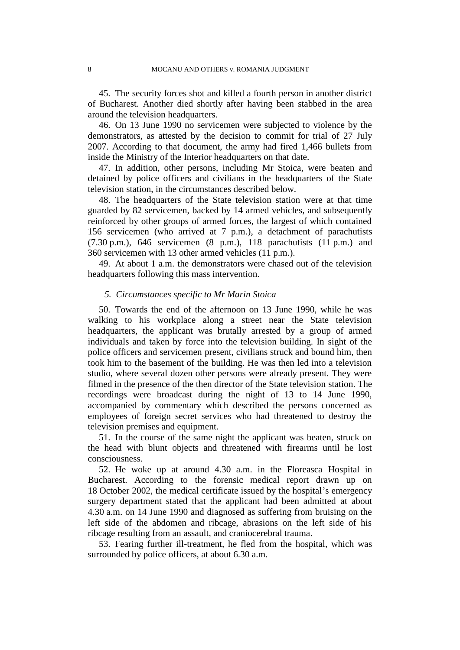45. The security forces shot and killed a fourth person in another district of Bucharest. Another died shortly after having been stabbed in the area around the television headquarters.

46. On 13 June 1990 no servicemen were subjected to violence by the demonstrators, as attested by the decision to commit for trial of 27 July 2007. According to that document, the army had fired 1,466 bullets from inside the Ministry of the Interior headquarters on that date.

47. In addition, other persons, including Mr Stoica, were beaten and detained by police officers and civilians in the headquarters of the State television station, in the circumstances described below.

48. The headquarters of the State television station were at that time guarded by 82 servicemen, backed by 14 armed vehicles, and subsequently reinforced by other groups of armed forces, the largest of which contained 156 servicemen (who arrived at 7 p.m.), a detachment of parachutists  $(7.30 \text{ p.m.})$ , 646 servicemen  $(8 \text{ p.m.})$ , 118 parachutists  $(11 \text{ p.m.})$  and 360 servicemen with 13 other armed vehicles (11 p.m.).

49. At about 1 a.m. the demonstrators were chased out of the television headquarters following this mass intervention.

#### *5. Circumstances specific to Mr Marin Stoica*

50. Towards the end of the afternoon on 13 June 1990, while he was walking to his workplace along a street near the State television headquarters, the applicant was brutally arrested by a group of armed individuals and taken by force into the television building. In sight of the police officers and servicemen present, civilians struck and bound him, then took him to the basement of the building. He was then led into a television studio, where several dozen other persons were already present. They were filmed in the presence of the then director of the State television station. The recordings were broadcast during the night of 13 to 14 June 1990, accompanied by commentary which described the persons concerned as employees of foreign secret services who had threatened to destroy the television premises and equipment.

51. In the course of the same night the applicant was beaten, struck on the head with blunt objects and threatened with firearms until he lost consciousness.

52. He woke up at around 4.30 a.m. in the Floreasca Hospital in Bucharest. According to the forensic medical report drawn up on 18 October 2002, the medical certificate issued by the hospital's emergency surgery department stated that the applicant had been admitted at about 4.30 a.m. on 14 June 1990 and diagnosed as suffering from bruising on the left side of the abdomen and ribcage, abrasions on the left side of his ribcage resulting from an assault, and craniocerebral trauma.

53. Fearing further ill-treatment, he fled from the hospital, which was surrounded by police officers, at about 6.30 a.m.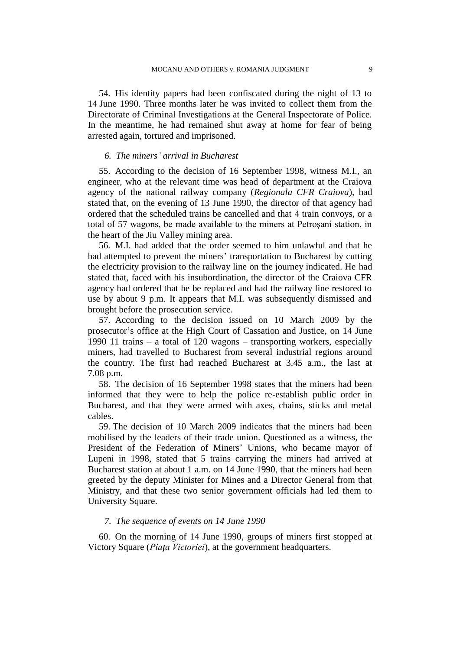54. His identity papers had been confiscated during the night of 13 to 14 June 1990. Three months later he was invited to collect them from the Directorate of Criminal Investigations at the General Inspectorate of Police. In the meantime, he had remained shut away at home for fear of being arrested again, tortured and imprisoned.

#### *6. The miners' arrival in Bucharest*

55. According to the decision of 16 September 1998, witness M.I., an engineer, who at the relevant time was head of department at the Craiova agency of the national railway company (*Regionala CFR Craiova*), had stated that, on the evening of 13 June 1990, the director of that agency had ordered that the scheduled trains be cancelled and that 4 train convoys, or a total of 57 wagons, be made available to the miners at Petroşani station, in the heart of the Jiu Valley mining area.

56. M.I. had added that the order seemed to him unlawful and that he had attempted to prevent the miners' transportation to Bucharest by cutting the electricity provision to the railway line on the journey indicated. He had stated that, faced with his insubordination, the director of the Craiova CFR agency had ordered that he be replaced and had the railway line restored to use by about 9 p.m. It appears that M.I. was subsequently dismissed and brought before the prosecution service.

57. According to the decision issued on 10 March 2009 by the prosecutor's office at the High Court of Cassation and Justice, on 14 June 1990 11 trains – a total of 120 wagons – transporting workers, especially miners, had travelled to Bucharest from several industrial regions around the country. The first had reached Bucharest at 3.45 a.m., the last at 7.08 p.m.

58. The decision of 16 September 1998 states that the miners had been informed that they were to help the police re-establish public order in Bucharest, and that they were armed with axes, chains, sticks and metal cables.

59. The decision of 10 March 2009 indicates that the miners had been mobilised by the leaders of their trade union. Questioned as a witness, the President of the Federation of Miners' Unions, who became mayor of Lupeni in 1998, stated that 5 trains carrying the miners had arrived at Bucharest station at about 1 a.m. on 14 June 1990, that the miners had been greeted by the deputy Minister for Mines and a Director General from that Ministry, and that these two senior government officials had led them to University Square.

#### *7. The sequence of events on 14 June 1990*

60. On the morning of 14 June 1990, groups of miners first stopped at Victory Square (*Piaţa Victoriei*), at the government headquarters.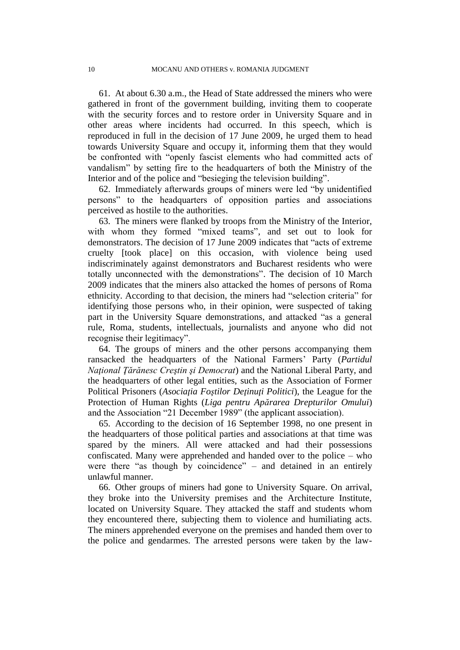61. At about 6.30 a.m., the Head of State addressed the miners who were gathered in front of the government building, inviting them to cooperate with the security forces and to restore order in University Square and in other areas where incidents had occurred. In this speech, which is reproduced in full in the decision of 17 June 2009, he urged them to head towards University Square and occupy it, informing them that they would be confronted with "openly fascist elements who had committed acts of vandalism" by setting fire to the headquarters of both the Ministry of the Interior and of the police and "besieging the television building".

62. Immediately afterwards groups of miners were led "by unidentified persons" to the headquarters of opposition parties and associations perceived as hostile to the authorities.

63. The miners were flanked by troops from the Ministry of the Interior, with whom they formed "mixed teams", and set out to look for demonstrators. The decision of 17 June 2009 indicates that "acts of extreme cruelty [took place] on this occasion, with violence being used indiscriminately against demonstrators and Bucharest residents who were totally unconnected with the demonstrations". The decision of 10 March 2009 indicates that the miners also attacked the homes of persons of Roma ethnicity. According to that decision, the miners had "selection criteria" for identifying those persons who, in their opinion, were suspected of taking part in the University Square demonstrations, and attacked "as a general rule, Roma, students, intellectuals, journalists and anyone who did not recognise their legitimacy".

64. The groups of miners and the other persons accompanying them ransacked the headquarters of the National Farmers' Party (*Partidul Naţional Ţărănesc Creştin şi Democrat*) and the National Liberal Party, and the headquarters of other legal entities, such as the Association of Former Political Prisoners (*Asociaţia Foştilor Deţinuţi Politici*), the League for the Protection of Human Rights (*Liga pentru Apărarea Drepturilor Omului*) and the Association "21 December 1989" (the applicant association).

65. According to the decision of 16 September 1998, no one present in the headquarters of those political parties and associations at that time was spared by the miners. All were attacked and had their possessions confiscated. Many were apprehended and handed over to the police – who were there "as though by coincidence" – and detained in an entirely unlawful manner.

66. Other groups of miners had gone to University Square. On arrival, they broke into the University premises and the Architecture Institute, located on University Square. They attacked the staff and students whom they encountered there, subjecting them to violence and humiliating acts. The miners apprehended everyone on the premises and handed them over to the police and gendarmes. The arrested persons were taken by the law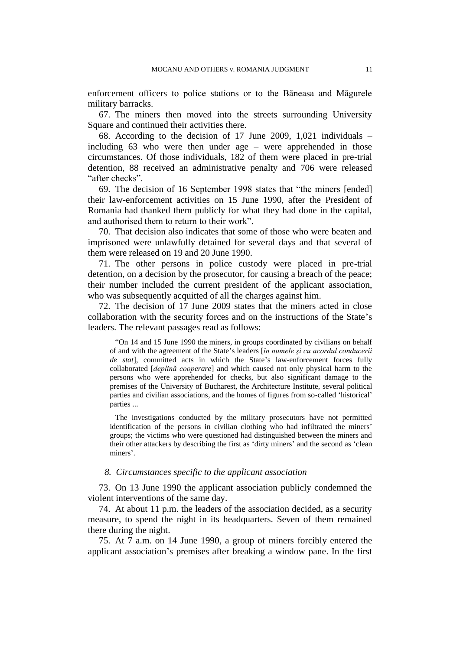enforcement officers to police stations or to the Băneasa and Măgurele military barracks.

67. The miners then moved into the streets surrounding University Square and continued their activities there.

68. According to the decision of 17 June 2009, 1,021 individuals – including 63 who were then under age – were apprehended in those circumstances. Of those individuals, 182 of them were placed in pre-trial detention, 88 received an administrative penalty and 706 were released "after checks".

69. The decision of 16 September 1998 states that "the miners [ended] their law-enforcement activities on 15 June 1990, after the President of Romania had thanked them publicly for what they had done in the capital, and authorised them to return to their work".

70. That decision also indicates that some of those who were beaten and imprisoned were unlawfully detained for several days and that several of them were released on 19 and 20 June 1990.

71. The other persons in police custody were placed in pre-trial detention, on a decision by the prosecutor, for causing a breach of the peace; their number included the current president of the applicant association, who was subsequently acquitted of all the charges against him.

72. The decision of 17 June 2009 states that the miners acted in close collaboration with the security forces and on the instructions of the State's leaders. The relevant passages read as follows:

"On 14 and 15 June 1990 the miners, in groups coordinated by civilians on behalf of and with the agreement of the State's leaders [*în numele şi cu acordul conducerii de stat*], committed acts in which the State's law-enforcement forces fully collaborated [*deplină cooperare*] and which caused not only physical harm to the persons who were apprehended for checks, but also significant damage to the premises of the University of Bucharest, the Architecture Institute, several political parties and civilian associations, and the homes of figures from so-called 'historical' parties ...

The investigations conducted by the military prosecutors have not permitted identification of the persons in civilian clothing who had infiltrated the miners' groups; the victims who were questioned had distinguished between the miners and their other attackers by describing the first as 'dirty miners' and the second as 'clean miners'.

#### *8. Circumstances specific to the applicant association*

73. On 13 June 1990 the applicant association publicly condemned the violent interventions of the same day.

74. At about 11 p.m. the leaders of the association decided, as a security measure, to spend the night in its headquarters. Seven of them remained there during the night.

75. At 7 a.m. on 14 June 1990, a group of miners forcibly entered the applicant association's premises after breaking a window pane. In the first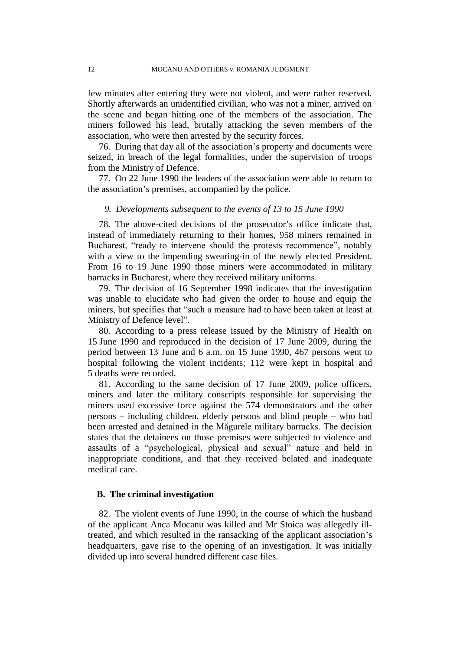few minutes after entering they were not violent, and were rather reserved. Shortly afterwards an unidentified civilian, who was not a miner, arrived on the scene and began hitting one of the members of the association. The miners followed his lead, brutally attacking the seven members of the association, who were then arrested by the security forces.

76. During that day all of the association's property and documents were seized, in breach of the legal formalities, under the supervision of troops from the Ministry of Defence.

77. On 22 June 1990 the leaders of the association were able to return to the association's premises, accompanied by the police.

#### *9. Developments subsequent to the events of 13 to 15 June 1990*

78. The above-cited decisions of the prosecutor's office indicate that, instead of immediately returning to their homes, 958 miners remained in Bucharest, "ready to intervene should the protests recommence", notably with a view to the impending swearing-in of the newly elected President. From 16 to 19 June 1990 those miners were accommodated in military barracks in Bucharest, where they received military uniforms.

79. The decision of 16 September 1998 indicates that the investigation was unable to elucidate who had given the order to house and equip the miners, but specifies that "such a measure had to have been taken at least at Ministry of Defence level".

80. According to a press release issued by the Ministry of Health on 15 June 1990 and reproduced in the decision of 17 June 2009, during the period between 13 June and 6 a.m. on 15 June 1990, 467 persons went to hospital following the violent incidents; 112 were kept in hospital and 5 deaths were recorded.

81. According to the same decision of 17 June 2009, police officers, miners and later the military conscripts responsible for supervising the miners used excessive force against the 574 demonstrators and the other persons – including children, elderly persons and blind people – who had been arrested and detained in the Măgurele military barracks. The decision states that the detainees on those premises were subjected to violence and assaults of a "psychological, physical and sexual" nature and held in inappropriate conditions, and that they received belated and inadequate medical care.

### **B. The criminal investigation**

82. The violent events of June 1990, in the course of which the husband of the applicant Anca Mocanu was killed and Mr Stoica was allegedly illtreated, and which resulted in the ransacking of the applicant association's headquarters, gave rise to the opening of an investigation. It was initially divided up into several hundred different case files.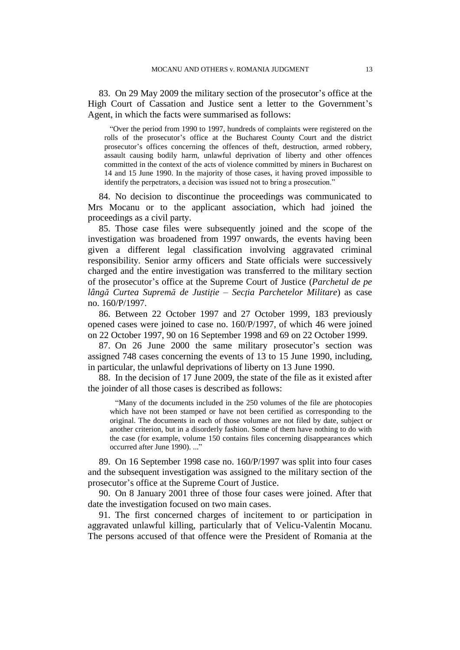83. On 29 May 2009 the military section of the prosecutor's office at the High Court of Cassation and Justice sent a letter to the Government's Agent, in which the facts were summarised as follows:

"Over the period from 1990 to 1997, hundreds of complaints were registered on the rolls of the prosecutor's office at the Bucharest County Court and the district prosecutor's offices concerning the offences of theft, destruction, armed robbery, assault causing bodily harm, unlawful deprivation of liberty and other offences committed in the context of the acts of violence committed by miners in Bucharest on 14 and 15 June 1990. In the majority of those cases, it having proved impossible to identify the perpetrators, a decision was issued not to bring a prosecution."

84. No decision to discontinue the proceedings was communicated to Mrs Mocanu or to the applicant association, which had joined the proceedings as a civil party.

85. Those case files were subsequently joined and the scope of the investigation was broadened from 1997 onwards, the events having been given a different legal classification involving aggravated criminal responsibility. Senior army officers and State officials were successively charged and the entire investigation was transferred to the military section of the prosecutor's office at the Supreme Court of Justice (*Parchetul de pe lângă Curtea Supremă de Justiţie – Secţia Parchetelor Militare*) as case no. 160/P/1997.

86. Between 22 October 1997 and 27 October 1999, 183 previously opened cases were joined to case no. 160/P/1997, of which 46 were joined on 22 October 1997, 90 on 16 September 1998 and 69 on 22 October 1999.

87. On 26 June 2000 the same military prosecutor's section was assigned 748 cases concerning the events of 13 to 15 June 1990, including, in particular, the unlawful deprivations of liberty on 13 June 1990.

88. In the decision of 17 June 2009, the state of the file as it existed after the joinder of all those cases is described as follows:

"Many of the documents included in the 250 volumes of the file are photocopies which have not been stamped or have not been certified as corresponding to the original. The documents in each of those volumes are not filed by date, subject or another criterion, but in a disorderly fashion. Some of them have nothing to do with the case (for example, volume 150 contains files concerning disappearances which occurred after June 1990). ..."

89. On 16 September 1998 case no. 160/P/1997 was split into four cases and the subsequent investigation was assigned to the military section of the prosecutor's office at the Supreme Court of Justice.

90. On 8 January 2001 three of those four cases were joined. After that date the investigation focused on two main cases.

91. The first concerned charges of incitement to or participation in aggravated unlawful killing, particularly that of Velicu-Valentin Mocanu. The persons accused of that offence were the President of Romania at the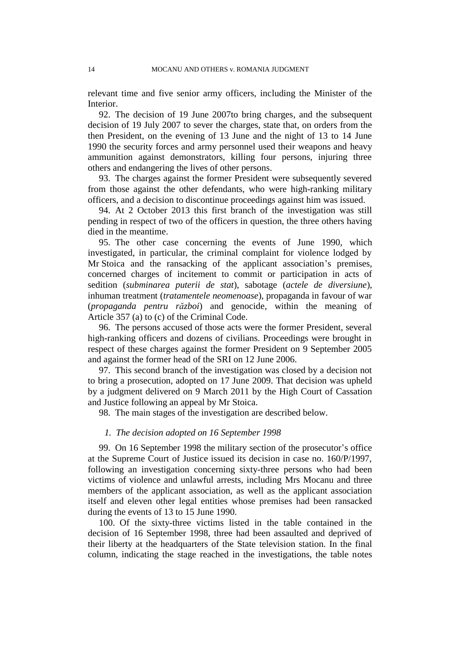relevant time and five senior army officers, including the Minister of the Interior.

92. The decision of 19 June 2007to bring charges, and the subsequent decision of 19 July 2007 to sever the charges, state that, on orders from the then President, on the evening of 13 June and the night of 13 to 14 June 1990 the security forces and army personnel used their weapons and heavy ammunition against demonstrators, killing four persons, injuring three others and endangering the lives of other persons.

93. The charges against the former President were subsequently severed from those against the other defendants, who were high-ranking military officers, and a decision to discontinue proceedings against him was issued.

94. At 2 October 2013 this first branch of the investigation was still pending in respect of two of the officers in question, the three others having died in the meantime.

95. The other case concerning the events of June 1990, which investigated, in particular, the criminal complaint for violence lodged by Mr Stoica and the ransacking of the applicant association's premises, concerned charges of incitement to commit or participation in acts of sedition (*subminarea puterii de stat*), sabotage (*actele de diversiune*), inhuman treatment (*tratamentele neomenoase*), propaganda in favour of war (*propaganda pentru război*) and genocide, within the meaning of Article 357 (a) to (c) of the Criminal Code.

96. The persons accused of those acts were the former President, several high-ranking officers and dozens of civilians. Proceedings were brought in respect of these charges against the former President on 9 September 2005 and against the former head of the SRI on 12 June 2006.

97. This second branch of the investigation was closed by a decision not to bring a prosecution, adopted on 17 June 2009. That decision was upheld by a judgment delivered on 9 March 2011 by the High Court of Cassation and Justice following an appeal by Mr Stoica.

98. The main stages of the investigation are described below.

#### *1. The decision adopted on 16 September 1998*

99. On 16 September 1998 the military section of the prosecutor's office at the Supreme Court of Justice issued its decision in case no. 160/P/1997, following an investigation concerning sixty-three persons who had been victims of violence and unlawful arrests, including Mrs Mocanu and three members of the applicant association, as well as the applicant association itself and eleven other legal entities whose premises had been ransacked during the events of 13 to 15 June 1990.

100. Of the sixty-three victims listed in the table contained in the decision of 16 September 1998, three had been assaulted and deprived of their liberty at the headquarters of the State television station. In the final column, indicating the stage reached in the investigations, the table notes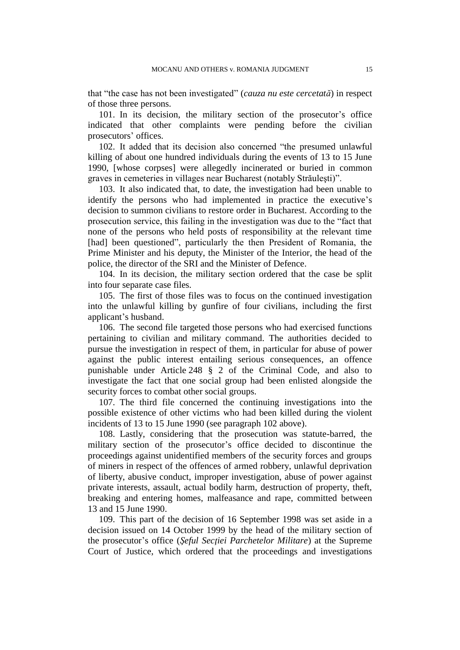that "the case has not been investigated" (*cauza nu este cercetată*) in respect of those three persons.

101. In its decision, the military section of the prosecutor's office indicated that other complaints were pending before the civilian prosecutors' offices.

102. It added that its decision also concerned "the presumed unlawful killing of about one hundred individuals during the events of 13 to 15 June 1990, [whose corpses] were allegedly incinerated or buried in common graves in cemeteries in villages near Bucharest (notably Străuleşti)".

103. It also indicated that, to date, the investigation had been unable to identify the persons who had implemented in practice the executive's decision to summon civilians to restore order in Bucharest. According to the prosecution service, this failing in the investigation was due to the "fact that none of the persons who held posts of responsibility at the relevant time [had] been questioned", particularly the then President of Romania, the Prime Minister and his deputy, the Minister of the Interior, the head of the police, the director of the SRI and the Minister of Defence.

104. In its decision, the military section ordered that the case be split into four separate case files.

105. The first of those files was to focus on the continued investigation into the unlawful killing by gunfire of four civilians, including the first applicant's husband.

106. The second file targeted those persons who had exercised functions pertaining to civilian and military command. The authorities decided to pursue the investigation in respect of them, in particular for abuse of power against the public interest entailing serious consequences, an offence punishable under Article 248 § 2 of the Criminal Code, and also to investigate the fact that one social group had been enlisted alongside the security forces to combat other social groups.

107. The third file concerned the continuing investigations into the possible existence of other victims who had been killed during the violent incidents of 13 to 15 June 1990 (see paragraph 102 above).

108. Lastly, considering that the prosecution was statute-barred, the military section of the prosecutor's office decided to discontinue the proceedings against unidentified members of the security forces and groups of miners in respect of the offences of armed robbery, unlawful deprivation of liberty, abusive conduct, improper investigation, abuse of power against private interests, assault, actual bodily harm, destruction of property, theft, breaking and entering homes, malfeasance and rape, committed between 13 and 15 June 1990.

109. This part of the decision of 16 September 1998 was set aside in a decision issued on 14 October 1999 by the head of the military section of the prosecutor's office (*Şeful Secţiei Parchetelor Militare*) at the Supreme Court of Justice, which ordered that the proceedings and investigations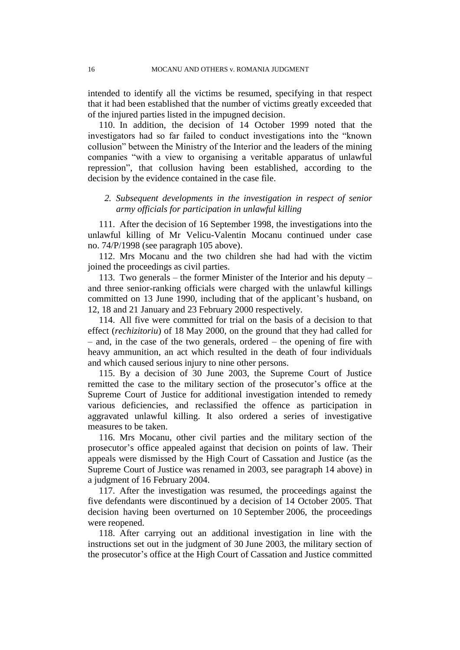intended to identify all the victims be resumed, specifying in that respect that it had been established that the number of victims greatly exceeded that of the injured parties listed in the impugned decision.

110. In addition, the decision of 14 October 1999 noted that the investigators had so far failed to conduct investigations into the "known collusion" between the Ministry of the Interior and the leaders of the mining companies "with a view to organising a veritable apparatus of unlawful repression", that collusion having been established, according to the decision by the evidence contained in the case file.

## *2. Subsequent developments in the investigation in respect of senior army officials for participation in unlawful killing*

111. After the decision of 16 September 1998, the investigations into the unlawful killing of Mr Velicu-Valentin Mocanu continued under case no. 74/P/1998 (see paragraph 105 above).

112. Mrs Mocanu and the two children she had had with the victim joined the proceedings as civil parties.

113. Two generals – the former Minister of the Interior and his deputy – and three senior-ranking officials were charged with the unlawful killings committed on 13 June 1990, including that of the applicant's husband, on 12, 18 and 21 January and 23 February 2000 respectively.

114. All five were committed for trial on the basis of a decision to that effect (*rechizitoriu*) of 18 May 2000, on the ground that they had called for – and, in the case of the two generals, ordered – the opening of fire with heavy ammunition, an act which resulted in the death of four individuals and which caused serious injury to nine other persons.

115. By a decision of 30 June 2003, the Supreme Court of Justice remitted the case to the military section of the prosecutor's office at the Supreme Court of Justice for additional investigation intended to remedy various deficiencies, and reclassified the offence as participation in aggravated unlawful killing. It also ordered a series of investigative measures to be taken.

116. Mrs Mocanu, other civil parties and the military section of the prosecutor's office appealed against that decision on points of law. Their appeals were dismissed by the High Court of Cassation and Justice (as the Supreme Court of Justice was renamed in 2003, see paragraph 14 above) in a judgment of 16 February 2004.

117. After the investigation was resumed, the proceedings against the five defendants were discontinued by a decision of 14 October 2005. That decision having been overturned on 10 September 2006, the proceedings were reopened.

118. After carrying out an additional investigation in line with the instructions set out in the judgment of 30 June 2003, the military section of the prosecutor's office at the High Court of Cassation and Justice committed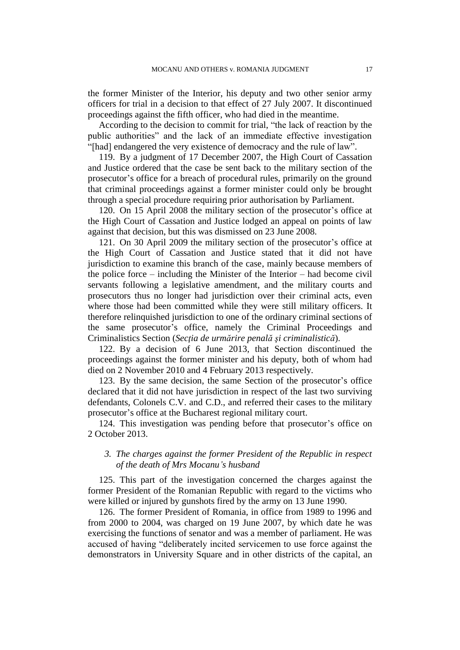the former Minister of the Interior, his deputy and two other senior army officers for trial in a decision to that effect of 27 July 2007. It discontinued proceedings against the fifth officer, who had died in the meantime.

According to the decision to commit for trial, "the lack of reaction by the public authorities" and the lack of an immediate effective investigation "[had] endangered the very existence of democracy and the rule of law".

119. By a judgment of 17 December 2007, the High Court of Cassation and Justice ordered that the case be sent back to the military section of the prosecutor's office for a breach of procedural rules, primarily on the ground that criminal proceedings against a former minister could only be brought through a special procedure requiring prior authorisation by Parliament.

120. On 15 April 2008 the military section of the prosecutor's office at the High Court of Cassation and Justice lodged an appeal on points of law against that decision, but this was dismissed on 23 June 2008.

121. On 30 April 2009 the military section of the prosecutor's office at the High Court of Cassation and Justice stated that it did not have jurisdiction to examine this branch of the case, mainly because members of the police force – including the Minister of the Interior – had become civil servants following a legislative amendment, and the military courts and prosecutors thus no longer had jurisdiction over their criminal acts, even where those had been committed while they were still military officers. It therefore relinquished jurisdiction to one of the ordinary criminal sections of the same prosecutor's office, namely the Criminal Proceedings and Criminalistics Section (*Secţia de urmărire penală şi criminalistică*).

122. By a decision of 6 June 2013, that Section discontinued the proceedings against the former minister and his deputy, both of whom had died on 2 November 2010 and 4 February 2013 respectively.

123. By the same decision, the same Section of the prosecutor's office declared that it did not have jurisdiction in respect of the last two surviving defendants, Colonels C.V. and C.D., and referred their cases to the military prosecutor's office at the Bucharest regional military court.

124. This investigation was pending before that prosecutor's office on 2 October 2013.

## *3. The charges against the former President of the Republic in respect of the death of Mrs Mocanu's husband*

125. This part of the investigation concerned the charges against the former President of the Romanian Republic with regard to the victims who were killed or injured by gunshots fired by the army on 13 June 1990.

126. The former President of Romania, in office from 1989 to 1996 and from 2000 to 2004, was charged on 19 June 2007, by which date he was exercising the functions of senator and was a member of parliament. He was accused of having "deliberately incited servicemen to use force against the demonstrators in University Square and in other districts of the capital, an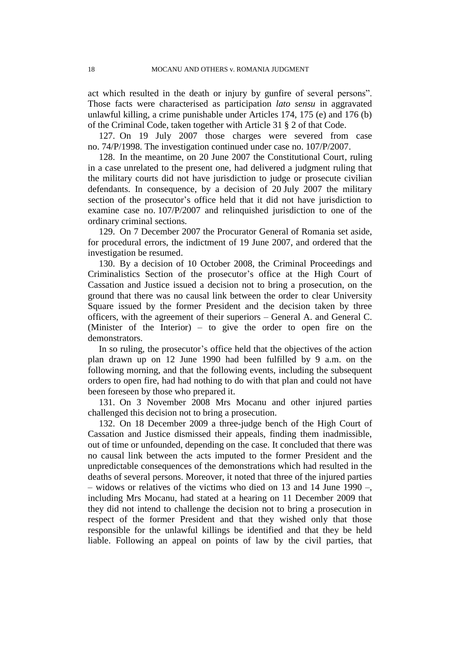act which resulted in the death or injury by gunfire of several persons". Those facts were characterised as participation *lato sensu* in aggravated unlawful killing, a crime punishable under Articles 174, 175 (e) and 176 (b) of the Criminal Code, taken together with Article 31 § 2 of that Code.

127. On 19 July 2007 those charges were severed from case no. 74/P/1998. The investigation continued under case no. 107/P/2007.

128. In the meantime, on 20 June 2007 the Constitutional Court, ruling in a case unrelated to the present one, had delivered a judgment ruling that the military courts did not have jurisdiction to judge or prosecute civilian defendants. In consequence, by a decision of 20 July 2007 the military section of the prosecutor's office held that it did not have jurisdiction to examine case no. 107/P/2007 and relinquished jurisdiction to one of the ordinary criminal sections.

129. On 7 December 2007 the Procurator General of Romania set aside, for procedural errors, the indictment of 19 June 2007, and ordered that the investigation be resumed.

130. By a decision of 10 October 2008, the Criminal Proceedings and Criminalistics Section of the prosecutor's office at the High Court of Cassation and Justice issued a decision not to bring a prosecution, on the ground that there was no causal link between the order to clear University Square issued by the former President and the decision taken by three officers, with the agreement of their superiors – General A. and General C. (Minister of the Interior) – to give the order to open fire on the demonstrators.

In so ruling, the prosecutor's office held that the objectives of the action plan drawn up on 12 June 1990 had been fulfilled by 9 a.m. on the following morning, and that the following events, including the subsequent orders to open fire, had had nothing to do with that plan and could not have been foreseen by those who prepared it.

131. On 3 November 2008 Mrs Mocanu and other injured parties challenged this decision not to bring a prosecution.

132. On 18 December 2009 a three-judge bench of the High Court of Cassation and Justice dismissed their appeals, finding them inadmissible, out of time or unfounded, depending on the case. It concluded that there was no causal link between the acts imputed to the former President and the unpredictable consequences of the demonstrations which had resulted in the deaths of several persons. Moreover, it noted that three of the injured parties – widows or relatives of the victims who died on 13 and 14 June 1990 –, including Mrs Mocanu, had stated at a hearing on 11 December 2009 that they did not intend to challenge the decision not to bring a prosecution in respect of the former President and that they wished only that those responsible for the unlawful killings be identified and that they be held liable. Following an appeal on points of law by the civil parties, that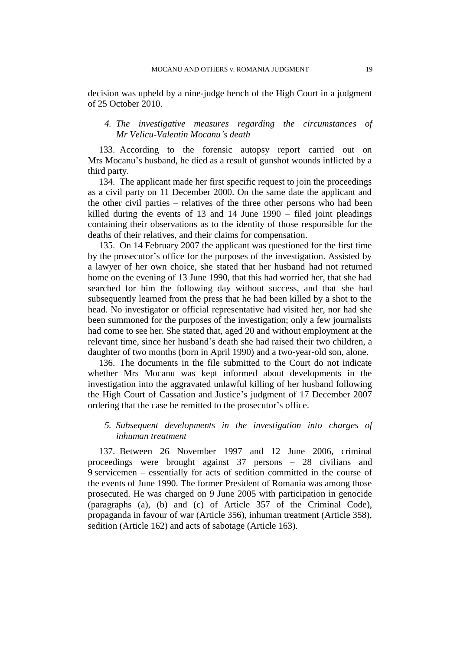decision was upheld by a nine-judge bench of the High Court in a judgment of 25 October 2010.

### *4. The investigative measures regarding the circumstances of Mr Velicu-Valentin Mocanu's death*

133. According to the forensic autopsy report carried out on Mrs Mocanu's husband, he died as a result of gunshot wounds inflicted by a third party.

134. The applicant made her first specific request to join the proceedings as a civil party on 11 December 2000. On the same date the applicant and the other civil parties – relatives of the three other persons who had been killed during the events of 13 and 14 June 1990 – filed joint pleadings containing their observations as to the identity of those responsible for the deaths of their relatives, and their claims for compensation.

135. On 14 February 2007 the applicant was questioned for the first time by the prosecutor's office for the purposes of the investigation. Assisted by a lawyer of her own choice, she stated that her husband had not returned home on the evening of 13 June 1990, that this had worried her, that she had searched for him the following day without success, and that she had subsequently learned from the press that he had been killed by a shot to the head. No investigator or official representative had visited her, nor had she been summoned for the purposes of the investigation; only a few journalists had come to see her. She stated that, aged 20 and without employment at the relevant time, since her husband's death she had raised their two children, a daughter of two months (born in April 1990) and a two-year-old son, alone.

136. The documents in the file submitted to the Court do not indicate whether Mrs Mocanu was kept informed about developments in the investigation into the aggravated unlawful killing of her husband following the High Court of Cassation and Justice's judgment of 17 December 2007 ordering that the case be remitted to the prosecutor's office.

## *5. Subsequent developments in the investigation into charges of inhuman treatment*

137. Between 26 November 1997 and 12 June 2006, criminal proceedings were brought against 37 persons – 28 civilians and 9 servicemen – essentially for acts of sedition committed in the course of the events of June 1990. The former President of Romania was among those prosecuted. He was charged on 9 June 2005 with participation in genocide (paragraphs (a), (b) and (c) of Article 357 of the Criminal Code), propaganda in favour of war (Article 356), inhuman treatment (Article 358), sedition (Article 162) and acts of sabotage (Article 163).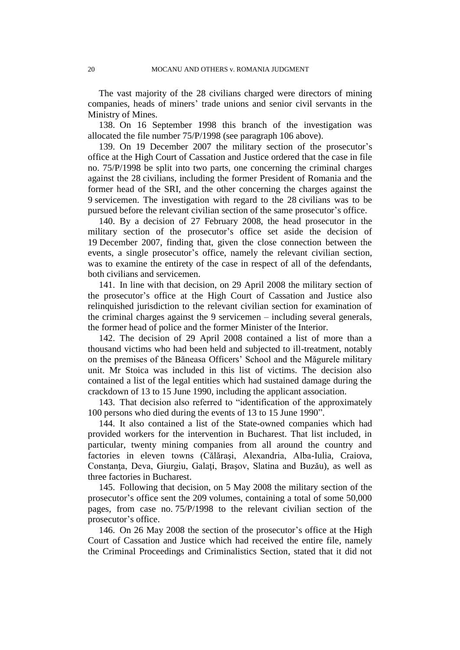The vast majority of the 28 civilians charged were directors of mining companies, heads of miners' trade unions and senior civil servants in the Ministry of Mines.

138. On 16 September 1998 this branch of the investigation was allocated the file number 75/P/1998 (see paragraph 106 above).

139. On 19 December 2007 the military section of the prosecutor's office at the High Court of Cassation and Justice ordered that the case in file no. 75/P/1998 be split into two parts, one concerning the criminal charges against the 28 civilians, including the former President of Romania and the former head of the SRI, and the other concerning the charges against the 9 servicemen. The investigation with regard to the 28 civilians was to be pursued before the relevant civilian section of the same prosecutor's office.

140. By a decision of 27 February 2008, the head prosecutor in the military section of the prosecutor's office set aside the decision of 19 December 2007, finding that, given the close connection between the events, a single prosecutor's office, namely the relevant civilian section, was to examine the entirety of the case in respect of all of the defendants, both civilians and servicemen.

141. In line with that decision, on 29 April 2008 the military section of the prosecutor's office at the High Court of Cassation and Justice also relinquished jurisdiction to the relevant civilian section for examination of the criminal charges against the 9 servicemen – including several generals, the former head of police and the former Minister of the Interior.

142. The decision of 29 April 2008 contained a list of more than a thousand victims who had been held and subjected to ill-treatment, notably on the premises of the Băneasa Officers' School and the Măgurele military unit. Mr Stoica was included in this list of victims. The decision also contained a list of the legal entities which had sustained damage during the crackdown of 13 to 15 June 1990, including the applicant association.

143. That decision also referred to "identification of the approximately 100 persons who died during the events of 13 to 15 June 1990".

144. It also contained a list of the State-owned companies which had provided workers for the intervention in Bucharest. That list included, in particular, twenty mining companies from all around the country and factories in eleven towns (Călăraşi, Alexandria, Alba-Iulia, Craiova, Constanţa, Deva, Giurgiu, Galaţi, Braşov, Slatina and Buzău), as well as three factories in Bucharest.

145. Following that decision, on 5 May 2008 the military section of the prosecutor's office sent the 209 volumes, containing a total of some 50,000 pages, from case no. 75/P/1998 to the relevant civilian section of the prosecutor's office.

146. On 26 May 2008 the section of the prosecutor's office at the High Court of Cassation and Justice which had received the entire file, namely the Criminal Proceedings and Criminalistics Section, stated that it did not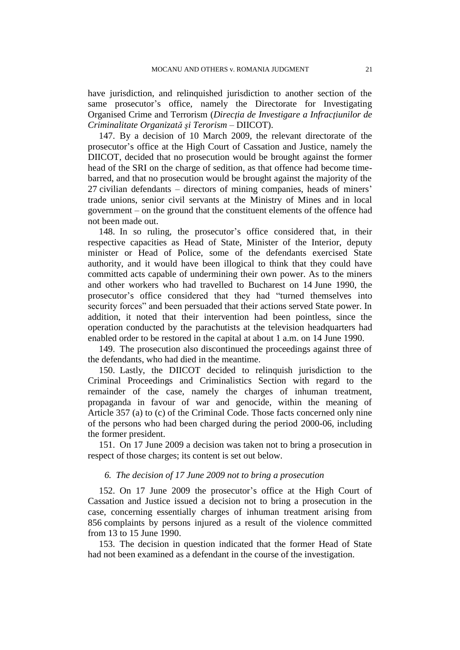have jurisdiction, and relinquished jurisdiction to another section of the same prosecutor's office, namely the Directorate for Investigating Organised Crime and Terrorism (*Direcţia de Investigare a Infracţiunilor de Criminalitate Organizată şi Terorism –* DIICOT).

147. By a decision of 10 March 2009, the relevant directorate of the prosecutor's office at the High Court of Cassation and Justice, namely the DIICOT, decided that no prosecution would be brought against the former head of the SRI on the charge of sedition, as that offence had become timebarred, and that no prosecution would be brought against the majority of the 27 civilian defendants – directors of mining companies, heads of miners' trade unions, senior civil servants at the Ministry of Mines and in local government – on the ground that the constituent elements of the offence had not been made out.

148. In so ruling, the prosecutor's office considered that, in their respective capacities as Head of State, Minister of the Interior, deputy minister or Head of Police, some of the defendants exercised State authority, and it would have been illogical to think that they could have committed acts capable of undermining their own power. As to the miners and other workers who had travelled to Bucharest on 14 June 1990, the prosecutor's office considered that they had "turned themselves into security forces" and been persuaded that their actions served State power. In addition, it noted that their intervention had been pointless, since the operation conducted by the parachutists at the television headquarters had enabled order to be restored in the capital at about 1 a.m. on 14 June 1990.

149. The prosecution also discontinued the proceedings against three of the defendants, who had died in the meantime.

150. Lastly, the DIICOT decided to relinquish jurisdiction to the Criminal Proceedings and Criminalistics Section with regard to the remainder of the case, namely the charges of inhuman treatment, propaganda in favour of war and genocide, within the meaning of Article 357 (a) to (c) of the Criminal Code. Those facts concerned only nine of the persons who had been charged during the period 2000-06, including the former president.

151. On 17 June 2009 a decision was taken not to bring a prosecution in respect of those charges; its content is set out below.

### *6. The decision of 17 June 2009 not to bring a prosecution*

152. On 17 June 2009 the prosecutor's office at the High Court of Cassation and Justice issued a decision not to bring a prosecution in the case, concerning essentially charges of inhuman treatment arising from 856 complaints by persons injured as a result of the violence committed from 13 to 15 June 1990.

153. The decision in question indicated that the former Head of State had not been examined as a defendant in the course of the investigation.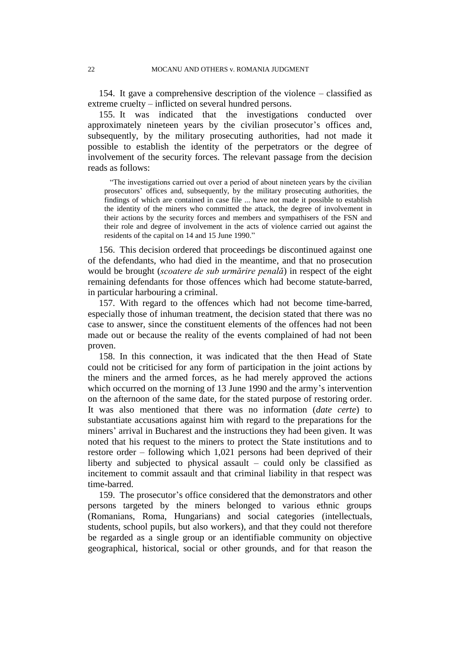154. It gave a comprehensive description of the violence – classified as extreme cruelty – inflicted on several hundred persons.

155. It was indicated that the investigations conducted over approximately nineteen years by the civilian prosecutor's offices and, subsequently, by the military prosecuting authorities, had not made it possible to establish the identity of the perpetrators or the degree of involvement of the security forces. The relevant passage from the decision reads as follows:

"The investigations carried out over a period of about nineteen years by the civilian prosecutors' offices and, subsequently, by the military prosecuting authorities, the findings of which are contained in case file ... have not made it possible to establish the identity of the miners who committed the attack, the degree of involvement in their actions by the security forces and members and sympathisers of the FSN and their role and degree of involvement in the acts of violence carried out against the residents of the capital on 14 and 15 June 1990."

156. This decision ordered that proceedings be discontinued against one of the defendants, who had died in the meantime, and that no prosecution would be brought (*scoatere de sub urmărire penală*) in respect of the eight remaining defendants for those offences which had become statute-barred, in particular harbouring a criminal.

157. With regard to the offences which had not become time-barred, especially those of inhuman treatment, the decision stated that there was no case to answer, since the constituent elements of the offences had not been made out or because the reality of the events complained of had not been proven.

158. In this connection, it was indicated that the then Head of State could not be criticised for any form of participation in the joint actions by the miners and the armed forces, as he had merely approved the actions which occurred on the morning of 13 June 1990 and the army's intervention on the afternoon of the same date, for the stated purpose of restoring order. It was also mentioned that there was no information (*date certe*) to substantiate accusations against him with regard to the preparations for the miners' arrival in Bucharest and the instructions they had been given. It was noted that his request to the miners to protect the State institutions and to restore order – following which 1,021 persons had been deprived of their liberty and subjected to physical assault – could only be classified as incitement to commit assault and that criminal liability in that respect was time-barred.

159. The prosecutor's office considered that the demonstrators and other persons targeted by the miners belonged to various ethnic groups (Romanians, Roma, Hungarians) and social categories (intellectuals, students, school pupils, but also workers), and that they could not therefore be regarded as a single group or an identifiable community on objective geographical, historical, social or other grounds, and for that reason the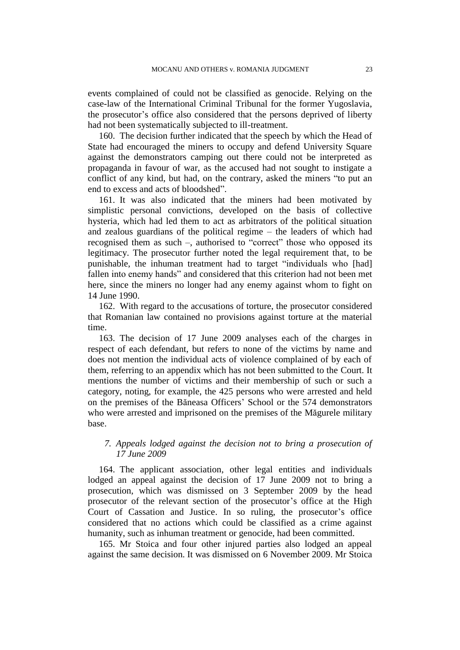events complained of could not be classified as genocide. Relying on the case-law of the International Criminal Tribunal for the former Yugoslavia, the prosecutor's office also considered that the persons deprived of liberty had not been systematically subjected to ill-treatment.

160. The decision further indicated that the speech by which the Head of State had encouraged the miners to occupy and defend University Square against the demonstrators camping out there could not be interpreted as propaganda in favour of war, as the accused had not sought to instigate a conflict of any kind, but had, on the contrary, asked the miners "to put an end to excess and acts of bloodshed".

161. It was also indicated that the miners had been motivated by simplistic personal convictions, developed on the basis of collective hysteria, which had led them to act as arbitrators of the political situation and zealous guardians of the political regime – the leaders of which had recognised them as such –, authorised to "correct" those who opposed its legitimacy. The prosecutor further noted the legal requirement that, to be punishable, the inhuman treatment had to target "individuals who [had] fallen into enemy hands" and considered that this criterion had not been met here, since the miners no longer had any enemy against whom to fight on 14 June 1990.

162. With regard to the accusations of torture, the prosecutor considered that Romanian law contained no provisions against torture at the material time.

163. The decision of 17 June 2009 analyses each of the charges in respect of each defendant, but refers to none of the victims by name and does not mention the individual acts of violence complained of by each of them, referring to an appendix which has not been submitted to the Court. It mentions the number of victims and their membership of such or such a category, noting, for example, the 425 persons who were arrested and held on the premises of the Băneasa Officers' School or the 574 demonstrators who were arrested and imprisoned on the premises of the Măgurele military base.

## *7. Appeals lodged against the decision not to bring a prosecution of 17 June 2009*

164. The applicant association, other legal entities and individuals lodged an appeal against the decision of 17 June 2009 not to bring a prosecution, which was dismissed on 3 September 2009 by the head prosecutor of the relevant section of the prosecutor's office at the High Court of Cassation and Justice. In so ruling, the prosecutor's office considered that no actions which could be classified as a crime against humanity, such as inhuman treatment or genocide, had been committed.

165. Mr Stoica and four other injured parties also lodged an appeal against the same decision. It was dismissed on 6 November 2009. Mr Stoica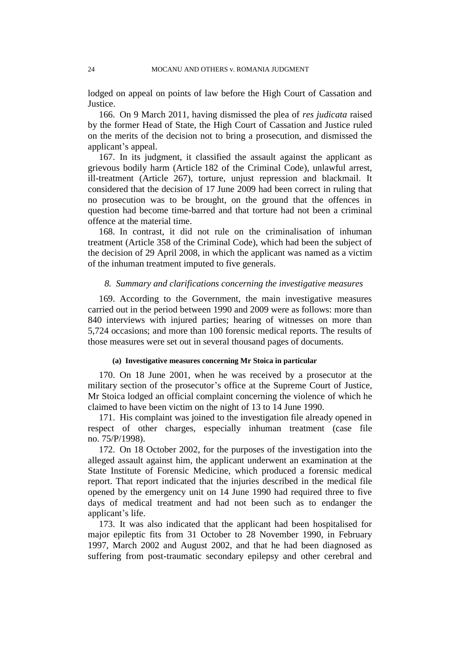lodged on appeal on points of law before the High Court of Cassation and Justice.

166. On 9 March 2011, having dismissed the plea of *res judicata* raised by the former Head of State, the High Court of Cassation and Justice ruled on the merits of the decision not to bring a prosecution, and dismissed the applicant's appeal.

167. In its judgment, it classified the assault against the applicant as grievous bodily harm (Article 182 of the Criminal Code), unlawful arrest, ill-treatment (Article 267), torture, unjust repression and blackmail. It considered that the decision of 17 June 2009 had been correct in ruling that no prosecution was to be brought, on the ground that the offences in question had become time-barred and that torture had not been a criminal offence at the material time.

168. In contrast, it did not rule on the criminalisation of inhuman treatment (Article 358 of the Criminal Code), which had been the subject of the decision of 29 April 2008, in which the applicant was named as a victim of the inhuman treatment imputed to five generals.

### *8. Summary and clarifications concerning the investigative measures*

169. According to the Government, the main investigative measures carried out in the period between 1990 and 2009 were as follows: more than 840 interviews with injured parties; hearing of witnesses on more than 5,724 occasions; and more than 100 forensic medical reports. The results of those measures were set out in several thousand pages of documents.

#### **(a) Investigative measures concerning Mr Stoica in particular**

170. On 18 June 2001, when he was received by a prosecutor at the military section of the prosecutor's office at the Supreme Court of Justice, Mr Stoica lodged an official complaint concerning the violence of which he claimed to have been victim on the night of 13 to 14 June 1990.

171. His complaint was joined to the investigation file already opened in respect of other charges, especially inhuman treatment (case file no. 75/P/1998).

172. On 18 October 2002, for the purposes of the investigation into the alleged assault against him, the applicant underwent an examination at the State Institute of Forensic Medicine, which produced a forensic medical report. That report indicated that the injuries described in the medical file opened by the emergency unit on 14 June 1990 had required three to five days of medical treatment and had not been such as to endanger the applicant's life.

173. It was also indicated that the applicant had been hospitalised for major epileptic fits from 31 October to 28 November 1990, in February 1997, March 2002 and August 2002, and that he had been diagnosed as suffering from post-traumatic secondary epilepsy and other cerebral and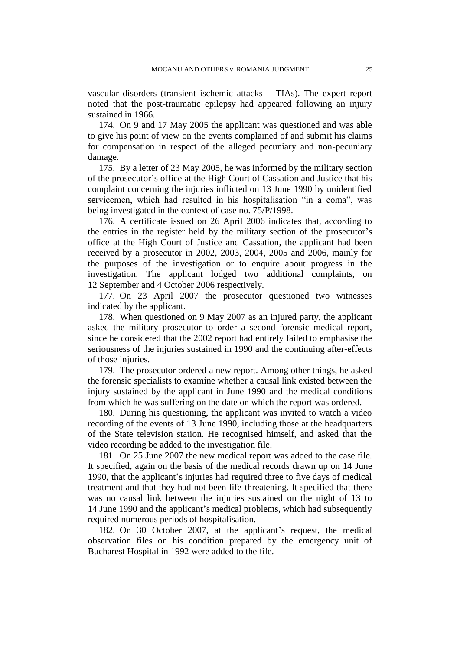vascular disorders (transient ischemic attacks – TIAs). The expert report noted that the post-traumatic epilepsy had appeared following an injury sustained in 1966.

174. On 9 and 17 May 2005 the applicant was questioned and was able to give his point of view on the events complained of and submit his claims for compensation in respect of the alleged pecuniary and non-pecuniary damage.

175. By a letter of 23 May 2005, he was informed by the military section of the prosecutor's office at the High Court of Cassation and Justice that his complaint concerning the injuries inflicted on 13 June 1990 by unidentified servicemen, which had resulted in his hospitalisation "in a coma", was being investigated in the context of case no. 75/P/1998.

176. A certificate issued on 26 April 2006 indicates that, according to the entries in the register held by the military section of the prosecutor's office at the High Court of Justice and Cassation, the applicant had been received by a prosecutor in 2002, 2003, 2004, 2005 and 2006, mainly for the purposes of the investigation or to enquire about progress in the investigation. The applicant lodged two additional complaints, on 12 September and 4 October 2006 respectively.

177. On 23 April 2007 the prosecutor questioned two witnesses indicated by the applicant.

178. When questioned on 9 May 2007 as an injured party, the applicant asked the military prosecutor to order a second forensic medical report, since he considered that the 2002 report had entirely failed to emphasise the seriousness of the injuries sustained in 1990 and the continuing after-effects of those injuries.

179. The prosecutor ordered a new report. Among other things, he asked the forensic specialists to examine whether a causal link existed between the injury sustained by the applicant in June 1990 and the medical conditions from which he was suffering on the date on which the report was ordered.

180. During his questioning, the applicant was invited to watch a video recording of the events of 13 June 1990, including those at the headquarters of the State television station. He recognised himself, and asked that the video recording be added to the investigation file.

181. On 25 June 2007 the new medical report was added to the case file. It specified, again on the basis of the medical records drawn up on 14 June 1990, that the applicant's injuries had required three to five days of medical treatment and that they had not been life-threatening. It specified that there was no causal link between the injuries sustained on the night of 13 to 14 June 1990 and the applicant's medical problems, which had subsequently required numerous periods of hospitalisation.

182. On 30 October 2007, at the applicant's request, the medical observation files on his condition prepared by the emergency unit of Bucharest Hospital in 1992 were added to the file.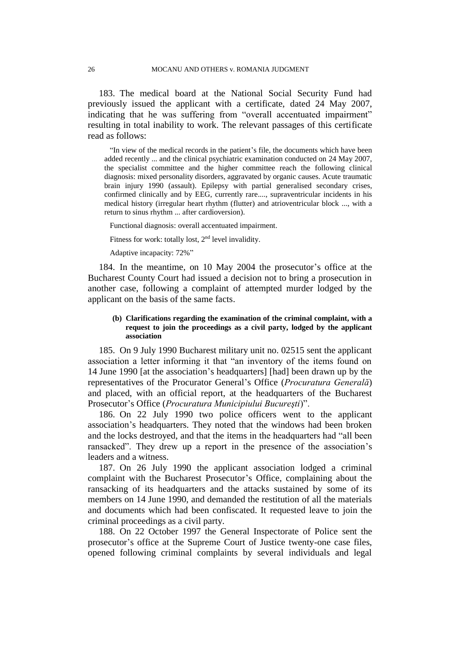183. The medical board at the National Social Security Fund had previously issued the applicant with a certificate, dated 24 May 2007, indicating that he was suffering from "overall accentuated impairment" resulting in total inability to work. The relevant passages of this certificate read as follows:

"In view of the medical records in the patient's file, the documents which have been added recently ... and the clinical psychiatric examination conducted on 24 May 2007, the specialist committee and the higher committee reach the following clinical diagnosis: mixed personality disorders, aggravated by organic causes. Acute traumatic brain injury 1990 (assault). Epilepsy with partial generalised secondary crises, confirmed clinically and by EEG, currently rare...., supraventricular incidents in his medical history (irregular heart rhythm (flutter) and atrioventricular block ..., with a return to sinus rhythm ... after cardioversion).

Functional diagnosis: overall accentuated impairment.

Fitness for work: totally lost, 2<sup>nd</sup> level invalidity.

Adaptive incapacity: 72%"

184. In the meantime, on 10 May 2004 the prosecutor's office at the Bucharest County Court had issued a decision not to bring a prosecution in another case, following a complaint of attempted murder lodged by the applicant on the basis of the same facts.

#### **(b) Clarifications regarding the examination of the criminal complaint, with a request to join the proceedings as a civil party, lodged by the applicant association**

185. On 9 July 1990 Bucharest military unit no. 02515 sent the applicant association a letter informing it that "an inventory of the items found on 14 June 1990 [at the association's headquarters] [had] been drawn up by the representatives of the Procurator General's Office (*Procuratura Generală*) and placed, with an official report, at the headquarters of the Bucharest Prosecutor's Office (*Procuratura Municipiului Bucureşti*)".

186. On 22 July 1990 two police officers went to the applicant association's headquarters. They noted that the windows had been broken and the locks destroyed, and that the items in the headquarters had "all been ransacked". They drew up a report in the presence of the association's leaders and a witness.

187. On 26 July 1990 the applicant association lodged a criminal complaint with the Bucharest Prosecutor's Office, complaining about the ransacking of its headquarters and the attacks sustained by some of its members on 14 June 1990, and demanded the restitution of all the materials and documents which had been confiscated. It requested leave to join the criminal proceedings as a civil party.

188. On 22 October 1997 the General Inspectorate of Police sent the prosecutor's office at the Supreme Court of Justice twenty-one case files, opened following criminal complaints by several individuals and legal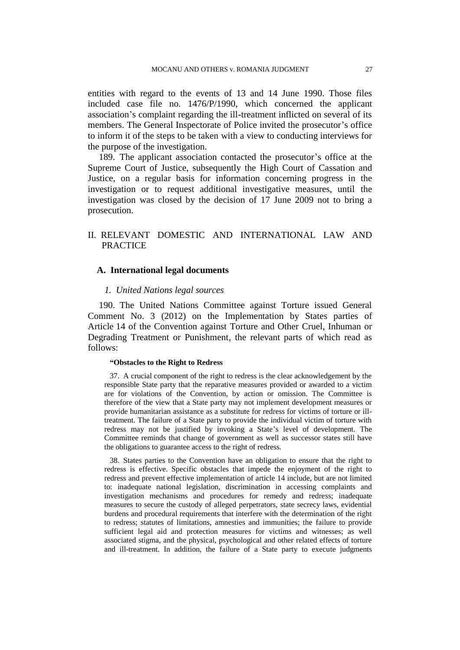entities with regard to the events of 13 and 14 June 1990. Those files included case file no. 1476/P/1990, which concerned the applicant association's complaint regarding the ill-treatment inflicted on several of its members. The General Inspectorate of Police invited the prosecutor's office to inform it of the steps to be taken with a view to conducting interviews for the purpose of the investigation.

189. The applicant association contacted the prosecutor's office at the Supreme Court of Justice, subsequently the High Court of Cassation and Justice, on a regular basis for information concerning progress in the investigation or to request additional investigative measures, until the investigation was closed by the decision of 17 June 2009 not to bring a prosecution.

## II. RELEVANT DOMESTIC AND INTERNATIONAL LAW AND **PRACTICE**

## **A. International legal documents**

#### *1. United Nations legal sources*

190. The United Nations Committee against Torture issued General Comment No. 3 (2012) on the Implementation by States parties of Article 14 of the Convention against Torture and Other Cruel, Inhuman or Degrading Treatment or Punishment, the relevant parts of which read as follows:

#### **"Obstacles to the Right to Redress**

37. A crucial component of the right to redress is the clear acknowledgement by the responsible State party that the reparative measures provided or awarded to a victim are for violations of the Convention, by action or omission. The Committee is therefore of the view that a State party may not implement development measures or provide humanitarian assistance as a substitute for redress for victims of torture or illtreatment. The failure of a State party to provide the individual victim of torture with redress may not be justified by invoking a State's level of development. The Committee reminds that change of government as well as successor states still have the obligations to guarantee access to the right of redress.

38. States parties to the Convention have an obligation to ensure that the right to redress is effective. Specific obstacles that impede the enjoyment of the right to redress and prevent effective implementation of article 14 include, but are not limited to: inadequate national legislation, discrimination in accessing complaints and investigation mechanisms and procedures for remedy and redress; inadequate measures to secure the custody of alleged perpetrators, state secrecy laws, evidential burdens and procedural requirements that interfere with the determination of the right to redress; statutes of limitations, amnesties and immunities; the failure to provide sufficient legal aid and protection measures for victims and witnesses; as well associated stigma, and the physical, psychological and other related effects of torture and ill-treatment. In addition, the failure of a State party to execute judgments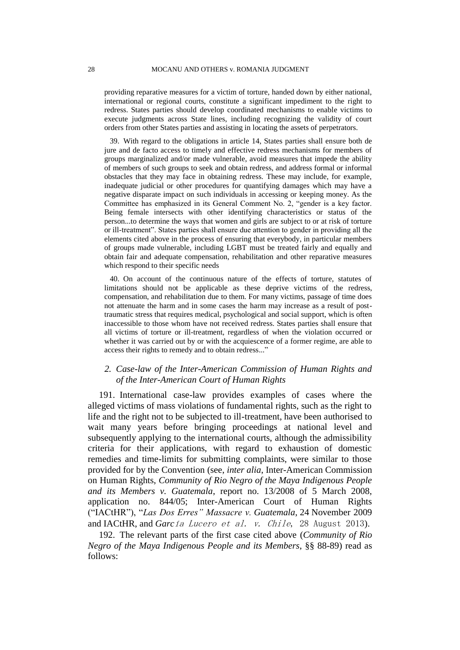providing reparative measures for a victim of torture, handed down by either national, international or regional courts, constitute a significant impediment to the right to redress. States parties should develop coordinated mechanisms to enable victims to execute judgments across State lines, including recognizing the validity of court orders from other States parties and assisting in locating the assets of perpetrators.

39. With regard to the obligations in article 14, States parties shall ensure both de jure and de facto access to timely and effective redress mechanisms for members of groups marginalized and/or made vulnerable, avoid measures that impede the ability of members of such groups to seek and obtain redress, and address formal or informal obstacles that they may face in obtaining redress. These may include, for example, inadequate judicial or other procedures for quantifying damages which may have a negative disparate impact on such individuals in accessing or keeping money. As the Committee has emphasized in its General Comment No. 2, "gender is a key factor. Being female intersects with other identifying characteristics or status of the person...to determine the ways that women and girls are subject to or at risk of torture or ill-treatment". States parties shall ensure due attention to gender in providing all the elements cited above in the process of ensuring that everybody, in particular members of groups made vulnerable, including LGBT must be treated fairly and equally and obtain fair and adequate compensation, rehabilitation and other reparative measures which respond to their specific needs

40. On account of the continuous nature of the effects of torture, statutes of limitations should not be applicable as these deprive victims of the redress, compensation, and rehabilitation due to them. For many victims, passage of time does not attenuate the harm and in some cases the harm may increase as a result of posttraumatic stress that requires medical, psychological and social support, which is often inaccessible to those whom have not received redress. States parties shall ensure that all victims of torture or ill-treatment, regardless of when the violation occurred or whether it was carried out by or with the acquiescence of a former regime, are able to access their rights to remedy and to obtain redress..."

## *2. Case-law of the Inter-American Commission of Human Rights and of the Inter-American Court of Human Rights*

191. International case-law provides examples of cases where the alleged victims of mass violations of fundamental rights, such as the right to life and the right not to be subjected to ill-treatment, have been authorised to wait many years before bringing proceedings at national level and subsequently applying to the international courts, although the admissibility criteria for their applications, with regard to exhaustion of domestic remedies and time-limits for submitting complaints, were similar to those provided for by the Convention (see, *inter alia*, Inter-American Commission on Human Rights, *Community of Rio Negro of the Maya Indigenous People and its Members v. Guatemala*, report no. 13/2008 of 5 March 2008, application no. 844/05; Inter-American Court of Human Rights ("IACtHR"), "*Las Dos Erres" Massacre v. Guatemala*, 24 November 2009 and IACtHR, and *Garc*ía Lucero et al. v. Chile, 28 August 2013).

192. The relevant parts of the first case cited above (*Community of Rio Negro of the Maya Indigenous People and its Members*, §§ 88-89) read as follows: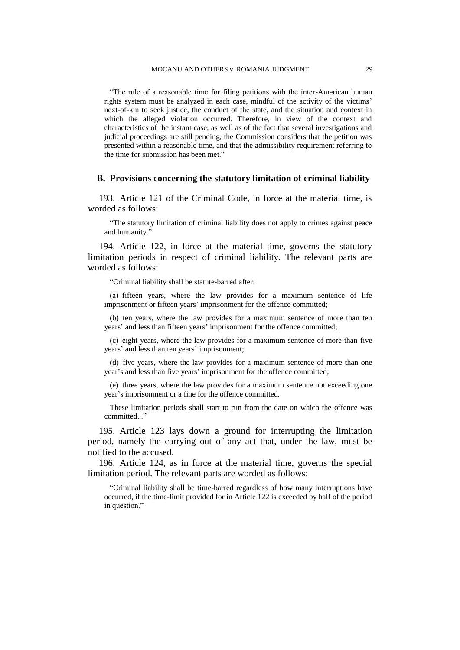"The rule of a reasonable time for filing petitions with the inter-American human rights system must be analyzed in each case, mindful of the activity of the victims' next-of-kin to seek justice, the conduct of the state, and the situation and context in which the alleged violation occurred. Therefore, in view of the context and characteristics of the instant case, as well as of the fact that several investigations and judicial proceedings are still pending, the Commission considers that the petition was presented within a reasonable time, and that the admissibility requirement referring to the time for submission has been met."

#### **B. Provisions concerning the statutory limitation of criminal liability**

193. Article 121 of the Criminal Code, in force at the material time, is worded as follows:

"The statutory limitation of criminal liability does not apply to crimes against peace and humanity."

194. Article 122, in force at the material time, governs the statutory limitation periods in respect of criminal liability. The relevant parts are worded as follows:

"Criminal liability shall be statute-barred after:

(a) fifteen years, where the law provides for a maximum sentence of life imprisonment or fifteen years' imprisonment for the offence committed;

(b) ten years, where the law provides for a maximum sentence of more than ten years' and less than fifteen years' imprisonment for the offence committed;

(c) eight years, where the law provides for a maximum sentence of more than five years' and less than ten years' imprisonment;

(d) five years, where the law provides for a maximum sentence of more than one year's and less than five years' imprisonment for the offence committed;

(e) three years, where the law provides for a maximum sentence not exceeding one year's imprisonment or a fine for the offence committed.

These limitation periods shall start to run from the date on which the offence was committed..."

195. Article 123 lays down a ground for interrupting the limitation period, namely the carrying out of any act that, under the law, must be notified to the accused.

196. Article 124, as in force at the material time, governs the special limitation period. The relevant parts are worded as follows:

"Criminal liability shall be time-barred regardless of how many interruptions have occurred, if the time-limit provided for in Article 122 is exceeded by half of the period in question."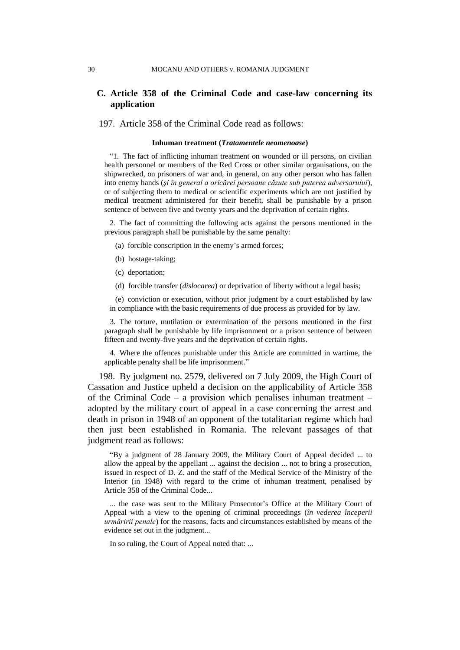## **C. Article 358 of the Criminal Code and case-law concerning its application**

197. Article 358 of the Criminal Code read as follows:

#### **Inhuman treatment (***Tratamentele neomenoase***)**

"1. The fact of inflicting inhuman treatment on wounded or ill persons, on civilian health personnel or members of the Red Cross or other similar organisations, on the shipwrecked, on prisoners of war and, in general, on any other person who has fallen into enemy hands (*şi în general a oricărei persoane căzute sub puterea adversarului*), or of subjecting them to medical or scientific experiments which are not justified by medical treatment administered for their benefit, shall be punishable by a prison sentence of between five and twenty years and the deprivation of certain rights.

2. The fact of committing the following acts against the persons mentioned in the previous paragraph shall be punishable by the same penalty:

- (a) forcible conscription in the enemy's armed forces;
- (b) hostage-taking;
- (c) deportation;
- (d) forcible transfer (*dislocarea*) or deprivation of liberty without a legal basis;

(e) conviction or execution, without prior judgment by a court established by law in compliance with the basic requirements of due process as provided for by law.

3. The torture, mutilation or extermination of the persons mentioned in the first paragraph shall be punishable by life imprisonment or a prison sentence of between fifteen and twenty-five years and the deprivation of certain rights.

4. Where the offences punishable under this Article are committed in wartime, the applicable penalty shall be life imprisonment."

198. By judgment no. 2579, delivered on 7 July 2009, the High Court of Cassation and Justice upheld a decision on the applicability of Article 358 of the Criminal Code – a provision which penalises inhuman treatment – adopted by the military court of appeal in a case concerning the arrest and death in prison in 1948 of an opponent of the totalitarian regime which had then just been established in Romania. The relevant passages of that judgment read as follows:

"By a judgment of 28 January 2009, the Military Court of Appeal decided ... to allow the appeal by the appellant ... against the decision ... not to bring a prosecution, issued in respect of D. Z. and the staff of the Medical Service of the Ministry of the Interior (in 1948) with regard to the crime of inhuman treatment, penalised by Article 358 of the Criminal Code...

... the case was sent to the Military Prosecutor's Office at the Military Court of Appeal with a view to the opening of criminal proceedings (*în vederea începerii urmăririi penale*) for the reasons, facts and circumstances established by means of the evidence set out in the judgment...

In so ruling, the Court of Appeal noted that: ...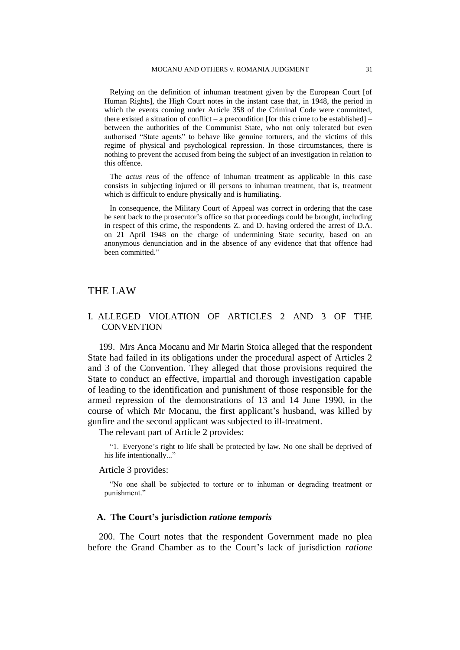Relying on the definition of inhuman treatment given by the European Court [of Human Rights], the High Court notes in the instant case that, in 1948, the period in which the events coming under Article 358 of the Criminal Code were committed, there existed a situation of conflict – a precondition [for this crime to be established] – between the authorities of the Communist State, who not only tolerated but even authorised "State agents" to behave like genuine torturers, and the victims of this regime of physical and psychological repression. In those circumstances, there is nothing to prevent the accused from being the subject of an investigation in relation to this offence.

The *actus reus* of the offence of inhuman treatment as applicable in this case consists in subjecting injured or ill persons to inhuman treatment, that is, treatment which is difficult to endure physically and is humiliating.

In consequence, the Military Court of Appeal was correct in ordering that the case be sent back to the prosecutor's office so that proceedings could be brought, including in respect of this crime, the respondents Z. and D. having ordered the arrest of D.A. on 21 April 1948 on the charge of undermining State security, based on an anonymous denunciation and in the absence of any evidence that that offence had been committed."

## THE LAW

## I. ALLEGED VIOLATION OF ARTICLES 2 AND 3 OF THE **CONVENTION**

199. Mrs Anca Mocanu and Mr Marin Stoica alleged that the respondent State had failed in its obligations under the procedural aspect of Articles 2 and 3 of the Convention. They alleged that those provisions required the State to conduct an effective, impartial and thorough investigation capable of leading to the identification and punishment of those responsible for the armed repression of the demonstrations of 13 and 14 June 1990, in the course of which Mr Mocanu, the first applicant's husband, was killed by gunfire and the second applicant was subjected to ill-treatment.

The relevant part of Article 2 provides:

"1. Everyone's right to life shall be protected by law. No one shall be deprived of his life intentionally..."

#### Article 3 provides:

"No one shall be subjected to torture or to inhuman or degrading treatment or punishment."

#### **A. The Court's jurisdiction** *ratione temporis*

200. The Court notes that the respondent Government made no plea before the Grand Chamber as to the Court's lack of jurisdiction *ratione*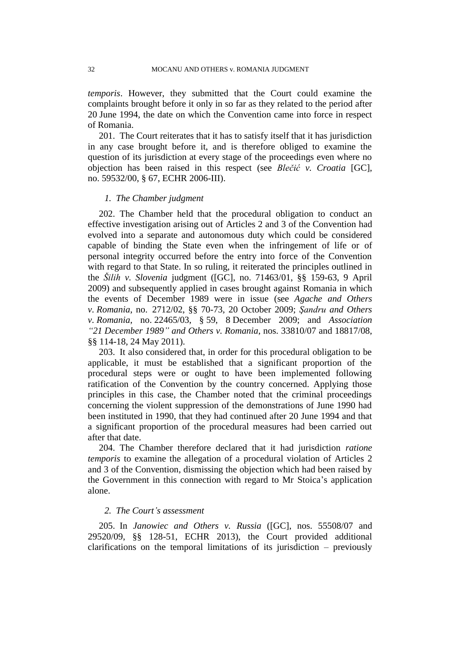*temporis*. However, they submitted that the Court could examine the complaints brought before it only in so far as they related to the period after 20 June 1994, the date on which the Convention came into force in respect of Romania.

201. The Court reiterates that it has to satisfy itself that it has jurisdiction in any case brought before it, and is therefore obliged to examine the question of its jurisdiction at every stage of the proceedings even where no objection has been raised in this respect (see *Blečić v. Croatia* [GC], no. 59532/00, § 67, ECHR 2006-III).

### *1. The Chamber judgment*

202. The Chamber held that the procedural obligation to conduct an effective investigation arising out of Articles 2 and 3 of the Convention had evolved into a separate and autonomous duty which could be considered capable of binding the State even when the infringement of life or of personal integrity occurred before the entry into force of the Convention with regard to that State. In so ruling, it reiterated the principles outlined in the *Šilih v. Slovenia* judgment ([GC], no. 71463/01, §§ 159-63, 9 April 2009) and subsequently applied in cases brought against Romania in which the events of December 1989 were in issue (see *Agache and Others v. Romania*, no. 2712/02, §§ 70-73, 20 October 2009; *Şandru and Others v. Romania*, no. 22465/03, § 59, 8 December 2009; and *Association "21 December 1989" and Others v. Romania*, nos. 33810/07 and 18817/08, §§ 114-18, 24 May 2011).

203. It also considered that, in order for this procedural obligation to be applicable, it must be established that a significant proportion of the procedural steps were or ought to have been implemented following ratification of the Convention by the country concerned. Applying those principles in this case, the Chamber noted that the criminal proceedings concerning the violent suppression of the demonstrations of June 1990 had been instituted in 1990, that they had continued after 20 June 1994 and that a significant proportion of the procedural measures had been carried out after that date.

204. The Chamber therefore declared that it had jurisdiction *ratione temporis* to examine the allegation of a procedural violation of Articles 2 and 3 of the Convention, dismissing the objection which had been raised by the Government in this connection with regard to Mr Stoica's application alone.

### *2. The Court's assessment*

205. In *Janowiec and Others v. Russia* ([GC], nos. 55508/07 and 29520/09, §§ 128-51, ECHR 2013), the Court provided additional clarifications on the temporal limitations of its jurisdiction – previously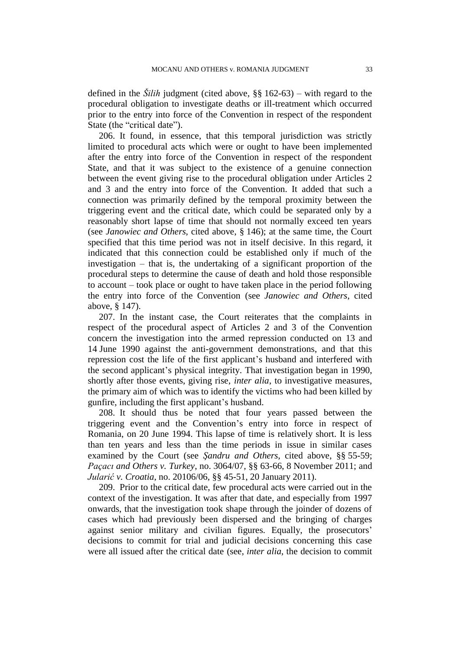defined in the *Šilih* judgment (cited above, §§ 162-63) – with regard to the procedural obligation to investigate deaths or ill-treatment which occurred prior to the entry into force of the Convention in respect of the respondent State (the "critical date").

206. It found, in essence, that this temporal jurisdiction was strictly limited to procedural acts which were or ought to have been implemented after the entry into force of the Convention in respect of the respondent State, and that it was subject to the existence of a genuine connection between the event giving rise to the procedural obligation under Articles 2 and 3 and the entry into force of the Convention. It added that such a connection was primarily defined by the temporal proximity between the triggering event and the critical date, which could be separated only by a reasonably short lapse of time that should not normally exceed ten years (see *Janowiec and Others*, cited above, § 146); at the same time, the Court specified that this time period was not in itself decisive. In this regard, it indicated that this connection could be established only if much of the investigation – that is, the undertaking of a significant proportion of the procedural steps to determine the cause of death and hold those responsible to account – took place or ought to have taken place in the period following the entry into force of the Convention (see *Janowiec and Others*, cited above, § 147).

207. In the instant case, the Court reiterates that the complaints in respect of the procedural aspect of Articles 2 and 3 of the Convention concern the investigation into the armed repression conducted on 13 and 14 June 1990 against the anti-government demonstrations, and that this repression cost the life of the first applicant's husband and interfered with the second applicant's physical integrity. That investigation began in 1990, shortly after those events, giving rise, *inter alia*, to investigative measures, the primary aim of which was to identify the victims who had been killed by gunfire, including the first applicant's husband.

208. It should thus be noted that four years passed between the triggering event and the Convention's entry into force in respect of Romania, on 20 June 1994. This lapse of time is relatively short. It is less than ten years and less than the time periods in issue in similar cases examined by the Court (see *Şandru and Others*, cited above, §§ 55-59; *Paçacı and Others v. Turkey*, no. 3064/07, §§ 63-66, 8 November 2011; and *Jularić v. Croatia*, no. 20106/06, §§ 45-51, 20 January 2011).

209. Prior to the critical date, few procedural acts were carried out in the context of the investigation. It was after that date, and especially from 1997 onwards, that the investigation took shape through the joinder of dozens of cases which had previously been dispersed and the bringing of charges against senior military and civilian figures. Equally, the prosecutors' decisions to commit for trial and judicial decisions concerning this case were all issued after the critical date (see, *inter alia*, the decision to commit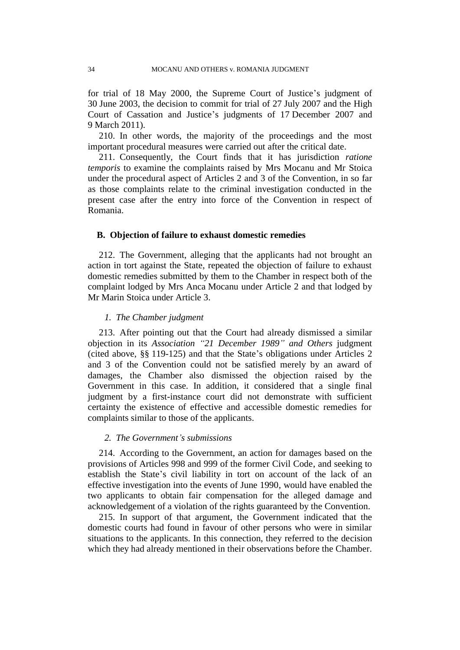for trial of 18 May 2000, the Supreme Court of Justice's judgment of 30 June 2003, the decision to commit for trial of 27 July 2007 and the High Court of Cassation and Justice's judgments of 17 December 2007 and 9 March 2011).

210. In other words, the majority of the proceedings and the most important procedural measures were carried out after the critical date.

211. Consequently, the Court finds that it has jurisdiction *ratione temporis* to examine the complaints raised by Mrs Mocanu and Mr Stoica under the procedural aspect of Articles 2 and 3 of the Convention, in so far as those complaints relate to the criminal investigation conducted in the present case after the entry into force of the Convention in respect of Romania.

#### **B. Objection of failure to exhaust domestic remedies**

212. The Government, alleging that the applicants had not brought an action in tort against the State, repeated the objection of failure to exhaust domestic remedies submitted by them to the Chamber in respect both of the complaint lodged by Mrs Anca Mocanu under Article 2 and that lodged by Mr Marin Stoica under Article 3.

### *1. The Chamber judgment*

213. After pointing out that the Court had already dismissed a similar objection in its *Association "21 December 1989" and Others* judgment (cited above, §§ 119-125) and that the State's obligations under Articles 2 and 3 of the Convention could not be satisfied merely by an award of damages, the Chamber also dismissed the objection raised by the Government in this case. In addition, it considered that a single final judgment by a first-instance court did not demonstrate with sufficient certainty the existence of effective and accessible domestic remedies for complaints similar to those of the applicants.

### *2. The Government's submissions*

214. According to the Government, an action for damages based on the provisions of Articles 998 and 999 of the former Civil Code, and seeking to establish the State's civil liability in tort on account of the lack of an effective investigation into the events of June 1990, would have enabled the two applicants to obtain fair compensation for the alleged damage and acknowledgement of a violation of the rights guaranteed by the Convention.

215. In support of that argument, the Government indicated that the domestic courts had found in favour of other persons who were in similar situations to the applicants. In this connection, they referred to the decision which they had already mentioned in their observations before the Chamber.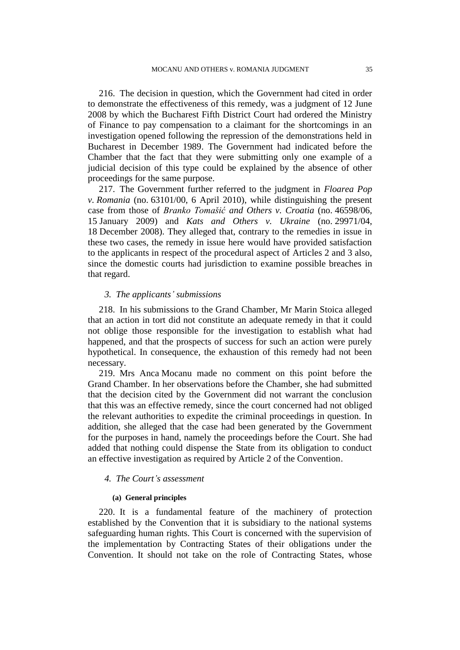216. The decision in question, which the Government had cited in order to demonstrate the effectiveness of this remedy, was a judgment of 12 June 2008 by which the Bucharest Fifth District Court had ordered the Ministry of Finance to pay compensation to a claimant for the shortcomings in an investigation opened following the repression of the demonstrations held in Bucharest in December 1989. The Government had indicated before the Chamber that the fact that they were submitting only one example of a judicial decision of this type could be explained by the absence of other proceedings for the same purpose.

217. The Government further referred to the judgment in *Floarea Pop v. Romania* (no. 63101/00, 6 April 2010), while distinguishing the present case from those of *Branko Tomašić and Others v. Croatia* (no. 46598/06, 15 January 2009) and *Kats and Others v. Ukraine* (no. 29971/04, 18 December 2008). They alleged that, contrary to the remedies in issue in these two cases, the remedy in issue here would have provided satisfaction to the applicants in respect of the procedural aspect of Articles 2 and 3 also, since the domestic courts had jurisdiction to examine possible breaches in that regard.

## *3. The applicants' submissions*

218. In his submissions to the Grand Chamber, Mr Marin Stoica alleged that an action in tort did not constitute an adequate remedy in that it could not oblige those responsible for the investigation to establish what had happened, and that the prospects of success for such an action were purely hypothetical. In consequence, the exhaustion of this remedy had not been necessary.

219. Mrs Anca Mocanu made no comment on this point before the Grand Chamber. In her observations before the Chamber, she had submitted that the decision cited by the Government did not warrant the conclusion that this was an effective remedy, since the court concerned had not obliged the relevant authorities to expedite the criminal proceedings in question. In addition, she alleged that the case had been generated by the Government for the purposes in hand, namely the proceedings before the Court. She had added that nothing could dispense the State from its obligation to conduct an effective investigation as required by Article 2 of the Convention.

## *4. The Court's assessment*

#### **(a) General principles**

220. It is a fundamental feature of the machinery of protection established by the Convention that it is subsidiary to the national systems safeguarding human rights. This Court is concerned with the supervision of the implementation by Contracting States of their obligations under the Convention. It should not take on the role of Contracting States, whose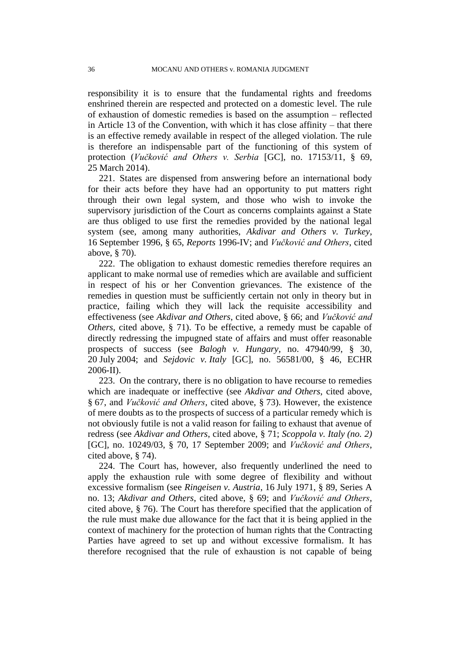responsibility it is to ensure that the fundamental rights and freedoms enshrined therein are respected and protected on a domestic level. The rule of exhaustion of domestic remedies is based on the assumption – reflected in Article 13 of the Convention, with which it has close affinity – that there is an effective remedy available in respect of the alleged violation. The rule is therefore an indispensable part of the functioning of this system of protection (*Vučković and Others v. Serbia* [GC], no. 17153/11, § 69, 25 March 2014).

221. States are dispensed from answering before an international body for their acts before they have had an opportunity to put matters right through their own legal system, and those who wish to invoke the supervisory jurisdiction of the Court as concerns complaints against a State are thus obliged to use first the remedies provided by the national legal system (see, among many authorities, *Akdivar and Others v. Turkey*, 16 September 1996, § 65, *Reports* 1996-IV; and *Vučković and Others*, cited above, § 70).

222. The obligation to exhaust domestic remedies therefore requires an applicant to make normal use of remedies which are available and sufficient in respect of his or her Convention grievances. The existence of the remedies in question must be sufficiently certain not only in theory but in practice, failing which they will lack the requisite accessibility and effectiveness (see *Akdivar and Others*, cited above, § 66; and *Vučković and Others*, cited above, § 71). To be effective, a remedy must be capable of directly redressing the impugned state of affairs and must offer reasonable prospects of success (see *Balogh v. Hungary*, no. 47940/99, § 30, 20 July 2004; and *Sejdovic v. Italy* [GC], no. 56581/00, § 46, ECHR 2006-II).

223. On the contrary, there is no obligation to have recourse to remedies which are inadequate or ineffective (see *Akdivar and Others*, cited above, § 67, and *Vučković and Others*, cited above, § 73). However, the existence of mere doubts as to the prospects of success of a particular remedy which is not obviously futile is not a valid reason for failing to exhaust that avenue of redress (see *Akdivar and Others*, cited above, § 71; *Scoppola v. Italy (no. 2)*  [GC], no. 10249/03, § 70, 17 September 2009; and *Vučković and Others*, cited above, § 74).

224. The Court has, however, also frequently underlined the need to apply the exhaustion rule with some degree of flexibility and without excessive formalism (see *Ringeisen v. Austria*, 16 July 1971, § 89, Series A no. 13; *Akdivar and Others*, cited above, § 69; and *Vučković and Others*, cited above, § 76). The Court has therefore specified that the application of the rule must make due allowance for the fact that it is being applied in the context of machinery for the protection of human rights that the Contracting Parties have agreed to set up and without excessive formalism. It has therefore recognised that the rule of exhaustion is not capable of being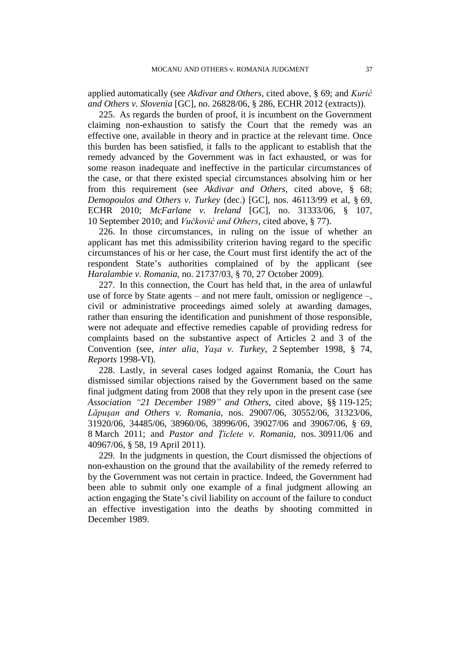applied automatically (see *Akdivar and Others*, cited above, § 69; and *Kurić and Others v. Slovenia* [GC], no. 26828/06, § 286, ECHR 2012 (extracts)).

225. As regards the burden of proof, it is incumbent on the Government claiming non-exhaustion to satisfy the Court that the remedy was an effective one, available in theory and in practice at the relevant time. Once this burden has been satisfied, it falls to the applicant to establish that the remedy advanced by the Government was in fact exhausted, or was for some reason inadequate and ineffective in the particular circumstances of the case, or that there existed special circumstances absolving him or her from this requirement (see *Akdivar and Others*, cited above, § 68; *Demopoulos and Others v. Turkey* (dec.) [GC], nos. 46113/99 et al, § 69, ECHR 2010; *McFarlane v. Ireland* [GC], no. 31333/06, § 107, 10 September 2010; and *Vučković and Others*, cited above, § 77).

226. In those circumstances, in ruling on the issue of whether an applicant has met this admissibility criterion having regard to the specific circumstances of his or her case, the Court must first identify the act of the respondent State's authorities complained of by the applicant (see *Haralambie v. Romania*, no. 21737/03, § 70, 27 October 2009).

227. In this connection, the Court has held that, in the area of unlawful use of force by State agents – and not mere fault, omission or negligence –, civil or administrative proceedings aimed solely at awarding damages, rather than ensuring the identification and punishment of those responsible, were not adequate and effective remedies capable of providing redress for complaints based on the substantive aspect of Articles 2 and 3 of the Convention (see, *inter alia*, *Yaşa v. Turkey*, 2 September 1998, § 74, *Reports* 1998-VI).

228. Lastly, in several cases lodged against Romania, the Court has dismissed similar objections raised by the Government based on the same final judgment dating from 2008 that they rely upon in the present case (see *Association "21 December 1989" and Others*, cited above, §§ 119-125; *Lăpuşan and Others v. Romania*, nos. 29007/06, 30552/06, 31323/06, 31920/06, 34485/06, 38960/06, 38996/06, 39027/06 and 39067/06, § 69, 8 March 2011; and *Pastor and Ţiclete v. Romania*, nos. 30911/06 and 40967/06, § 58, 19 April 2011).

229. In the judgments in question, the Court dismissed the objections of non-exhaustion on the ground that the availability of the remedy referred to by the Government was not certain in practice. Indeed, the Government had been able to submit only one example of a final judgment allowing an action engaging the State's civil liability on account of the failure to conduct an effective investigation into the deaths by shooting committed in December 1989.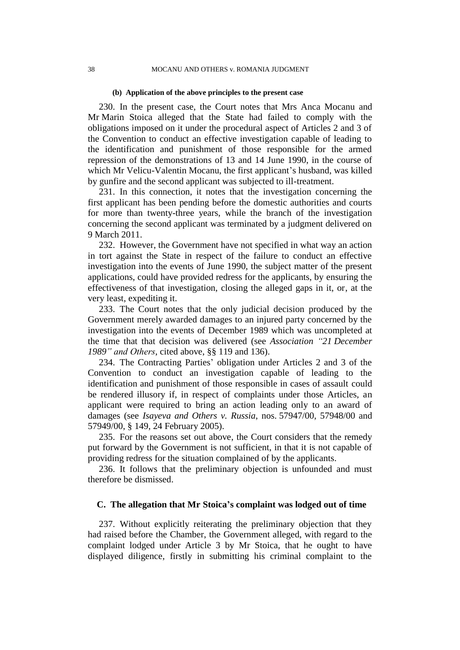#### **(b) Application of the above principles to the present case**

230. In the present case, the Court notes that Mrs Anca Mocanu and Mr Marin Stoica alleged that the State had failed to comply with the obligations imposed on it under the procedural aspect of Articles 2 and 3 of the Convention to conduct an effective investigation capable of leading to the identification and punishment of those responsible for the armed repression of the demonstrations of 13 and 14 June 1990, in the course of which Mr Velicu-Valentin Mocanu, the first applicant's husband, was killed by gunfire and the second applicant was subjected to ill-treatment.

231. In this connection, it notes that the investigation concerning the first applicant has been pending before the domestic authorities and courts for more than twenty-three years, while the branch of the investigation concerning the second applicant was terminated by a judgment delivered on 9 March 2011.

232. However, the Government have not specified in what way an action in tort against the State in respect of the failure to conduct an effective investigation into the events of June 1990, the subject matter of the present applications, could have provided redress for the applicants, by ensuring the effectiveness of that investigation, closing the alleged gaps in it, or, at the very least, expediting it.

233. The Court notes that the only judicial decision produced by the Government merely awarded damages to an injured party concerned by the investigation into the events of December 1989 which was uncompleted at the time that that decision was delivered (see *Association "21 December 1989" and Others*, cited above, §§ 119 and 136).

234. The Contracting Parties' obligation under Articles 2 and 3 of the Convention to conduct an investigation capable of leading to the identification and punishment of those responsible in cases of assault could be rendered illusory if, in respect of complaints under those Articles, an applicant were required to bring an action leading only to an award of damages (see *Isayeva and Others v. Russia*, nos. 57947/00, 57948/00 and 57949/00, § 149, 24 February 2005).

235. For the reasons set out above, the Court considers that the remedy put forward by the Government is not sufficient, in that it is not capable of providing redress for the situation complained of by the applicants.

236. It follows that the preliminary objection is unfounded and must therefore be dismissed.

## **C. The allegation that Mr Stoica's complaint was lodged out of time**

237. Without explicitly reiterating the preliminary objection that they had raised before the Chamber, the Government alleged, with regard to the complaint lodged under Article 3 by Mr Stoica, that he ought to have displayed diligence, firstly in submitting his criminal complaint to the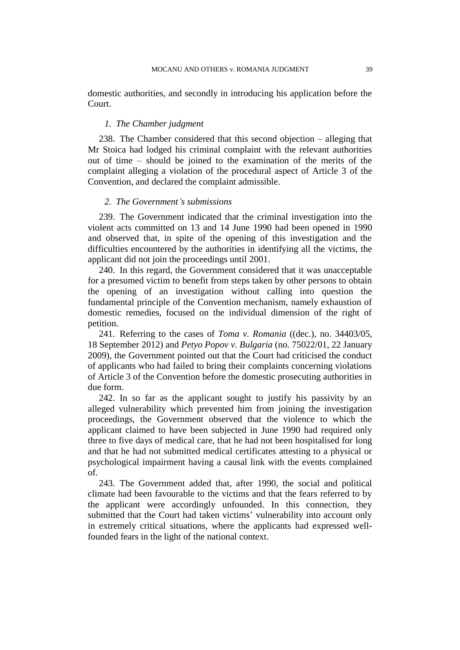domestic authorities, and secondly in introducing his application before the Court.

## *1. The Chamber judgment*

238. The Chamber considered that this second objection – alleging that Mr Stoica had lodged his criminal complaint with the relevant authorities out of time – should be joined to the examination of the merits of the complaint alleging a violation of the procedural aspect of Article 3 of the Convention, and declared the complaint admissible.

### *2. The Government's submissions*

239. The Government indicated that the criminal investigation into the violent acts committed on 13 and 14 June 1990 had been opened in 1990 and observed that, in spite of the opening of this investigation and the difficulties encountered by the authorities in identifying all the victims, the applicant did not join the proceedings until 2001.

240. In this regard, the Government considered that it was unacceptable for a presumed victim to benefit from steps taken by other persons to obtain the opening of an investigation without calling into question the fundamental principle of the Convention mechanism, namely exhaustion of domestic remedies, focused on the individual dimension of the right of petition.

241. Referring to the cases of *Toma v. Romania* ((dec.), no. 34403/05, 18 September 2012) and *Petyo Popov v. Bulgaria* (no. 75022/01, 22 January 2009), the Government pointed out that the Court had criticised the conduct of applicants who had failed to bring their complaints concerning violations of Article 3 of the Convention before the domestic prosecuting authorities in due form.

242. In so far as the applicant sought to justify his passivity by an alleged vulnerability which prevented him from joining the investigation proceedings, the Government observed that the violence to which the applicant claimed to have been subjected in June 1990 had required only three to five days of medical care, that he had not been hospitalised for long and that he had not submitted medical certificates attesting to a physical or psychological impairment having a causal link with the events complained of.

243. The Government added that, after 1990, the social and political climate had been favourable to the victims and that the fears referred to by the applicant were accordingly unfounded. In this connection, they submitted that the Court had taken victims' vulnerability into account only in extremely critical situations, where the applicants had expressed wellfounded fears in the light of the national context.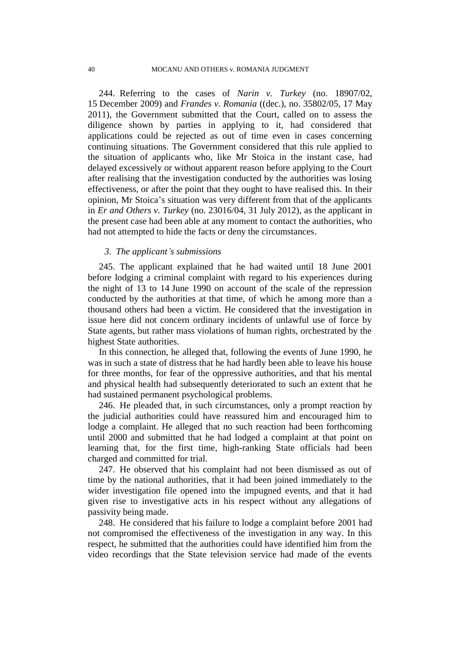244. Referring to the cases of *Narin v. Turkey* (no. 18907/02, 15 December 2009) and *Frandes v. Romania* ((dec.), no. 35802/05, 17 May 2011), the Government submitted that the Court, called on to assess the diligence shown by parties in applying to it, had considered that applications could be rejected as out of time even in cases concerning continuing situations. The Government considered that this rule applied to the situation of applicants who, like Mr Stoica in the instant case, had delayed excessively or without apparent reason before applying to the Court after realising that the investigation conducted by the authorities was losing effectiveness, or after the point that they ought to have realised this. In their opinion, Mr Stoica's situation was very different from that of the applicants in *Er and Others v. Turkey* (no. 23016/04, 31 July 2012), as the applicant in the present case had been able at any moment to contact the authorities, who had not attempted to hide the facts or deny the circumstances.

## *3. The applicant's submissions*

245. The applicant explained that he had waited until 18 June 2001 before lodging a criminal complaint with regard to his experiences during the night of 13 to 14 June 1990 on account of the scale of the repression conducted by the authorities at that time, of which he among more than a thousand others had been a victim. He considered that the investigation in issue here did not concern ordinary incidents of unlawful use of force by State agents, but rather mass violations of human rights, orchestrated by the highest State authorities.

In this connection, he alleged that, following the events of June 1990, he was in such a state of distress that he had hardly been able to leave his house for three months, for fear of the oppressive authorities, and that his mental and physical health had subsequently deteriorated to such an extent that he had sustained permanent psychological problems.

246. He pleaded that, in such circumstances, only a prompt reaction by the judicial authorities could have reassured him and encouraged him to lodge a complaint. He alleged that no such reaction had been forthcoming until 2000 and submitted that he had lodged a complaint at that point on learning that, for the first time, high-ranking State officials had been charged and committed for trial.

247. He observed that his complaint had not been dismissed as out of time by the national authorities, that it had been joined immediately to the wider investigation file opened into the impugned events, and that it had given rise to investigative acts in his respect without any allegations of passivity being made.

248. He considered that his failure to lodge a complaint before 2001 had not compromised the effectiveness of the investigation in any way. In this respect, he submitted that the authorities could have identified him from the video recordings that the State television service had made of the events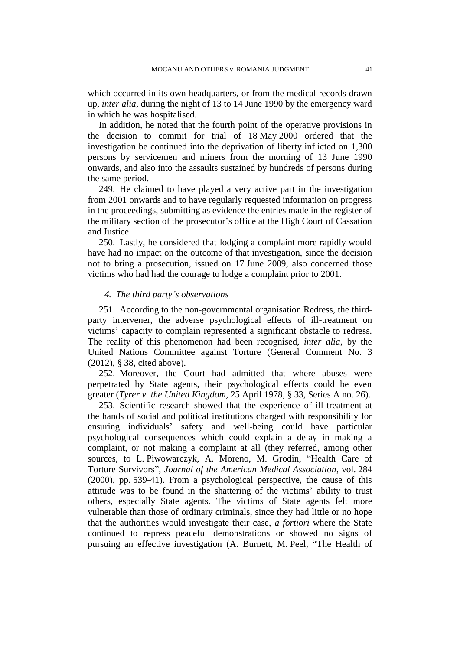which occurred in its own headquarters, or from the medical records drawn up, *inter alia*, during the night of 13 to 14 June 1990 by the emergency ward in which he was hospitalised.

In addition, he noted that the fourth point of the operative provisions in the decision to commit for trial of 18 May 2000 ordered that the investigation be continued into the deprivation of liberty inflicted on 1,300 persons by servicemen and miners from the morning of 13 June 1990 onwards, and also into the assaults sustained by hundreds of persons during the same period.

249. He claimed to have played a very active part in the investigation from 2001 onwards and to have regularly requested information on progress in the proceedings, submitting as evidence the entries made in the register of the military section of the prosecutor's office at the High Court of Cassation and Justice.

250. Lastly, he considered that lodging a complaint more rapidly would have had no impact on the outcome of that investigation, since the decision not to bring a prosecution, issued on 17 June 2009, also concerned those victims who had had the courage to lodge a complaint prior to 2001.

## *4. The third party's observations*

251. According to the non-governmental organisation Redress, the thirdparty intervener, the adverse psychological effects of ill-treatment on victims' capacity to complain represented a significant obstacle to redress. The reality of this phenomenon had been recognised, *inter alia*, by the United Nations Committee against Torture (General Comment No. 3 (2012), § 38, cited above).

252. Moreover, the Court had admitted that where abuses were perpetrated by State agents, their psychological effects could be even greater (*Tyrer v. the United Kingdom*, 25 April 1978, § 33, Series A no. 26).

253. Scientific research showed that the experience of ill-treatment at the hands of social and political institutions charged with responsibility for ensuring individuals' safety and well-being could have particular psychological consequences which could explain a delay in making a complaint, or not making a complaint at all (they referred, among other sources, to L. Piwowarczyk, A. Moreno, M. Grodin, "Health Care of Torture Survivors", *Journal of the American Medical Association*, vol. 284 (2000), pp. 539-41). From a psychological perspective, the cause of this attitude was to be found in the shattering of the victims' ability to trust others, especially State agents. The victims of State agents felt more vulnerable than those of ordinary criminals, since they had little or no hope that the authorities would investigate their case, *a fortiori* where the State continued to repress peaceful demonstrations or showed no signs of pursuing an effective investigation (A. Burnett, M. Peel, "The Health of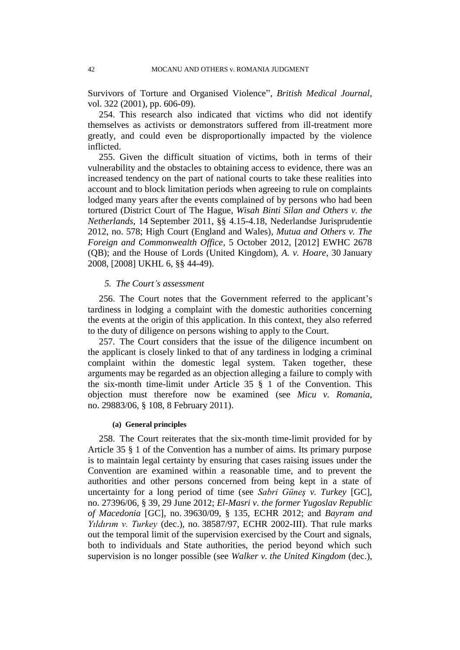Survivors of Torture and Organised Violence", *British Medical Journal*, vol. 322 (2001), pp. 606-09).

254. This research also indicated that victims who did not identify themselves as activists or demonstrators suffered from ill-treatment more greatly, and could even be disproportionally impacted by the violence inflicted.

255. Given the difficult situation of victims, both in terms of their vulnerability and the obstacles to obtaining access to evidence, there was an increased tendency on the part of national courts to take these realities into account and to block limitation periods when agreeing to rule on complaints lodged many years after the events complained of by persons who had been tortured (District Court of The Hague, *Wisah Binti Silan and Others v. the Netherlands*, 14 September 2011, §§ 4.15-4.18, Nederlandse Jurisprudentie 2012, no. 578; High Court (England and Wales), *Mutua and Others v. The Foreign and Commonwealth Office*, 5 October 2012, [2012] EWHC 2678 (QB); and the House of Lords (United Kingdom), *A. v. Hoare*, 30 January 2008, [2008] UKHL 6, §§ 44-49).

## *5. The Court's assessment*

256. The Court notes that the Government referred to the applicant's tardiness in lodging a complaint with the domestic authorities concerning the events at the origin of this application. In this context, they also referred to the duty of diligence on persons wishing to apply to the Court.

257. The Court considers that the issue of the diligence incumbent on the applicant is closely linked to that of any tardiness in lodging a criminal complaint within the domestic legal system. Taken together, these arguments may be regarded as an objection alleging a failure to comply with the six-month time-limit under Article 35 § 1 of the Convention. This objection must therefore now be examined (see *Micu v. Romania*, no. 29883/06, § 108, 8 February 2011).

#### **(a) General principles**

258. The Court reiterates that the six-month time-limit provided for by Article 35 § 1 of the Convention has a number of aims. Its primary purpose is to maintain legal certainty by ensuring that cases raising issues under the Convention are examined within a reasonable time, and to prevent the authorities and other persons concerned from being kept in a state of uncertainty for a long period of time (see *Sabri Güneş v. Turkey* [GC], no. 27396/06, § 39, 29 June 2012; *El-Masri v. the former Yugoslav Republic of Macedonia* [GC], no. 39630/09, § 135, ECHR 2012; and *Bayram and Yıldırım v. Turkey* (dec.), no. 38587/97, ECHR 2002-III). That rule marks out the temporal limit of the supervision exercised by the Court and signals, both to individuals and State authorities, the period beyond which such supervision is no longer possible (see *Walker v. the United Kingdom* (dec.),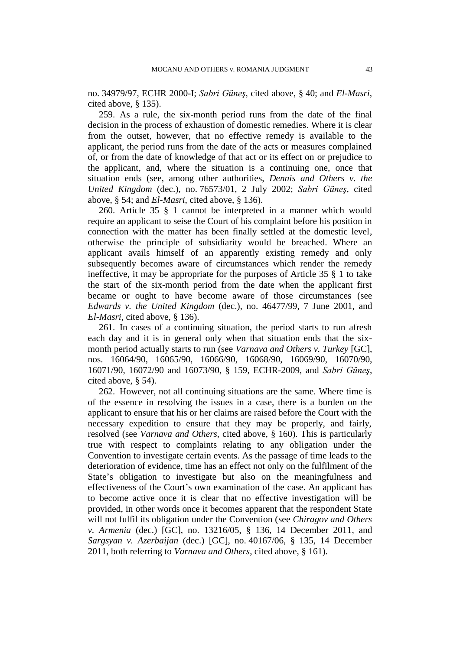no. 34979/97, ECHR 2000-I; *Sabri Güneş*, cited above, § 40; and *El-Masri*, cited above, § 135).

259. As a rule, the six-month period runs from the date of the final decision in the process of exhaustion of domestic remedies. Where it is clear from the outset, however, that no effective remedy is available to the applicant, the period runs from the date of the acts or measures complained of, or from the date of knowledge of that act or its effect on or prejudice to the applicant, and, where the situation is a continuing one, once that situation ends (see, among other authorities, *Dennis and Others v. the United Kingdom* (dec.), no. 76573/01, 2 July 2002; *Sabri Güneş*, cited above, § 54; and *El-Masri*, cited above, § 136).

260. Article 35 § 1 cannot be interpreted in a manner which would require an applicant to seise the Court of his complaint before his position in connection with the matter has been finally settled at the domestic level, otherwise the principle of subsidiarity would be breached. Where an applicant avails himself of an apparently existing remedy and only subsequently becomes aware of circumstances which render the remedy ineffective, it may be appropriate for the purposes of Article 35 § 1 to take the start of the six-month period from the date when the applicant first became or ought to have become aware of those circumstances (see *Edwards v. the United Kingdom* (dec.), no. 46477/99, 7 June 2001, and *El-Masri*, cited above, § 136).

261. In cases of a continuing situation, the period starts to run afresh each day and it is in general only when that situation ends that the sixmonth period actually starts to run (see *Varnava and Others v. Turkey* [GC], nos. 16064/90, 16065/90, 16066/90, 16068/90, 16069/90, 16070/90, 16071/90, 16072/90 and 16073/90, § 159, ECHR-2009, and *Sabri Güneş*, cited above, § 54).

262. However, not all continuing situations are the same. Where time is of the essence in resolving the issues in a case, there is a burden on the applicant to ensure that his or her claims are raised before the Court with the necessary expedition to ensure that they may be properly, and fairly, resolved (see *Varnava and Others*, cited above, § 160). This is particularly true with respect to complaints relating to any obligation under the Convention to investigate certain events. As the passage of time leads to the deterioration of evidence, time has an effect not only on the fulfilment of the State's obligation to investigate but also on the meaningfulness and effectiveness of the Court's own examination of the case. An applicant has to become active once it is clear that no effective investigation will be provided, in other words once it becomes apparent that the respondent State will not fulfil its obligation under the Convention (see *Chiragov and Others v. Armenia* (dec.) [GC], no. 13216/05, § 136, 14 December 2011, and *Sargsyan v. Azerbaijan* (dec.) [GC], no. 40167/06, § 135, 14 December 2011, both referring to *Varnava and Others*, cited above, § 161).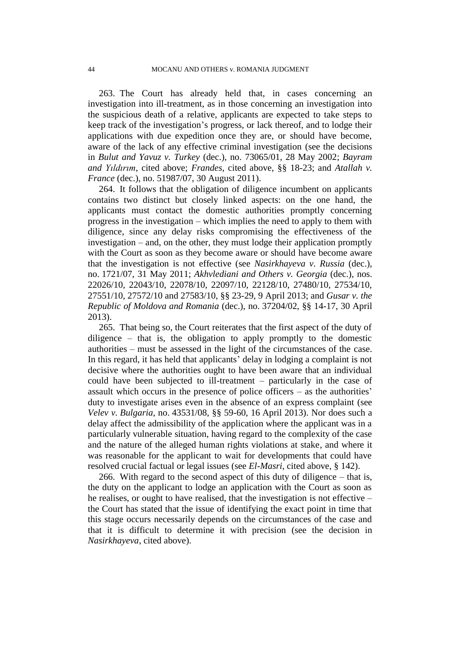263. The Court has already held that, in cases concerning an investigation into ill-treatment, as in those concerning an investigation into the suspicious death of a relative, applicants are expected to take steps to keep track of the investigation's progress, or lack thereof, and to lodge their applications with due expedition once they are, or should have become, aware of the lack of any effective criminal investigation (see the decisions in *Bulut and Yavuz v. Turkey* (dec.), no. 73065/01, 28 May 2002; *Bayram and Yıldırım*, cited above; *Frandes*, cited above, §§ 18-23; and *Atallah v. France* (dec.), no. 51987/07, 30 August 2011).

264. It follows that the obligation of diligence incumbent on applicants contains two distinct but closely linked aspects: on the one hand, the applicants must contact the domestic authorities promptly concerning progress in the investigation – which implies the need to apply to them with diligence, since any delay risks compromising the effectiveness of the investigation – and, on the other, they must lodge their application promptly with the Court as soon as they become aware or should have become aware that the investigation is not effective (see *Nasirkhayeva v. Russia* (dec.), no. 1721/07, 31 May 2011; *Akhvlediani and Others v. Georgia* (dec.), nos. 22026/10, 22043/10, 22078/10, 22097/10, 22128/10, 27480/10, 27534/10, 27551/10, 27572/10 and 27583/10, §§ 23-29, 9 April 2013; and *Gusar v. the Republic of Moldova and Romania* (dec.), no. 37204/02, §§ 14-17, 30 April 2013).

265. That being so, the Court reiterates that the first aspect of the duty of diligence – that is, the obligation to apply promptly to the domestic authorities – must be assessed in the light of the circumstances of the case. In this regard, it has held that applicants' delay in lodging a complaint is not decisive where the authorities ought to have been aware that an individual could have been subjected to ill-treatment – particularly in the case of assault which occurs in the presence of police officers – as the authorities' duty to investigate arises even in the absence of an express complaint (see *Velev v. Bulgaria*, no. 43531/08, §§ 59-60, 16 April 2013). Nor does such a delay affect the admissibility of the application where the applicant was in a particularly vulnerable situation, having regard to the complexity of the case and the nature of the alleged human rights violations at stake, and where it was reasonable for the applicant to wait for developments that could have resolved crucial factual or legal issues (see *El-Masri*, cited above, § 142).

266. With regard to the second aspect of this duty of diligence – that is, the duty on the applicant to lodge an application with the Court as soon as he realises, or ought to have realised, that the investigation is not effective – the Court has stated that the issue of identifying the exact point in time that this stage occurs necessarily depends on the circumstances of the case and that it is difficult to determine it with precision (see the decision in *Nasirkhayeva*, cited above).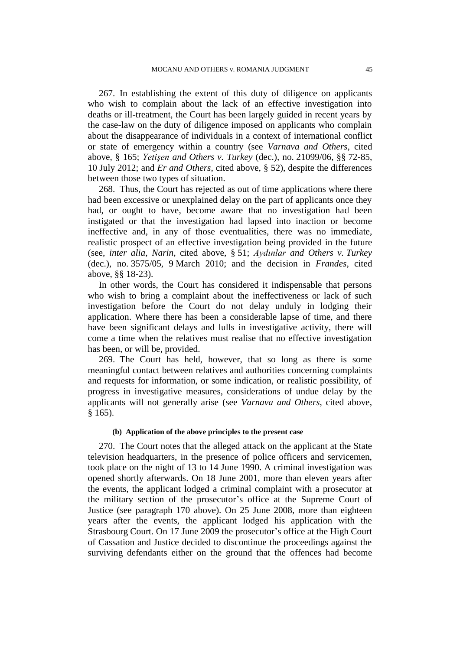267. In establishing the extent of this duty of diligence on applicants who wish to complain about the lack of an effective investigation into deaths or ill-treatment, the Court has been largely guided in recent years by the case-law on the duty of diligence imposed on applicants who complain about the disappearance of individuals in a context of international conflict or state of emergency within a country (see *Varnava and Others*, cited above, § 165; *Yetişen and Others v. Turkey* (dec.), no. 21099/06, §§ 72-85, 10 July 2012; and *Er and Others*, cited above, § 52), despite the differences between those two types of situation.

268. Thus, the Court has rejected as out of time applications where there had been excessive or unexplained delay on the part of applicants once they had, or ought to have, become aware that no investigation had been instigated or that the investigation had lapsed into inaction or become ineffective and, in any of those eventualities, there was no immediate, realistic prospect of an effective investigation being provided in the future (see, *inter alia*, *Narin*, cited above, § 51; *Aydınlar and Others v. Turkey* (dec.), no. 3575/05, 9 March 2010; and the decision in *Frandes*, cited above, §§ 18-23).

In other words, the Court has considered it indispensable that persons who wish to bring a complaint about the ineffectiveness or lack of such investigation before the Court do not delay unduly in lodging their application. Where there has been a considerable lapse of time, and there have been significant delays and lulls in investigative activity, there will come a time when the relatives must realise that no effective investigation has been, or will be, provided.

269. The Court has held, however, that so long as there is some meaningful contact between relatives and authorities concerning complaints and requests for information, or some indication, or realistic possibility, of progress in investigative measures, considerations of undue delay by the applicants will not generally arise (see *Varnava and Others*, cited above, § 165).

### **(b) Application of the above principles to the present case**

270. The Court notes that the alleged attack on the applicant at the State television headquarters, in the presence of police officers and servicemen, took place on the night of 13 to 14 June 1990. A criminal investigation was opened shortly afterwards. On 18 June 2001, more than eleven years after the events, the applicant lodged a criminal complaint with a prosecutor at the military section of the prosecutor's office at the Supreme Court of Justice (see paragraph 170 above). On 25 June 2008, more than eighteen years after the events, the applicant lodged his application with the Strasbourg Court. On 17 June 2009 the prosecutor's office at the High Court of Cassation and Justice decided to discontinue the proceedings against the surviving defendants either on the ground that the offences had become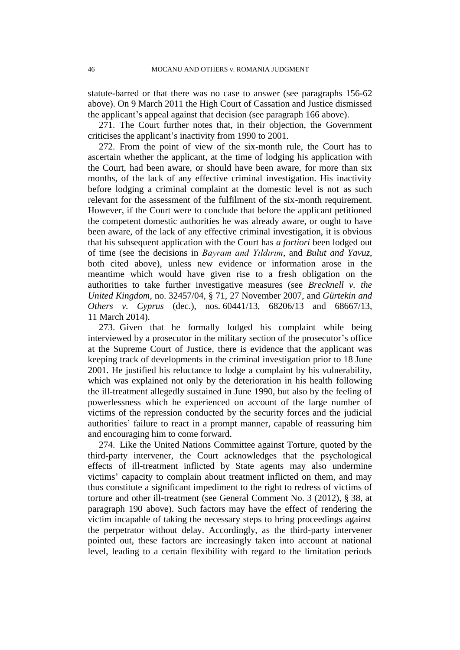statute-barred or that there was no case to answer (see paragraphs 156-62 above). On 9 March 2011 the High Court of Cassation and Justice dismissed the applicant's appeal against that decision (see paragraph 166 above).

271. The Court further notes that, in their objection, the Government criticises the applicant's inactivity from 1990 to 2001.

272. From the point of view of the six-month rule, the Court has to ascertain whether the applicant, at the time of lodging his application with the Court, had been aware, or should have been aware, for more than six months, of the lack of any effective criminal investigation. His inactivity before lodging a criminal complaint at the domestic level is not as such relevant for the assessment of the fulfilment of the six-month requirement. However, if the Court were to conclude that before the applicant petitioned the competent domestic authorities he was already aware, or ought to have been aware, of the lack of any effective criminal investigation, it is obvious that his subsequent application with the Court has *a fortiori* been lodged out of time (see the decisions in *Bayram and Yıldırım*, and *Bulut and Yavuz*, both cited above), unless new evidence or information arose in the meantime which would have given rise to a fresh obligation on the authorities to take further investigative measures (see *Brecknell v. the United Kingdom*, no. 32457/04, § 71, 27 November 2007, and *Gürtekin and Others v. Cyprus* (dec.), nos. 60441/13, 68206/13 and 68667/13, 11 March 2014).

273. Given that he formally lodged his complaint while being interviewed by a prosecutor in the military section of the prosecutor's office at the Supreme Court of Justice, there is evidence that the applicant was keeping track of developments in the criminal investigation prior to 18 June 2001. He justified his reluctance to lodge a complaint by his vulnerability, which was explained not only by the deterioration in his health following the ill-treatment allegedly sustained in June 1990, but also by the feeling of powerlessness which he experienced on account of the large number of victims of the repression conducted by the security forces and the judicial authorities' failure to react in a prompt manner, capable of reassuring him and encouraging him to come forward.

274. Like the United Nations Committee against Torture, quoted by the third-party intervener, the Court acknowledges that the psychological effects of ill-treatment inflicted by State agents may also undermine victims' capacity to complain about treatment inflicted on them, and may thus constitute a significant impediment to the right to redress of victims of torture and other ill-treatment (see General Comment No. 3 (2012), § 38, at paragraph 190 above). Such factors may have the effect of rendering the victim incapable of taking the necessary steps to bring proceedings against the perpetrator without delay. Accordingly, as the third-party intervener pointed out, these factors are increasingly taken into account at national level, leading to a certain flexibility with regard to the limitation periods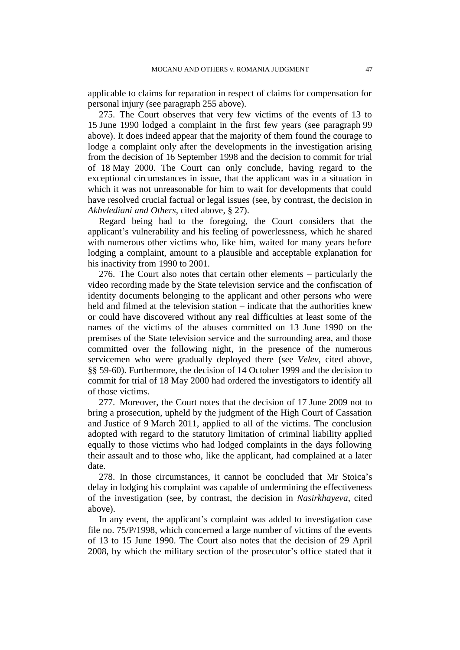applicable to claims for reparation in respect of claims for compensation for personal injury (see paragraph 255 above).

275. The Court observes that very few victims of the events of 13 to 15 June 1990 lodged a complaint in the first few years (see paragraph 99 above). It does indeed appear that the majority of them found the courage to lodge a complaint only after the developments in the investigation arising from the decision of 16 September 1998 and the decision to commit for trial of 18 May 2000. The Court can only conclude, having regard to the exceptional circumstances in issue, that the applicant was in a situation in which it was not unreasonable for him to wait for developments that could have resolved crucial factual or legal issues (see, by contrast, the decision in *Akhvlediani and Others*, cited above, § 27).

Regard being had to the foregoing, the Court considers that the applicant's vulnerability and his feeling of powerlessness, which he shared with numerous other victims who, like him, waited for many years before lodging a complaint, amount to a plausible and acceptable explanation for his inactivity from 1990 to 2001.

276. The Court also notes that certain other elements – particularly the video recording made by the State television service and the confiscation of identity documents belonging to the applicant and other persons who were held and filmed at the television station – indicate that the authorities knew or could have discovered without any real difficulties at least some of the names of the victims of the abuses committed on 13 June 1990 on the premises of the State television service and the surrounding area, and those committed over the following night, in the presence of the numerous servicemen who were gradually deployed there (see *Velev*, cited above, §§ 59-60). Furthermore, the decision of 14 October 1999 and the decision to commit for trial of 18 May 2000 had ordered the investigators to identify all of those victims.

277. Moreover, the Court notes that the decision of 17 June 2009 not to bring a prosecution, upheld by the judgment of the High Court of Cassation and Justice of 9 March 2011, applied to all of the victims. The conclusion adopted with regard to the statutory limitation of criminal liability applied equally to those victims who had lodged complaints in the days following their assault and to those who, like the applicant, had complained at a later date.

278. In those circumstances, it cannot be concluded that Mr Stoica's delay in lodging his complaint was capable of undermining the effectiveness of the investigation (see, by contrast, the decision in *Nasirkhayeva*, cited above).

In any event, the applicant's complaint was added to investigation case file no. 75/P/1998, which concerned a large number of victims of the events of 13 to 15 June 1990. The Court also notes that the decision of 29 April 2008, by which the military section of the prosecutor's office stated that it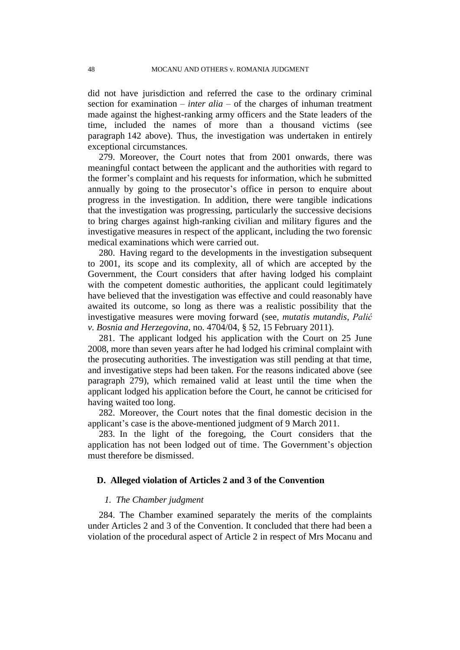did not have jurisdiction and referred the case to the ordinary criminal section for examination – *inter alia* – of the charges of inhuman treatment made against the highest-ranking army officers and the State leaders of the time, included the names of more than a thousand victims (see paragraph 142 above). Thus, the investigation was undertaken in entirely exceptional circumstances.

279. Moreover, the Court notes that from 2001 onwards, there was meaningful contact between the applicant and the authorities with regard to the former's complaint and his requests for information, which he submitted annually by going to the prosecutor's office in person to enquire about progress in the investigation. In addition, there were tangible indications that the investigation was progressing, particularly the successive decisions to bring charges against high-ranking civilian and military figures and the investigative measures in respect of the applicant, including the two forensic medical examinations which were carried out.

280. Having regard to the developments in the investigation subsequent to 2001, its scope and its complexity, all of which are accepted by the Government, the Court considers that after having lodged his complaint with the competent domestic authorities, the applicant could legitimately have believed that the investigation was effective and could reasonably have awaited its outcome, so long as there was a realistic possibility that the investigative measures were moving forward (see, *mutatis mutandis*, *Palić v. Bosnia and Herzegovina*, no. 4704/04, § 52, 15 February 2011).

281. The applicant lodged his application with the Court on 25 June 2008, more than seven years after he had lodged his criminal complaint with the prosecuting authorities. The investigation was still pending at that time, and investigative steps had been taken. For the reasons indicated above (see paragraph 279), which remained valid at least until the time when the applicant lodged his application before the Court, he cannot be criticised for having waited too long.

282. Moreover, the Court notes that the final domestic decision in the applicant's case is the above-mentioned judgment of 9 March 2011.

283. In the light of the foregoing, the Court considers that the application has not been lodged out of time. The Government's objection must therefore be dismissed.

#### **D. Alleged violation of Articles 2 and 3 of the Convention**

#### *1. The Chamber judgment*

284. The Chamber examined separately the merits of the complaints under Articles 2 and 3 of the Convention. It concluded that there had been a violation of the procedural aspect of Article 2 in respect of Mrs Mocanu and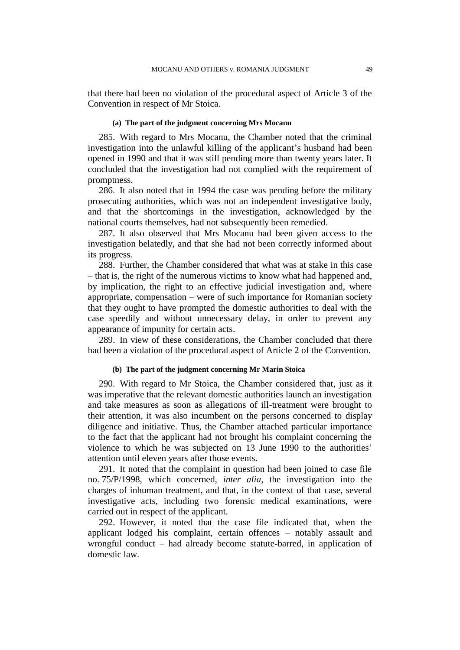that there had been no violation of the procedural aspect of Article 3 of the Convention in respect of Mr Stoica.

#### **(a) The part of the judgment concerning Mrs Mocanu**

285. With regard to Mrs Mocanu, the Chamber noted that the criminal investigation into the unlawful killing of the applicant's husband had been opened in 1990 and that it was still pending more than twenty years later. It concluded that the investigation had not complied with the requirement of promptness.

286. It also noted that in 1994 the case was pending before the military prosecuting authorities, which was not an independent investigative body, and that the shortcomings in the investigation, acknowledged by the national courts themselves, had not subsequently been remedied.

287. It also observed that Mrs Mocanu had been given access to the investigation belatedly, and that she had not been correctly informed about its progress.

288. Further, the Chamber considered that what was at stake in this case – that is, the right of the numerous victims to know what had happened and, by implication, the right to an effective judicial investigation and, where appropriate, compensation – were of such importance for Romanian society that they ought to have prompted the domestic authorities to deal with the case speedily and without unnecessary delay, in order to prevent any appearance of impunity for certain acts.

289. In view of these considerations, the Chamber concluded that there had been a violation of the procedural aspect of Article 2 of the Convention.

#### **(b) The part of the judgment concerning Mr Marin Stoica**

290. With regard to Mr Stoica, the Chamber considered that, just as it was imperative that the relevant domestic authorities launch an investigation and take measures as soon as allegations of ill-treatment were brought to their attention, it was also incumbent on the persons concerned to display diligence and initiative. Thus, the Chamber attached particular importance to the fact that the applicant had not brought his complaint concerning the violence to which he was subjected on 13 June 1990 to the authorities' attention until eleven years after those events.

291. It noted that the complaint in question had been joined to case file no. 75/P/1998, which concerned, *inter alia*, the investigation into the charges of inhuman treatment, and that, in the context of that case, several investigative acts, including two forensic medical examinations, were carried out in respect of the applicant.

292. However, it noted that the case file indicated that, when the applicant lodged his complaint, certain offences – notably assault and wrongful conduct – had already become statute-barred, in application of domestic law.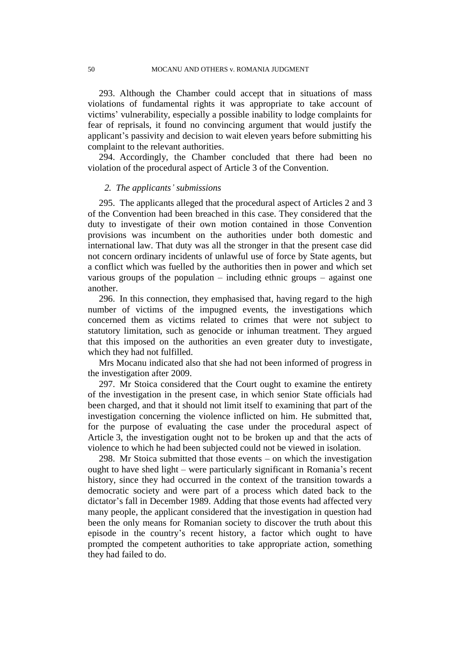293. Although the Chamber could accept that in situations of mass violations of fundamental rights it was appropriate to take account of victims' vulnerability, especially a possible inability to lodge complaints for fear of reprisals, it found no convincing argument that would justify the applicant's passivity and decision to wait eleven years before submitting his complaint to the relevant authorities.

294. Accordingly, the Chamber concluded that there had been no violation of the procedural aspect of Article 3 of the Convention.

#### *2. The applicants' submissions*

295. The applicants alleged that the procedural aspect of Articles 2 and 3 of the Convention had been breached in this case. They considered that the duty to investigate of their own motion contained in those Convention provisions was incumbent on the authorities under both domestic and international law. That duty was all the stronger in that the present case did not concern ordinary incidents of unlawful use of force by State agents, but a conflict which was fuelled by the authorities then in power and which set various groups of the population – including ethnic groups – against one another.

296. In this connection, they emphasised that, having regard to the high number of victims of the impugned events, the investigations which concerned them as victims related to crimes that were not subject to statutory limitation, such as genocide or inhuman treatment. They argued that this imposed on the authorities an even greater duty to investigate, which they had not fulfilled.

Mrs Mocanu indicated also that she had not been informed of progress in the investigation after 2009.

297. Mr Stoica considered that the Court ought to examine the entirety of the investigation in the present case, in which senior State officials had been charged, and that it should not limit itself to examining that part of the investigation concerning the violence inflicted on him. He submitted that, for the purpose of evaluating the case under the procedural aspect of Article 3, the investigation ought not to be broken up and that the acts of violence to which he had been subjected could not be viewed in isolation.

298. Mr Stoica submitted that those events – on which the investigation ought to have shed light – were particularly significant in Romania's recent history, since they had occurred in the context of the transition towards a democratic society and were part of a process which dated back to the dictator's fall in December 1989. Adding that those events had affected very many people, the applicant considered that the investigation in question had been the only means for Romanian society to discover the truth about this episode in the country's recent history, a factor which ought to have prompted the competent authorities to take appropriate action, something they had failed to do.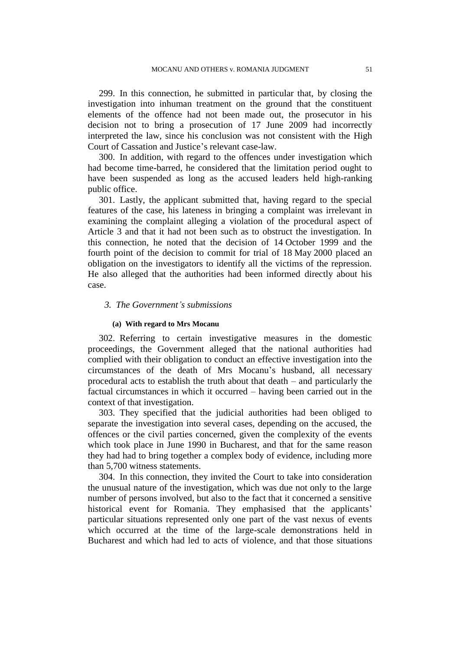299. In this connection, he submitted in particular that, by closing the investigation into inhuman treatment on the ground that the constituent elements of the offence had not been made out, the prosecutor in his decision not to bring a prosecution of 17 June 2009 had incorrectly interpreted the law, since his conclusion was not consistent with the High Court of Cassation and Justice's relevant case-law.

300. In addition, with regard to the offences under investigation which had become time-barred, he considered that the limitation period ought to have been suspended as long as the accused leaders held high-ranking public office.

301. Lastly, the applicant submitted that, having regard to the special features of the case, his lateness in bringing a complaint was irrelevant in examining the complaint alleging a violation of the procedural aspect of Article 3 and that it had not been such as to obstruct the investigation. In this connection, he noted that the decision of 14 October 1999 and the fourth point of the decision to commit for trial of 18 May 2000 placed an obligation on the investigators to identify all the victims of the repression. He also alleged that the authorities had been informed directly about his case.

### *3. The Government's submissions*

#### **(a) With regard to Mrs Mocanu**

302. Referring to certain investigative measures in the domestic proceedings, the Government alleged that the national authorities had complied with their obligation to conduct an effective investigation into the circumstances of the death of Mrs Mocanu's husband, all necessary procedural acts to establish the truth about that death – and particularly the factual circumstances in which it occurred – having been carried out in the context of that investigation.

303. They specified that the judicial authorities had been obliged to separate the investigation into several cases, depending on the accused, the offences or the civil parties concerned, given the complexity of the events which took place in June 1990 in Bucharest, and that for the same reason they had had to bring together a complex body of evidence, including more than 5,700 witness statements.

304. In this connection, they invited the Court to take into consideration the unusual nature of the investigation, which was due not only to the large number of persons involved, but also to the fact that it concerned a sensitive historical event for Romania. They emphasised that the applicants' particular situations represented only one part of the vast nexus of events which occurred at the time of the large-scale demonstrations held in Bucharest and which had led to acts of violence, and that those situations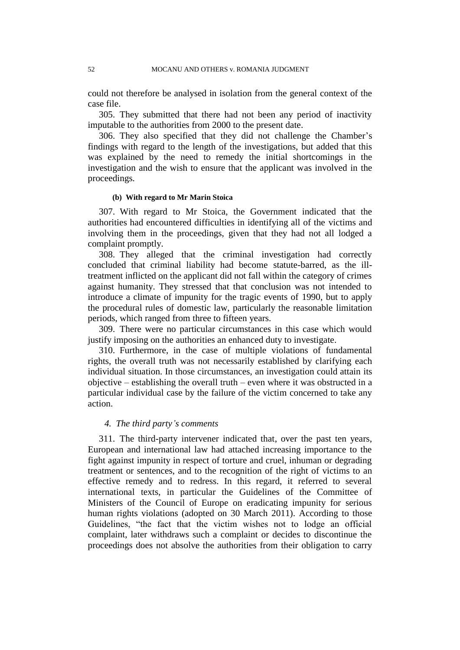could not therefore be analysed in isolation from the general context of the case file.

305. They submitted that there had not been any period of inactivity imputable to the authorities from 2000 to the present date.

306. They also specified that they did not challenge the Chamber's findings with regard to the length of the investigations, but added that this was explained by the need to remedy the initial shortcomings in the investigation and the wish to ensure that the applicant was involved in the proceedings.

## **(b) With regard to Mr Marin Stoica**

307. With regard to Mr Stoica, the Government indicated that the authorities had encountered difficulties in identifying all of the victims and involving them in the proceedings, given that they had not all lodged a complaint promptly.

308. They alleged that the criminal investigation had correctly concluded that criminal liability had become statute-barred, as the illtreatment inflicted on the applicant did not fall within the category of crimes against humanity. They stressed that that conclusion was not intended to introduce a climate of impunity for the tragic events of 1990, but to apply the procedural rules of domestic law, particularly the reasonable limitation periods, which ranged from three to fifteen years.

309. There were no particular circumstances in this case which would justify imposing on the authorities an enhanced duty to investigate.

310. Furthermore, in the case of multiple violations of fundamental rights, the overall truth was not necessarily established by clarifying each individual situation. In those circumstances, an investigation could attain its objective – establishing the overall truth – even where it was obstructed in a particular individual case by the failure of the victim concerned to take any action.

## *4. The third party's comments*

311. The third-party intervener indicated that, over the past ten years, European and international law had attached increasing importance to the fight against impunity in respect of torture and cruel, inhuman or degrading treatment or sentences, and to the recognition of the right of victims to an effective remedy and to redress. In this regard, it referred to several international texts, in particular the Guidelines of the Committee of Ministers of the Council of Europe on eradicating impunity for serious human rights violations (adopted on 30 March 2011). According to those Guidelines, "the fact that the victim wishes not to lodge an official complaint, later withdraws such a complaint or decides to discontinue the proceedings does not absolve the authorities from their obligation to carry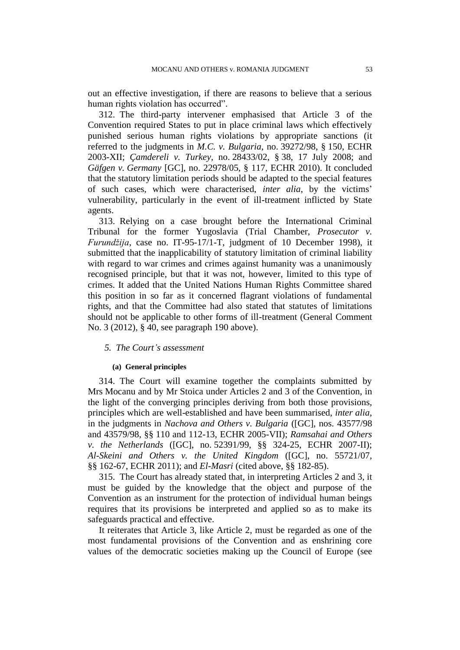out an effective investigation, if there are reasons to believe that a serious human rights violation has occurred".

312. The third-party intervener emphasised that Article 3 of the Convention required States to put in place criminal laws which effectively punished serious human rights violations by appropriate sanctions (it referred to the judgments in *M.C. v. Bulgaria*, no. 39272/98, § 150, ECHR 2003-XII; *Çamdereli v. Turkey*, no. 28433/02, § 38, 17 July 2008; and *Gäfgen v. Germany* [GC], no. 22978/05, § 117, ECHR 2010). It concluded that the statutory limitation periods should be adapted to the special features of such cases, which were characterised, *inter alia*, by the victims' vulnerability, particularly in the event of ill-treatment inflicted by State agents.

313. Relying on a case brought before the International Criminal Tribunal for the former Yugoslavia (Trial Chamber, *Prosecutor v. Furundžija*, case no. IT-95-17/1-T, judgment of 10 December 1998), it submitted that the inapplicability of statutory limitation of criminal liability with regard to war crimes and crimes against humanity was a unanimously recognised principle, but that it was not, however, limited to this type of crimes. It added that the United Nations Human Rights Committee shared this position in so far as it concerned flagrant violations of fundamental rights, and that the Committee had also stated that statutes of limitations should not be applicable to other forms of ill-treatment (General Comment No. 3 (2012), § 40, see paragraph 190 above).

## *5. The Court's assessment*

#### **(a) General principles**

314. The Court will examine together the complaints submitted by Mrs Mocanu and by Mr Stoica under Articles 2 and 3 of the Convention, in the light of the converging principles deriving from both those provisions, principles which are well-established and have been summarised, *inter alia*, in the judgments in *Nachova and Others v. Bulgaria* ([GC], nos. 43577/98 and 43579/98, §§ 110 and 112-13, ECHR 2005-VII); *Ramsahai and Others v. the Netherlands* ([GC], no. 52391/99, §§ 324-25, ECHR 2007-II); *Al-Skeini and Others v. the United Kingdom* ([GC], no. 55721/07, §§ 162-67, ECHR 2011); and *El-Masri* (cited above, §§ 182-85).

315. The Court has already stated that, in interpreting Articles 2 and 3, it must be guided by the knowledge that the object and purpose of the Convention as an instrument for the protection of individual human beings requires that its provisions be interpreted and applied so as to make its safeguards practical and effective.

It reiterates that Article 3, like Article 2, must be regarded as one of the most fundamental provisions of the Convention and as enshrining core values of the democratic societies making up the Council of Europe (see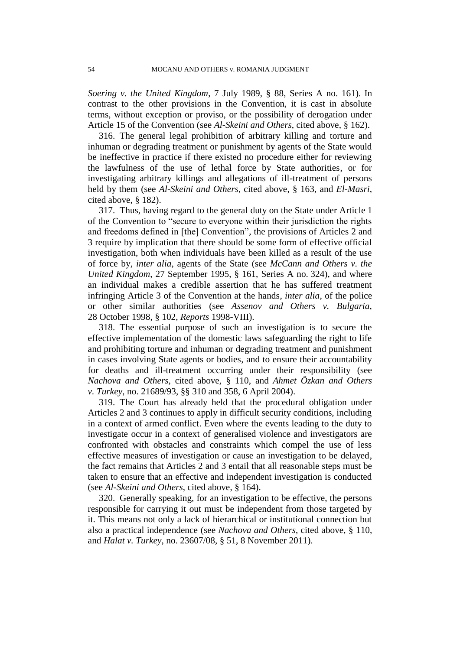*Soering v. the United Kingdom*, 7 July 1989, § 88, Series A no. 161). In contrast to the other provisions in the Convention, it is cast in absolute terms, without exception or proviso, or the possibility of derogation under Article 15 of the Convention (see *Al-Skeini and Others*, cited above, § 162).

316. The general legal prohibition of arbitrary killing and torture and inhuman or degrading treatment or punishment by agents of the State would be ineffective in practice if there existed no procedure either for reviewing the lawfulness of the use of lethal force by State authorities, or for investigating arbitrary killings and allegations of ill-treatment of persons held by them (see *Al-Skeini and Others*, cited above, § 163, and *El-Masri*, cited above, § 182).

317. Thus, having regard to the general duty on the State under Article 1 of the Convention to "secure to everyone within their jurisdiction the rights and freedoms defined in [the] Convention", the provisions of Articles 2 and 3 require by implication that there should be some form of effective official investigation, both when individuals have been killed as a result of the use of force by, *inter alia*, agents of the State (see *McCann and Others v. the United Kingdom*, 27 September 1995, § 161, Series A no. 324), and where an individual makes a credible assertion that he has suffered treatment infringing Article 3 of the Convention at the hands, *inter alia*, of the police or other similar authorities (see *Assenov and Others v. Bulgaria*, 28 October 1998, § 102, *Reports* 1998-VIII).

318. The essential purpose of such an investigation is to secure the effective implementation of the domestic laws safeguarding the right to life and prohibiting torture and inhuman or degrading treatment and punishment in cases involving State agents or bodies, and to ensure their accountability for deaths and ill-treatment occurring under their responsibility (see *Nachova and Others*, cited above, § 110, and *Ahmet Özkan and Others v. Turkey*, no. 21689/93, §§ 310 and 358, 6 April 2004).

319. The Court has already held that the procedural obligation under Articles 2 and 3 continues to apply in difficult security conditions, including in a context of armed conflict. Even where the events leading to the duty to investigate occur in a context of generalised violence and investigators are confronted with obstacles and constraints which compel the use of less effective measures of investigation or cause an investigation to be delayed, the fact remains that Articles 2 and 3 entail that all reasonable steps must be taken to ensure that an effective and independent investigation is conducted (see *Al-Skeini and Others*, cited above, § 164).

320. Generally speaking, for an investigation to be effective, the persons responsible for carrying it out must be independent from those targeted by it. This means not only a lack of hierarchical or institutional connection but also a practical independence (see *Nachova and Others*, cited above, § 110, and *Halat v. Turkey*, no. 23607/08, § 51, 8 November 2011).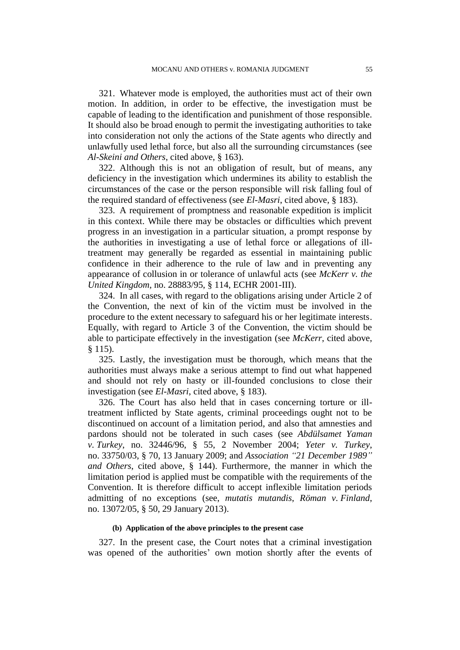321. Whatever mode is employed, the authorities must act of their own motion. In addition, in order to be effective, the investigation must be capable of leading to the identification and punishment of those responsible. It should also be broad enough to permit the investigating authorities to take into consideration not only the actions of the State agents who directly and unlawfully used lethal force, but also all the surrounding circumstances (see *Al-Skeini and Others*, cited above, § 163).

322. Although this is not an obligation of result, but of means, any deficiency in the investigation which undermines its ability to establish the circumstances of the case or the person responsible will risk falling foul of the required standard of effectiveness (see *El-Masri*, cited above, § 183).

323. A requirement of promptness and reasonable expedition is implicit in this context. While there may be obstacles or difficulties which prevent progress in an investigation in a particular situation, a prompt response by the authorities in investigating a use of lethal force or allegations of illtreatment may generally be regarded as essential in maintaining public confidence in their adherence to the rule of law and in preventing any appearance of collusion in or tolerance of unlawful acts (see *McKerr v. the United Kingdom*, no. 28883/95, § 114, ECHR 2001-III).

324. In all cases, with regard to the obligations arising under Article 2 of the Convention, the next of kin of the victim must be involved in the procedure to the extent necessary to safeguard his or her legitimate interests. Equally, with regard to Article 3 of the Convention, the victim should be able to participate effectively in the investigation (see *McKerr*, cited above, § 115).

325. Lastly, the investigation must be thorough, which means that the authorities must always make a serious attempt to find out what happened and should not rely on hasty or ill-founded conclusions to close their investigation (see *El-Masri*, cited above, § 183).

326. The Court has also held that in cases concerning torture or illtreatment inflicted by State agents, criminal proceedings ought not to be discontinued on account of a limitation period, and also that amnesties and pardons should not be tolerated in such cases (see *Abdülsamet Yaman v. Turkey*, no. 32446/96, § 55, 2 November 2004; *Yeter v. Turkey*, no. 33750/03, § 70, 13 January 2009; and *Association "21 December 1989" and Others*, cited above, § 144). Furthermore, the manner in which the limitation period is applied must be compatible with the requirements of the Convention. It is therefore difficult to accept inflexible limitation periods admitting of no exceptions (see, *mutatis mutandis*, *Röman v. Finland*, no. 13072/05, § 50, 29 January 2013).

#### **(b) Application of the above principles to the present case**

327. In the present case, the Court notes that a criminal investigation was opened of the authorities' own motion shortly after the events of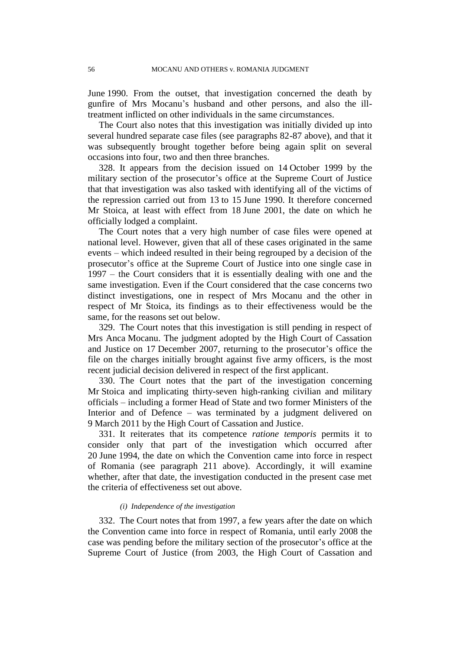June 1990. From the outset, that investigation concerned the death by gunfire of Mrs Mocanu's husband and other persons, and also the illtreatment inflicted on other individuals in the same circumstances.

The Court also notes that this investigation was initially divided up into several hundred separate case files (see paragraphs 82-87 above), and that it was subsequently brought together before being again split on several occasions into four, two and then three branches.

328. It appears from the decision issued on 14 October 1999 by the military section of the prosecutor's office at the Supreme Court of Justice that that investigation was also tasked with identifying all of the victims of the repression carried out from 13 to 15 June 1990. It therefore concerned Mr Stoica, at least with effect from 18 June 2001, the date on which he officially lodged a complaint.

The Court notes that a very high number of case files were opened at national level. However, given that all of these cases originated in the same events – which indeed resulted in their being regrouped by a decision of the prosecutor's office at the Supreme Court of Justice into one single case in 1997 – the Court considers that it is essentially dealing with one and the same investigation. Even if the Court considered that the case concerns two distinct investigations, one in respect of Mrs Mocanu and the other in respect of Mr Stoica, its findings as to their effectiveness would be the same, for the reasons set out below.

329. The Court notes that this investigation is still pending in respect of Mrs Anca Mocanu. The judgment adopted by the High Court of Cassation and Justice on 17 December 2007, returning to the prosecutor's office the file on the charges initially brought against five army officers, is the most recent judicial decision delivered in respect of the first applicant.

330. The Court notes that the part of the investigation concerning Mr Stoica and implicating thirty-seven high-ranking civilian and military officials – including a former Head of State and two former Ministers of the Interior and of Defence – was terminated by a judgment delivered on 9 March 2011 by the High Court of Cassation and Justice.

331. It reiterates that its competence *ratione temporis* permits it to consider only that part of the investigation which occurred after 20 June 1994, the date on which the Convention came into force in respect of Romania (see paragraph 211 above). Accordingly, it will examine whether, after that date, the investigation conducted in the present case met the criteria of effectiveness set out above.

#### *(i) Independence of the investigation*

332. The Court notes that from 1997, a few years after the date on which the Convention came into force in respect of Romania, until early 2008 the case was pending before the military section of the prosecutor's office at the Supreme Court of Justice (from 2003, the High Court of Cassation and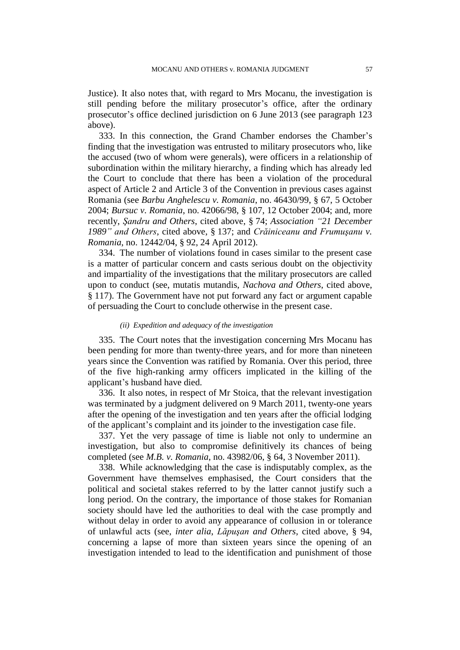Justice). It also notes that, with regard to Mrs Mocanu, the investigation is still pending before the military prosecutor's office, after the ordinary prosecutor's office declined jurisdiction on 6 June 2013 (see paragraph 123 above).

333. In this connection, the Grand Chamber endorses the Chamber's finding that the investigation was entrusted to military prosecutors who, like the accused (two of whom were generals), were officers in a relationship of subordination within the military hierarchy, a finding which has already led the Court to conclude that there has been a violation of the procedural aspect of Article 2 and Article 3 of the Convention in previous cases against Romania (see *Barbu Anghelescu v. Romania*, no. 46430/99, § 67, 5 October 2004; *Bursuc v. Romania*, no. 42066/98, § 107, 12 October 2004; and, more recently, *Şandru and Others*, cited above, § 74; *Association "21 December 1989" and Others*, cited above, § 137; and *Crăiniceanu and Frumuşanu v. Romania*, no. 12442/04, § 92, 24 April 2012).

334. The number of violations found in cases similar to the present case is a matter of particular concern and casts serious doubt on the objectivity and impartiality of the investigations that the military prosecutors are called upon to conduct (see, mutatis mutandis, *Nachova and Others*, cited above, § 117). The Government have not put forward any fact or argument capable of persuading the Court to conclude otherwise in the present case.

#### *(ii) Expedition and adequacy of the investigation*

335. The Court notes that the investigation concerning Mrs Mocanu has been pending for more than twenty-three years, and for more than nineteen years since the Convention was ratified by Romania. Over this period, three of the five high-ranking army officers implicated in the killing of the applicant's husband have died.

336. It also notes, in respect of Mr Stoica, that the relevant investigation was terminated by a judgment delivered on 9 March 2011, twenty-one years after the opening of the investigation and ten years after the official lodging of the applicant's complaint and its joinder to the investigation case file.

337. Yet the very passage of time is liable not only to undermine an investigation, but also to compromise definitively its chances of being completed (see *M.B. v. Romania*, no. 43982/06, § 64, 3 November 2011).

338. While acknowledging that the case is indisputably complex, as the Government have themselves emphasised, the Court considers that the political and societal stakes referred to by the latter cannot justify such a long period. On the contrary, the importance of those stakes for Romanian society should have led the authorities to deal with the case promptly and without delay in order to avoid any appearance of collusion in or tolerance of unlawful acts (see, *inter alia*, *Lăpuşan and Others*, cited above, § 94, concerning a lapse of more than sixteen years since the opening of an investigation intended to lead to the identification and punishment of those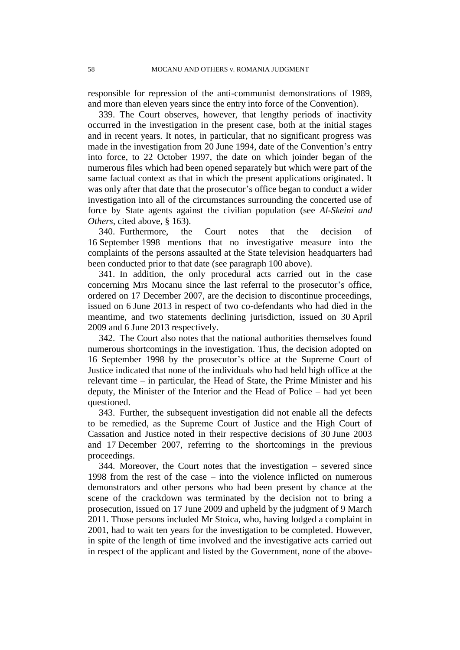responsible for repression of the anti-communist demonstrations of 1989, and more than eleven years since the entry into force of the Convention).

339. The Court observes, however, that lengthy periods of inactivity occurred in the investigation in the present case, both at the initial stages and in recent years. It notes, in particular, that no significant progress was made in the investigation from 20 June 1994, date of the Convention's entry into force, to 22 October 1997, the date on which joinder began of the numerous files which had been opened separately but which were part of the same factual context as that in which the present applications originated. It was only after that date that the prosecutor's office began to conduct a wider investigation into all of the circumstances surrounding the concerted use of force by State agents against the civilian population (see *Al-Skeini and Others*, cited above, § 163).

340. Furthermore, the Court notes that the decision of 16 September 1998 mentions that no investigative measure into the complaints of the persons assaulted at the State television headquarters had been conducted prior to that date (see paragraph 100 above).

341. In addition, the only procedural acts carried out in the case concerning Mrs Mocanu since the last referral to the prosecutor's office, ordered on 17 December 2007, are the decision to discontinue proceedings, issued on 6 June 2013 in respect of two co-defendants who had died in the meantime, and two statements declining jurisdiction, issued on 30 April 2009 and 6 June 2013 respectively.

342. The Court also notes that the national authorities themselves found numerous shortcomings in the investigation. Thus, the decision adopted on 16 September 1998 by the prosecutor's office at the Supreme Court of Justice indicated that none of the individuals who had held high office at the relevant time – in particular, the Head of State, the Prime Minister and his deputy, the Minister of the Interior and the Head of Police – had yet been questioned.

343. Further, the subsequent investigation did not enable all the defects to be remedied, as the Supreme Court of Justice and the High Court of Cassation and Justice noted in their respective decisions of 30 June 2003 and 17 December 2007, referring to the shortcomings in the previous proceedings.

344. Moreover, the Court notes that the investigation – severed since 1998 from the rest of the case – into the violence inflicted on numerous demonstrators and other persons who had been present by chance at the scene of the crackdown was terminated by the decision not to bring a prosecution, issued on 17 June 2009 and upheld by the judgment of 9 March 2011. Those persons included Mr Stoica, who, having lodged a complaint in 2001, had to wait ten years for the investigation to be completed. However, in spite of the length of time involved and the investigative acts carried out in respect of the applicant and listed by the Government, none of the above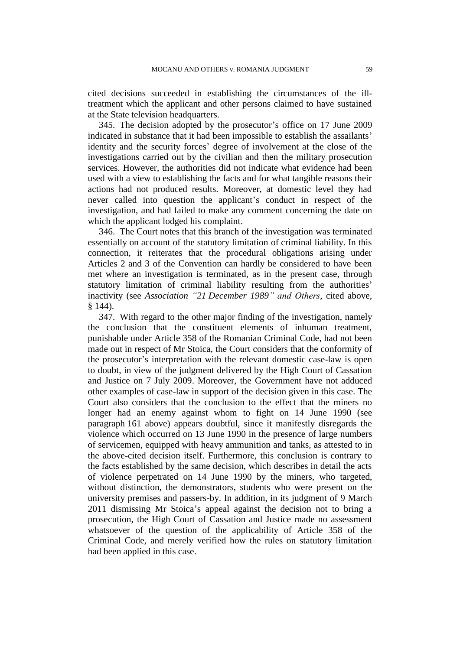cited decisions succeeded in establishing the circumstances of the illtreatment which the applicant and other persons claimed to have sustained at the State television headquarters.

345. The decision adopted by the prosecutor's office on 17 June 2009 indicated in substance that it had been impossible to establish the assailants' identity and the security forces' degree of involvement at the close of the investigations carried out by the civilian and then the military prosecution services. However, the authorities did not indicate what evidence had been used with a view to establishing the facts and for what tangible reasons their actions had not produced results. Moreover, at domestic level they had never called into question the applicant's conduct in respect of the investigation, and had failed to make any comment concerning the date on which the applicant lodged his complaint.

346. The Court notes that this branch of the investigation was terminated essentially on account of the statutory limitation of criminal liability. In this connection, it reiterates that the procedural obligations arising under Articles 2 and 3 of the Convention can hardly be considered to have been met where an investigation is terminated, as in the present case, through statutory limitation of criminal liability resulting from the authorities' inactivity (see *Association "21 December 1989" and Others*, cited above, § 144).

347. With regard to the other major finding of the investigation, namely the conclusion that the constituent elements of inhuman treatment, punishable under Article 358 of the Romanian Criminal Code, had not been made out in respect of Mr Stoica, the Court considers that the conformity of the prosecutor's interpretation with the relevant domestic case-law is open to doubt, in view of the judgment delivered by the High Court of Cassation and Justice on 7 July 2009. Moreover, the Government have not adduced other examples of case-law in support of the decision given in this case. The Court also considers that the conclusion to the effect that the miners no longer had an enemy against whom to fight on 14 June 1990 (see paragraph 161 above) appears doubtful, since it manifestly disregards the violence which occurred on 13 June 1990 in the presence of large numbers of servicemen, equipped with heavy ammunition and tanks, as attested to in the above-cited decision itself. Furthermore, this conclusion is contrary to the facts established by the same decision, which describes in detail the acts of violence perpetrated on 14 June 1990 by the miners, who targeted, without distinction, the demonstrators, students who were present on the university premises and passers-by. In addition, in its judgment of 9 March 2011 dismissing Mr Stoica's appeal against the decision not to bring a prosecution, the High Court of Cassation and Justice made no assessment whatsoever of the question of the applicability of Article 358 of the Criminal Code, and merely verified how the rules on statutory limitation had been applied in this case.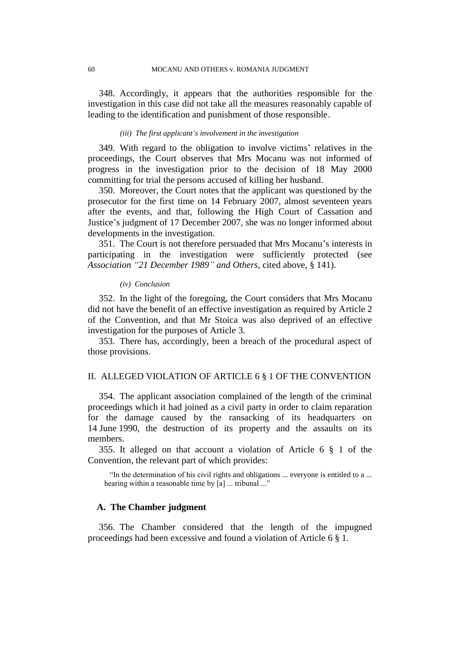348. Accordingly, it appears that the authorities responsible for the investigation in this case did not take all the measures reasonably capable of leading to the identification and punishment of those responsible.

### *(iii) The first applicant's involvement in the investigation*

349. With regard to the obligation to involve victims' relatives in the proceedings, the Court observes that Mrs Mocanu was not informed of progress in the investigation prior to the decision of 18 May 2000 committing for trial the persons accused of killing her husband.

350. Moreover, the Court notes that the applicant was questioned by the prosecutor for the first time on 14 February 2007, almost seventeen years after the events, and that, following the High Court of Cassation and Justice's judgment of 17 December 2007, she was no longer informed about developments in the investigation.

351. The Court is not therefore persuaded that Mrs Mocanu's interests in participating in the investigation were sufficiently protected (see *Association "21 December 1989" and Others*, cited above, § 141).

#### *(iv) Conclusion*

352. In the light of the foregoing, the Court considers that Mrs Mocanu did not have the benefit of an effective investigation as required by Article 2 of the Convention, and that Mr Stoica was also deprived of an effective investigation for the purposes of Article 3.

353. There has, accordingly, been a breach of the procedural aspect of those provisions.

## II. ALLEGED VIOLATION OF ARTICLE 6 § 1 OF THE CONVENTION

354. The applicant association complained of the length of the criminal proceedings which it had joined as a civil party in order to claim reparation for the damage caused by the ransacking of its headquarters on 14 June 1990, the destruction of its property and the assaults on its members.

355. It alleged on that account a violation of Article 6 § 1 of the Convention, the relevant part of which provides:

"In the determination of his civil rights and obligations ... everyone is entitled to a ... hearing within a reasonable time by [a] ... tribunal ..."

## **A. The Chamber judgment**

356. The Chamber considered that the length of the impugned proceedings had been excessive and found a violation of Article 6 § 1.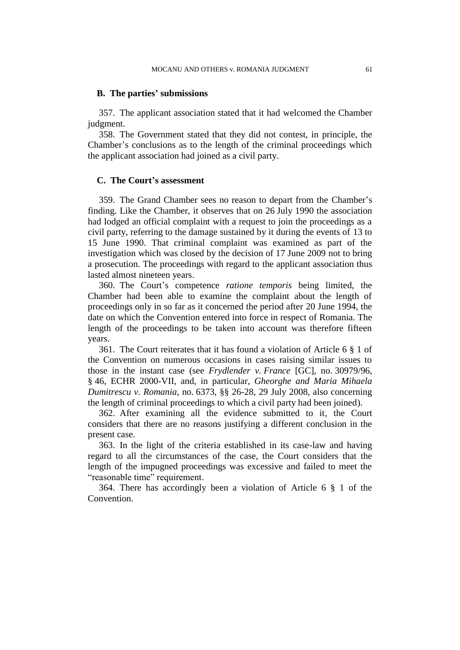### **B. The parties' submissions**

357. The applicant association stated that it had welcomed the Chamber judgment.

358. The Government stated that they did not contest, in principle, the Chamber's conclusions as to the length of the criminal proceedings which the applicant association had joined as a civil party.

#### **C. The Court's assessment**

359. The Grand Chamber sees no reason to depart from the Chamber's finding. Like the Chamber, it observes that on 26 July 1990 the association had lodged an official complaint with a request to join the proceedings as a civil party, referring to the damage sustained by it during the events of 13 to 15 June 1990. That criminal complaint was examined as part of the investigation which was closed by the decision of 17 June 2009 not to bring a prosecution. The proceedings with regard to the applicant association thus lasted almost nineteen years.

360. The Court's competence *ratione temporis* being limited, the Chamber had been able to examine the complaint about the length of proceedings only in so far as it concerned the period after 20 June 1994, the date on which the Convention entered into force in respect of Romania. The length of the proceedings to be taken into account was therefore fifteen years.

361. The Court reiterates that it has found a violation of Article 6 § 1 of the Convention on numerous occasions in cases raising similar issues to those in the instant case (see *Frydlender v. France* [GC], no. 30979/96, § 46, ECHR 2000-VII, and, in particular, *Gheorghe and Maria Mihaela Dumitrescu v. Romania*, no. 6373, §§ 26-28, 29 July 2008, also concerning the length of criminal proceedings to which a civil party had been joined).

362. After examining all the evidence submitted to it, the Court considers that there are no reasons justifying a different conclusion in the present case.

363. In the light of the criteria established in its case-law and having regard to all the circumstances of the case, the Court considers that the length of the impugned proceedings was excessive and failed to meet the "reasonable time" requirement.

364. There has accordingly been a violation of Article 6 § 1 of the Convention.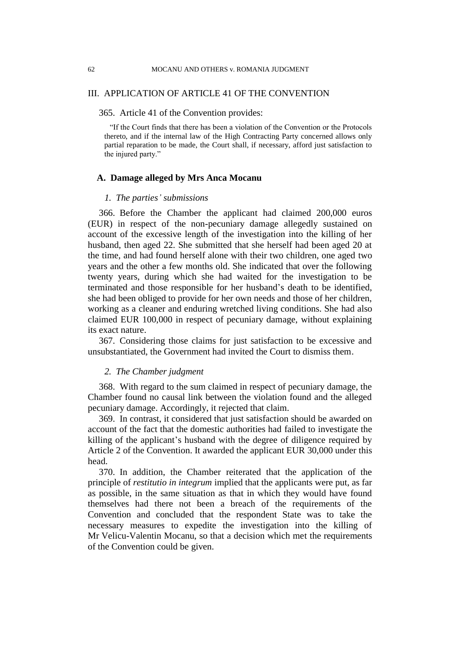## III. APPLICATION OF ARTICLE 41 OF THE CONVENTION

## 365. Article 41 of the Convention provides:

"If the Court finds that there has been a violation of the Convention or the Protocols thereto, and if the internal law of the High Contracting Party concerned allows only partial reparation to be made, the Court shall, if necessary, afford just satisfaction to the injured party."

### **A. Damage alleged by Mrs Anca Mocanu**

### *1. The parties' submissions*

366. Before the Chamber the applicant had claimed 200,000 euros (EUR) in respect of the non-pecuniary damage allegedly sustained on account of the excessive length of the investigation into the killing of her husband, then aged 22. She submitted that she herself had been aged 20 at the time, and had found herself alone with their two children, one aged two years and the other a few months old. She indicated that over the following twenty years, during which she had waited for the investigation to be terminated and those responsible for her husband's death to be identified, she had been obliged to provide for her own needs and those of her children, working as a cleaner and enduring wretched living conditions. She had also claimed EUR 100,000 in respect of pecuniary damage, without explaining its exact nature.

367. Considering those claims for just satisfaction to be excessive and unsubstantiated, the Government had invited the Court to dismiss them.

## *2. The Chamber judgment*

368. With regard to the sum claimed in respect of pecuniary damage, the Chamber found no causal link between the violation found and the alleged pecuniary damage. Accordingly, it rejected that claim.

369. In contrast, it considered that just satisfaction should be awarded on account of the fact that the domestic authorities had failed to investigate the killing of the applicant's husband with the degree of diligence required by Article 2 of the Convention. It awarded the applicant EUR 30,000 under this head.

370. In addition, the Chamber reiterated that the application of the principle of *restitutio in integrum* implied that the applicants were put, as far as possible, in the same situation as that in which they would have found themselves had there not been a breach of the requirements of the Convention and concluded that the respondent State was to take the necessary measures to expedite the investigation into the killing of Mr Velicu-Valentin Mocanu, so that a decision which met the requirements of the Convention could be given.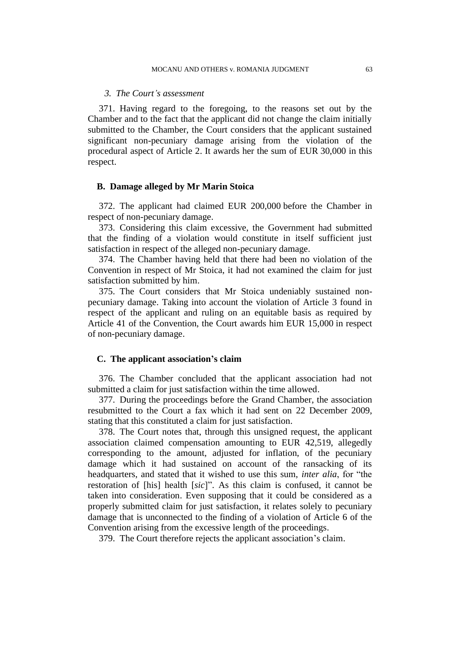### *3. The Court's assessment*

371. Having regard to the foregoing, to the reasons set out by the Chamber and to the fact that the applicant did not change the claim initially submitted to the Chamber, the Court considers that the applicant sustained significant non-pecuniary damage arising from the violation of the procedural aspect of Article 2. It awards her the sum of EUR 30,000 in this respect.

## **B. Damage alleged by Mr Marin Stoica**

372. The applicant had claimed EUR 200,000 before the Chamber in respect of non-pecuniary damage.

373. Considering this claim excessive, the Government had submitted that the finding of a violation would constitute in itself sufficient just satisfaction in respect of the alleged non-pecuniary damage.

374. The Chamber having held that there had been no violation of the Convention in respect of Mr Stoica, it had not examined the claim for just satisfaction submitted by him.

375. The Court considers that Mr Stoica undeniably sustained nonpecuniary damage. Taking into account the violation of Article 3 found in respect of the applicant and ruling on an equitable basis as required by Article 41 of the Convention, the Court awards him EUR 15,000 in respect of non-pecuniary damage.

## **C. The applicant association's claim**

376. The Chamber concluded that the applicant association had not submitted a claim for just satisfaction within the time allowed.

377. During the proceedings before the Grand Chamber, the association resubmitted to the Court a fax which it had sent on 22 December 2009, stating that this constituted a claim for just satisfaction.

378. The Court notes that, through this unsigned request, the applicant association claimed compensation amounting to EUR 42,519, allegedly corresponding to the amount, adjusted for inflation, of the pecuniary damage which it had sustained on account of the ransacking of its headquarters, and stated that it wished to use this sum, *inter alia*, for "the restoration of [his] health [*sic*]". As this claim is confused, it cannot be taken into consideration. Even supposing that it could be considered as a properly submitted claim for just satisfaction, it relates solely to pecuniary damage that is unconnected to the finding of a violation of Article 6 of the Convention arising from the excessive length of the proceedings.

379. The Court therefore rejects the applicant association's claim.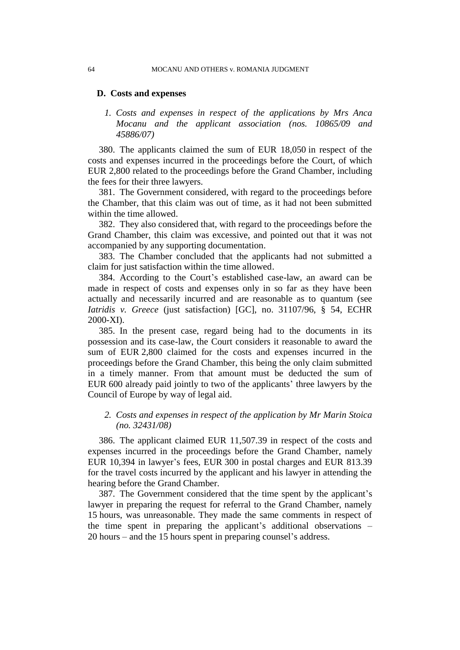#### 64 MOCANU AND OTHERS v. ROMANIA JUDGMENT

#### **D. Costs and expenses**

## *1. Costs and expenses in respect of the applications by Mrs Anca Mocanu and the applicant association (nos. 10865/09 and 45886/07)*

380. The applicants claimed the sum of EUR 18,050 in respect of the costs and expenses incurred in the proceedings before the Court, of which EUR 2,800 related to the proceedings before the Grand Chamber, including the fees for their three lawyers.

381. The Government considered, with regard to the proceedings before the Chamber, that this claim was out of time, as it had not been submitted within the time allowed.

382. They also considered that, with regard to the proceedings before the Grand Chamber, this claim was excessive, and pointed out that it was not accompanied by any supporting documentation.

383. The Chamber concluded that the applicants had not submitted a claim for just satisfaction within the time allowed.

384. According to the Court's established case-law, an award can be made in respect of costs and expenses only in so far as they have been actually and necessarily incurred and are reasonable as to quantum (see *Iatridis v. Greece* (just satisfaction) [GC], no. 31107/96, § 54, ECHR 2000-XI).

385. In the present case, regard being had to the documents in its possession and its case-law, the Court considers it reasonable to award the sum of EUR 2,800 claimed for the costs and expenses incurred in the proceedings before the Grand Chamber, this being the only claim submitted in a timely manner. From that amount must be deducted the sum of EUR 600 already paid jointly to two of the applicants' three lawyers by the Council of Europe by way of legal aid.

## *2. Costs and expenses in respect of the application by Mr Marin Stoica (no. 32431/08)*

386. The applicant claimed EUR 11,507.39 in respect of the costs and expenses incurred in the proceedings before the Grand Chamber, namely EUR 10,394 in lawyer's fees, EUR 300 in postal charges and EUR 813.39 for the travel costs incurred by the applicant and his lawyer in attending the hearing before the Grand Chamber.

387. The Government considered that the time spent by the applicant's lawyer in preparing the request for referral to the Grand Chamber, namely 15 hours, was unreasonable. They made the same comments in respect of the time spent in preparing the applicant's additional observations – 20 hours – and the 15 hours spent in preparing counsel's address.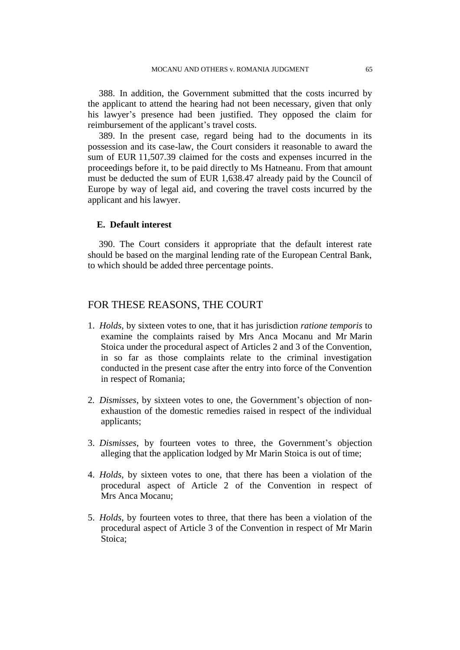388. In addition, the Government submitted that the costs incurred by the applicant to attend the hearing had not been necessary, given that only his lawyer's presence had been justified. They opposed the claim for reimbursement of the applicant's travel costs.

389. In the present case, regard being had to the documents in its possession and its case-law, the Court considers it reasonable to award the sum of EUR 11,507.39 claimed for the costs and expenses incurred in the proceedings before it, to be paid directly to Ms Hatneanu. From that amount must be deducted the sum of EUR 1,638.47 already paid by the Council of Europe by way of legal aid, and covering the travel costs incurred by the applicant and his lawyer.

## **E. Default interest**

390. The Court considers it appropriate that the default interest rate should be based on the marginal lending rate of the European Central Bank, to which should be added three percentage points.

## FOR THESE REASONS, THE COURT

- 1. *Holds*, by sixteen votes to one, that it has jurisdiction *ratione temporis* to examine the complaints raised by Mrs Anca Mocanu and Mr Marin Stoica under the procedural aspect of Articles 2 and 3 of the Convention, in so far as those complaints relate to the criminal investigation conducted in the present case after the entry into force of the Convention in respect of Romania;
- 2*. Dismisses*, by sixteen votes to one, the Government's objection of nonexhaustion of the domestic remedies raised in respect of the individual applicants;
- 3. *Dismisses*, by fourteen votes to three, the Government's objection alleging that the application lodged by Mr Marin Stoica is out of time;
- 4. *Holds*, by sixteen votes to one, that there has been a violation of the procedural aspect of Article 2 of the Convention in respect of Mrs Anca Mocanu;
- 5. *Holds*, by fourteen votes to three, that there has been a violation of the procedural aspect of Article 3 of the Convention in respect of Mr Marin Stoica;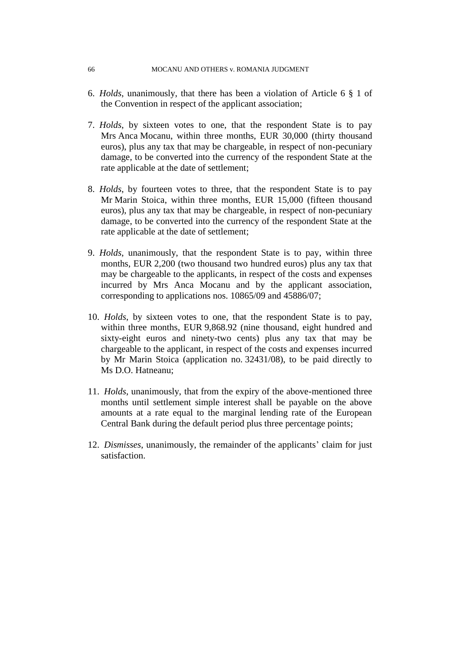#### 66 MOCANU AND OTHERS v. ROMANIA JUDGMENT

- 6. *Holds*, unanimously, that there has been a violation of Article 6 § 1 of the Convention in respect of the applicant association;
- 7. *Holds*, by sixteen votes to one, that the respondent State is to pay Mrs Anca Mocanu, within three months, EUR 30,000 (thirty thousand euros), plus any tax that may be chargeable, in respect of non-pecuniary damage, to be converted into the currency of the respondent State at the rate applicable at the date of settlement;
- 8. *Holds*, by fourteen votes to three, that the respondent State is to pay Mr Marin Stoica, within three months, EUR 15,000 (fifteen thousand euros), plus any tax that may be chargeable, in respect of non-pecuniary damage, to be converted into the currency of the respondent State at the rate applicable at the date of settlement;
- 9. *Holds*, unanimously, that the respondent State is to pay, within three months, EUR 2,200 (two thousand two hundred euros) plus any tax that may be chargeable to the applicants, in respect of the costs and expenses incurred by Mrs Anca Mocanu and by the applicant association, corresponding to applications nos. 10865/09 and 45886/07;
- 10. *Holds*, by sixteen votes to one, that the respondent State is to pay, within three months, EUR 9,868.92 (nine thousand, eight hundred and sixty-eight euros and ninety-two cents) plus any tax that may be chargeable to the applicant, in respect of the costs and expenses incurred by Mr Marin Stoica (application no. 32431/08), to be paid directly to Ms D.O. Hatneanu;
- 11. *Holds*, unanimously, that from the expiry of the above-mentioned three months until settlement simple interest shall be payable on the above amounts at a rate equal to the marginal lending rate of the European Central Bank during the default period plus three percentage points;
- 12. *Dismisses*, unanimously, the remainder of the applicants' claim for just satisfaction.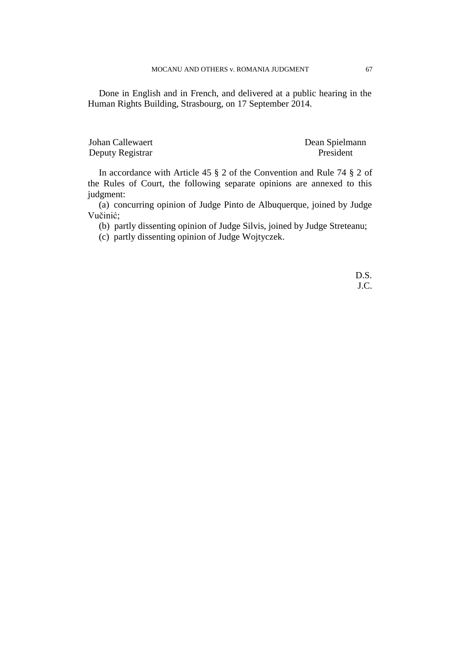Done in English and in French, and delivered at a public hearing in the Human Rights Building, Strasbourg, on 17 September 2014.

Johan Callewaert Dean Spielmann Deputy Registrar President

In accordance with Article 45 § 2 of the Convention and Rule 74 § 2 of the Rules of Court, the following separate opinions are annexed to this judgment:

(a) concurring opinion of Judge Pinto de Albuquerque, joined by Judge Vučinić;

(b) partly dissenting opinion of Judge Silvis, joined by Judge Streteanu;

(c) partly dissenting opinion of Judge Wojtyczek.

D.S. J.C.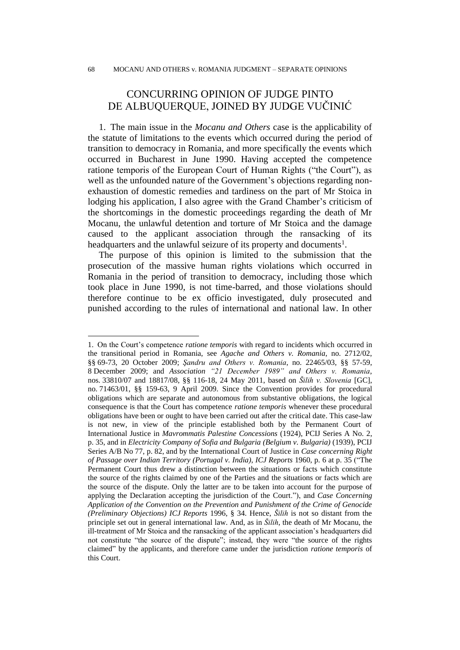# CONCURRING OPINION OF JUDGE PINTO DE ALBUQUERQUE, JOINED BY JUDGE VUČINIĆ

1. The main issue in the *Mocanu and Others* case is the applicability of the statute of limitations to the events which occurred during the period of transition to democracy in Romania, and more specifically the events which occurred in Bucharest in June 1990. Having accepted the competence ratione temporis of the European Court of Human Rights ("the Court"), as well as the unfounded nature of the Government's objections regarding nonexhaustion of domestic remedies and tardiness on the part of Mr Stoica in lodging his application, I also agree with the Grand Chamber's criticism of the shortcomings in the domestic proceedings regarding the death of Mr Mocanu, the unlawful detention and torture of Mr Stoica and the damage caused to the applicant association through the ransacking of its headquarters and the unlawful seizure of its property and documents<sup>1</sup>.

The purpose of this opinion is limited to the submission that the prosecution of the massive human rights violations which occurred in Romania in the period of transition to democracy, including those which took place in June 1990, is not time-barred, and those violations should therefore continue to be ex officio investigated, duly prosecuted and punished according to the rules of international and national law. In other

 $\overline{a}$ 

<sup>1.</sup> On the Court's competence *ratione temporis* with regard to incidents which occurred in the transitional period in Romania, see *Agache and Others v. Romania*, no. 2712/02, §§ 69-73, 20 October 2009; *Şandru and Others v. Romania*, no. 22465/03, §§ 57-59, 8 December 2009; and *Association "21 December 1989" and Others v. Romania*, nos. 33810/07 and 18817/08, §§ 116-18, 24 May 2011, based on *Šilih v. Slovenia* [GC], no. 71463/01, §§ 159-63, 9 April 2009. Since the Convention provides for procedural obligations which are separate and autonomous from substantive obligations, the logical consequence is that the Court has competence *ratione temporis* whenever these procedural obligations have been or ought to have been carried out after the critical date. This case-law is not new, in view of the principle established both by the Permanent Court of International Justice in *Mavrommatis Palestine Concessions* (1924), PCIJ Series A No. 2, p. 35, and in *Electricity Company of Sofia and Bulgaria (Belgium v. Bulgaria)* (1939), PCIJ Series A/B No 77, p. 82, and by the International Court of Justice in *Case concerning Right of Passage over Indian Territory (Portugal v. India)*, *ICJ Reports* 1960, p. 6 at p. 35 ("The Permanent Court thus drew a distinction between the situations or facts which constitute the source of the rights claimed by one of the Parties and the situations or facts which are the source of the dispute. Only the latter are to be taken into account for the purpose of applying the Declaration accepting the jurisdiction of the Court."), and *Case Concerning Application of the Convention on the Prevention and Punishment of the Crime of Genocide (Preliminary Objections) ICJ Reports* 1996, § 34. Hence, *Šilih* is not so distant from the principle set out in general international law. And, as in *Šilih*, the death of Mr Mocanu, the ill-treatment of Mr Stoica and the ransacking of the applicant association's headquarters did not constitute "the source of the dispute"; instead, they were "the source of the rights claimed" by the applicants, and therefore came under the jurisdiction *ratione temporis* of this Court.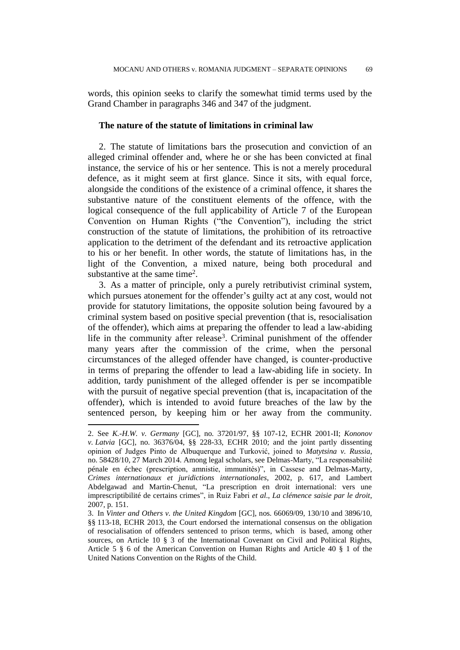words, this opinion seeks to clarify the somewhat timid terms used by the Grand Chamber in paragraphs 346 and 347 of the judgment.

### **The nature of the statute of limitations in criminal law**

2. The statute of limitations bars the prosecution and conviction of an alleged criminal offender and, where he or she has been convicted at final instance, the service of his or her sentence. This is not a merely procedural defence, as it might seem at first glance. Since it sits, with equal force, alongside the conditions of the existence of a criminal offence, it shares the substantive nature of the constituent elements of the offence, with the logical consequence of the full applicability of Article 7 of the European Convention on Human Rights ("the Convention"), including the strict construction of the statute of limitations, the prohibition of its retroactive application to the detriment of the defendant and its retroactive application to his or her benefit. In other words, the statute of limitations has, in the light of the Convention, a mixed nature, being both procedural and substantive at the same time<sup>2</sup>.

3. As a matter of principle, only a purely retributivist criminal system, which pursues atonement for the offender's guilty act at any cost, would not provide for statutory limitations, the opposite solution being favoured by a criminal system based on positive special prevention (that is, resocialisation of the offender), which aims at preparing the offender to lead a law-abiding life in the community after release<sup>3</sup>. Criminal punishment of the offender many years after the commission of the crime, when the personal circumstances of the alleged offender have changed, is counter-productive in terms of preparing the offender to lead a law-abiding life in society. In addition, tardy punishment of the alleged offender is per se incompatible with the pursuit of negative special prevention (that is, incapacitation of the offender), which is intended to avoid future breaches of the law by the sentenced person, by keeping him or her away from the community.

 $\overline{a}$ 

<sup>2.</sup> See *K.-H.W. v. Germany* [GC], no. 37201/97, §§ 107-12, ECHR 2001-II; *Kononov v. Latvia* [GC], no. 36376/04, §§ 228-33, ECHR 2010; and the joint partly dissenting opinion of Judges Pinto de Albuquerque and Turković, joined to *Matytsina v. Russia*, no. 58428/10, 27 March 2014. Among legal scholars, see Delmas-Marty, "La responsabilité pénale en échec (prescription, amnistie, immunités)", in Cassese and Delmas-Marty, *Crimes internationaux et juridictions internationales*, 2002, p. 617, and Lambert Abdelgawad and Martin-Chenut, "La prescription en droit international: vers une imprescriptibilité de certains crimes", in Ruiz Fabri *et al*., *La clémence saisie par le droit*, 2007, p. 151.

<sup>3.</sup> In *Vinter and Others v. the United Kingdom* [GC], nos. 66069/09, 130/10 and 3896/10, §§ 113-18, ECHR 2013, the Court endorsed the international consensus on the obligation of resocialisation of offenders sentenced to prison terms, which is based, among other sources, on Article 10 § 3 of the International Covenant on Civil and Political Rights, Article 5 § 6 of the American Convention on Human Rights and Article 40 § 1 of the United Nations Convention on the Rights of the Child.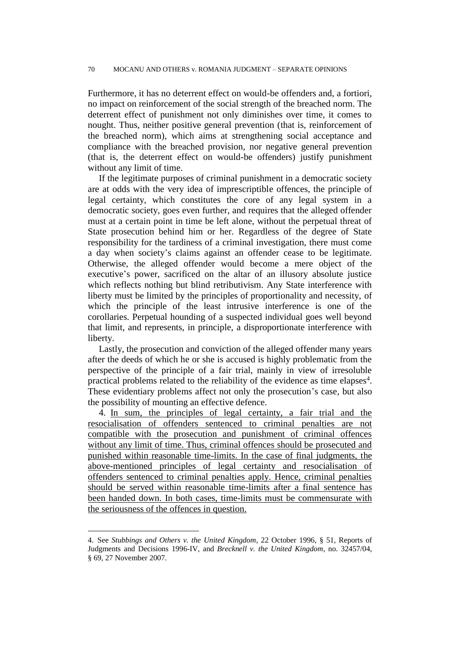Furthermore, it has no deterrent effect on would-be offenders and, a fortiori, no impact on reinforcement of the social strength of the breached norm. The deterrent effect of punishment not only diminishes over time, it comes to nought. Thus, neither positive general prevention (that is, reinforcement of the breached norm), which aims at strengthening social acceptance and compliance with the breached provision, nor negative general prevention (that is, the deterrent effect on would-be offenders) justify punishment without any limit of time.

If the legitimate purposes of criminal punishment in a democratic society are at odds with the very idea of imprescriptible offences, the principle of legal certainty, which constitutes the core of any legal system in a democratic society, goes even further, and requires that the alleged offender must at a certain point in time be left alone, without the perpetual threat of State prosecution behind him or her. Regardless of the degree of State responsibility for the tardiness of a criminal investigation, there must come a day when society's claims against an offender cease to be legitimate. Otherwise, the alleged offender would become a mere object of the executive's power, sacrificed on the altar of an illusory absolute justice which reflects nothing but blind retributivism. Any State interference with liberty must be limited by the principles of proportionality and necessity, of which the principle of the least intrusive interference is one of the corollaries. Perpetual hounding of a suspected individual goes well beyond that limit, and represents, in principle, a disproportionate interference with liberty.

Lastly, the prosecution and conviction of the alleged offender many years after the deeds of which he or she is accused is highly problematic from the perspective of the principle of a fair trial, mainly in view of irresoluble practical problems related to the reliability of the evidence as time elapses<sup>4</sup>. These evidentiary problems affect not only the prosecution's case, but also the possibility of mounting an effective defence.

4. In sum, the principles of legal certainty, a fair trial and the resocialisation of offenders sentenced to criminal penalties are not compatible with the prosecution and punishment of criminal offences without any limit of time. Thus, criminal offences should be prosecuted and punished within reasonable time-limits. In the case of final judgments, the above-mentioned principles of legal certainty and resocialisation of offenders sentenced to criminal penalties apply. Hence, criminal penalties should be served within reasonable time-limits after a final sentence has been handed down. In both cases, time-limits must be commensurate with the seriousness of the offences in question.

 $\overline{a}$ 

<sup>4.</sup> See *Stubbings and Others v. the United Kingdom*, 22 October 1996, § 51, Reports of Judgments and Decisions 1996-IV, and *Brecknell v. the United Kingdom*, no. 32457/04, § 69, 27 November 2007.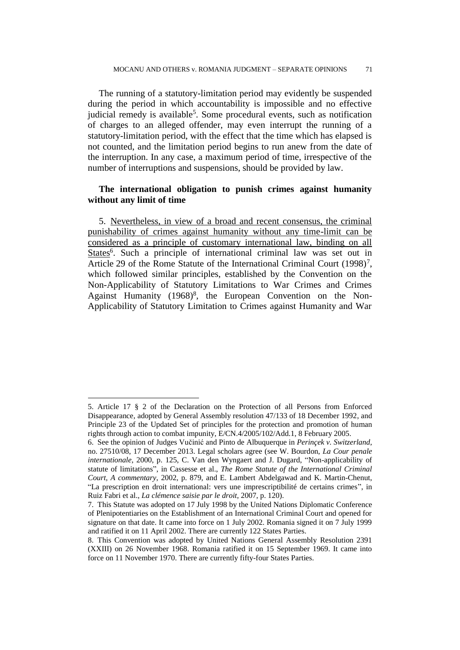The running of a statutory-limitation period may evidently be suspended during the period in which accountability is impossible and no effective judicial remedy is available<sup>5</sup>. Some procedural events, such as notification of charges to an alleged offender, may even interrupt the running of a statutory-limitation period, with the effect that the time which has elapsed is not counted, and the limitation period begins to run anew from the date of the interruption. In any case, a maximum period of time, irrespective of the number of interruptions and suspensions, should be provided by law.

## **The international obligation to punish crimes against humanity without any limit of time**

5. Nevertheless, in view of a broad and recent consensus, the criminal punishability of crimes against humanity without any time-limit can be considered as a principle of customary international law, binding on all States<sup>6</sup>. Such a principle of international criminal law was set out in Article 29 of the Rome Statute of the International Criminal Court  $(1998)^7$ , which followed similar principles, established by the Convention on the Non-Applicability of Statutory Limitations to War Crimes and Crimes Against Humanity  $(1968)^8$ , the European Convention on the Non-Applicability of Statutory Limitation to Crimes against Humanity and War

<sup>5.</sup> Article 17 § 2 of the Declaration on the Protection of all Persons from Enforced Disappearance, adopted by General Assembly resolution 47/133 of 18 December 1992, and Principle 23 of the Updated Set of principles for the protection and promotion of human rights through action to combat impunity, E/CN.4/2005/102/Add.1, 8 February 2005.

<sup>6.</sup> See the opinion of Judges Vučinić and Pinto de Albuquerque in *Perinçek v. Switzerland*, no. 27510/08, 17 December 2013. Legal scholars agree (see W. Bourdon, *La Cour penale internationale*, 2000, p. 125, C. Van den Wyngaert and J. Dugard, "Non-applicability of statute of limitations", in Cassesse et al., *The Rome Statute of the International Criminal Court, A commentary*, 2002, p. 879, and E. Lambert Abdelgawad and K. Martin-Chenut, "La prescription en droit international: vers une imprescriptibilité de certains crimes", in Ruiz Fabri et al., *La clémence saisie par le droit*, 2007, p. 120).

<sup>7.</sup> This Statute was adopted on 17 July 1998 by the United Nations Diplomatic Conference of Plenipotentiaries on the Establishment of an International Criminal Court and opened for signature on that date. It came into force on 1 July 2002. Romania signed it on 7 July 1999 and ratified it on 11 April 2002. There are currently 122 States Parties.

<sup>8.</sup> This Convention was adopted by United Nations General Assembly Resolution 2391 (XXIII) on 26 November 1968. Romania ratified it on 15 September 1969. It came into force on 11 November 1970. There are currently fifty-four States Parties.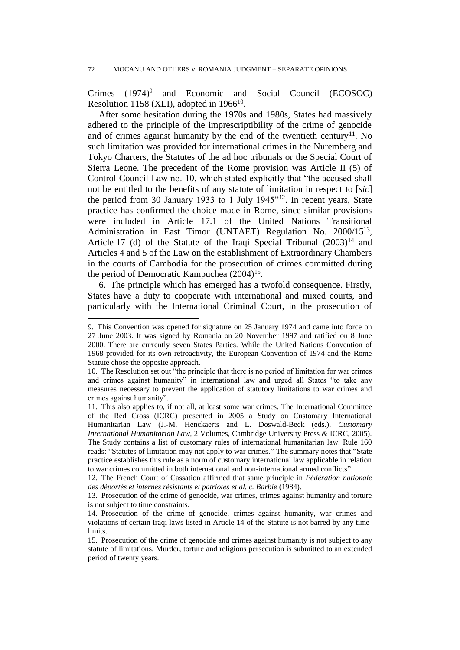Crimes (1974)<sup>9</sup> and Economic and Social Council (ECOSOC) Resolution 1158 (XLI), adopted in 1966<sup>10</sup>.

After some hesitation during the 1970s and 1980s, States had massively adhered to the principle of the imprescriptibility of the crime of genocide and of crimes against humanity by the end of the twentieth century<sup>11</sup>. No such limitation was provided for international crimes in the Nuremberg and Tokyo Charters, the Statutes of the ad hoc tribunals or the Special Court of Sierra Leone. The precedent of the Rome provision was Article II (5) of Control Council Law no. 10, which stated explicitly that "the accused shall not be entitled to the benefits of any statute of limitation in respect to [*sic*] the period from 30 January 1933 to 1 July 1945"<sup>12</sup>. In recent years, State practice has confirmed the choice made in Rome, since similar provisions were included in Article 17.1 of the United Nations Transitional Administration in East Timor (UNTAET) Regulation No. 2000/15<sup>13</sup>, Article 17 (d) of the Statute of the Iraqi Special Tribunal  $(2003)^{14}$  and Articles 4 and 5 of the Law on the establishment of Extraordinary Chambers in the courts of Cambodia for the prosecution of crimes committed during the period of Democratic Kampuchea (2004)<sup>15</sup>.

6. The principle which has emerged has a twofold consequence. Firstly, States have a duty to cooperate with international and mixed courts, and particularly with the International Criminal Court, in the prosecution of

<sup>9.</sup> This Convention was opened for signature on 25 January 1974 and came into force on 27 June 2003. It was signed by Romania on 20 November 1997 and ratified on 8 June 2000. There are currently seven States Parties. While the United Nations Convention of 1968 provided for its own retroactivity, the European Convention of 1974 and the Rome Statute chose the opposite approach.

<sup>10.</sup> The Resolution set out "the principle that there is no period of limitation for war crimes and crimes against humanity" in international law and urged all States "to take any measures necessary to prevent the application of statutory limitations to war crimes and crimes against humanity".

<sup>11.</sup> This also applies to, if not all, at least some war crimes. The International Committee of the Red Cross (ICRC) presented in 2005 a Study on Customary International Humanitarian Law (J.-M. Henckaerts and L. Doswald-Beck (eds.), *Customary International Humanitarian Law*, 2 Volumes, Cambridge University Press & ICRC, 2005). The Study contains a list of customary rules of international humanitarian law. Rule 160 reads: "Statutes of limitation may not apply to war crimes." The summary notes that "State practice establishes this rule as a norm of customary international law applicable in relation to war crimes committed in both international and non-international armed conflicts".

<sup>12.</sup> The French Court of Cassation affirmed that same principle in *Fédération nationale des déportés et internés résistants et patriotes et al. c. Barbie* (1984).

<sup>13.</sup> Prosecution of the crime of genocide, war crimes, crimes against humanity and torture is not subject to time constraints.

<sup>14.</sup> Prosecution of the crime of genocide, crimes against humanity, war crimes and violations of certain Iraqi laws listed in Article 14 of the Statute is not barred by any timelimits.

<sup>15.</sup> Prosecution of the crime of genocide and crimes against humanity is not subject to any statute of limitations. Murder, torture and religious persecution is submitted to an extended period of twenty years.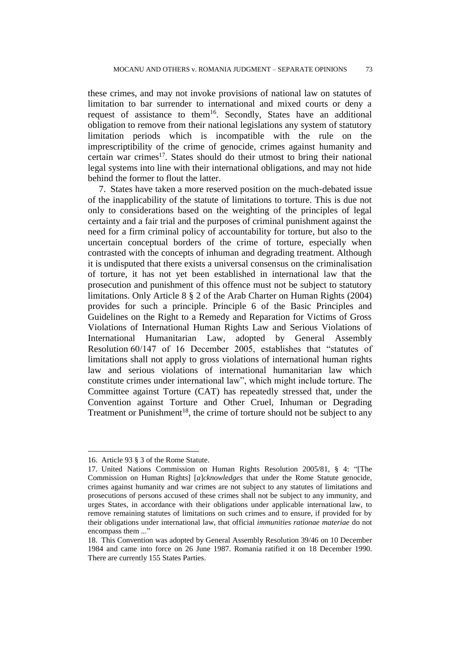these crimes, and may not invoke provisions of national law on statutes of limitation to bar surrender to international and mixed courts or deny a request of assistance to them<sup>16</sup>. Secondly, States have an additional obligation to remove from their national legislations any system of statutory limitation periods which is incompatible with the rule on the imprescriptibility of the crime of genocide, crimes against humanity and certain war crimes<sup>17</sup>. States should do their utmost to bring their national legal systems into line with their international obligations, and may not hide behind the former to flout the latter.

7. States have taken a more reserved position on the much-debated issue of the inapplicability of the statute of limitations to torture. This is due not only to considerations based on the weighting of the principles of legal certainty and a fair trial and the purposes of criminal punishment against the need for a firm criminal policy of accountability for torture, but also to the uncertain conceptual borders of the crime of torture, especially when contrasted with the concepts of inhuman and degrading treatment. Although it is undisputed that there exists a universal consensus on the criminalisation of torture, it has not yet been established in international law that the prosecution and punishment of this offence must not be subject to statutory limitations. Only Article 8 § 2 of the Arab Charter on Human Rights (2004) provides for such a principle. Principle 6 of the Basic Principles and Guidelines on the Right to a Remedy and Reparation for Victims of Gross Violations of International Human Rights Law and Serious Violations of International Humanitarian Law, adopted by General Assembly Resolution 60/147 of 16 December 2005, establishes that "statutes of limitations shall not apply to gross violations of international human rights law and serious violations of international humanitarian law which constitute crimes under international law", which might include torture. The Committee against Torture (CAT) has repeatedly stressed that, under the Convention against Torture and Other Cruel, Inhuman or Degrading Treatment or Punishment<sup>18</sup>, the crime of torture should not be subject to any

<sup>16.</sup> Article 93 § 3 of the Rome Statute.

<sup>17.</sup> United Nations Commission on Human Rights Resolution 2005/81, § 4: "[The Commission on Human Rights] [*a*]*cknowledges* that under the Rome Statute genocide, crimes against humanity and war crimes are not subject to any statutes of limitations and prosecutions of persons accused of these crimes shall not be subject to any immunity, and urges States, in accordance with their obligations under applicable international law, to remove remaining statutes of limitations on such crimes and to ensure, if provided for by their obligations under international law, that official *immunities rationae materiae* do not encompass them ..."

<sup>18.</sup> This Convention was adopted by General Assembly Resolution 39/46 on 10 December 1984 and came into force on 26 June 1987. Romania ratified it on 18 December 1990. There are currently 155 States Parties.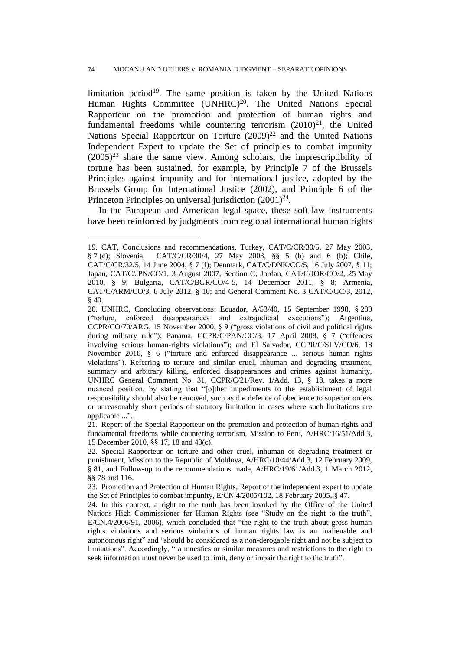limitation period<sup>19</sup>. The same position is taken by the United Nations Human Rights Committee (UNHRC)<sup>20</sup>. The United Nations Special Rapporteur on the promotion and protection of human rights and fundamental freedoms while countering terrorism  $(2010)^{21}$ , the United Nations Special Rapporteur on Torture  $(2009)^{22}$  and the United Nations Independent Expert to update the Set of principles to combat impunity  $(2005)^{23}$  share the same view. Among scholars, the imprescriptibility of torture has been sustained, for example, by Principle 7 of the Brussels Principles against impunity and for international justice, adopted by the Brussels Group for International Justice (2002), and Principle 6 of the Princeton Principles on universal jurisdiction  $(2001)^{24}$ .

In the European and American legal space, these soft-law instruments have been reinforced by judgments from regional international human rights

<sup>19.</sup> CAT, Conclusions and recommendations, Turkey, CAT/C/CR/30/5, 27 May 2003, § 7 (c); Slovenia, CAT/C/CR/30/4, 27 May 2003, §§ 5 (b) and 6 (b); Chile, CAT/C/CR/32/5, 14 June 2004, § 7 (f); Denmark, CAT/C/DNK/CO/5, 16 July 2007, § 11; Japan, CAT/C/JPN/CO/1, 3 August 2007, Section C; Jordan, CAT/C/JOR/CO/2, 25 May 2010, § 9; Bulgaria, CAT/C/BGR/CO/4-5, 14 December 2011, § 8; Armenia, CAT/C/ARM/CO/3, 6 July 2012, § 10; and General Comment No. 3 CAT/C/GC/3, 2012, § 40.

<sup>20.</sup> UNHRC, Concluding observations: Ecuador, A/53/40, 15 September 1998, § 280 ("torture, enforced disappearances and extrajudicial executions"); Argentina, CCPR/CO/70/ARG, 15 November 2000, § 9 ("gross violations of civil and political rights during military rule"); Panama, CCPR/C/PAN/CO/3, 17 April 2008, § 7 ("offences involving serious human-rights violations"); and El Salvador, CCPR/C/SLV/CO/6, 18 November 2010, § 6 ("torture and enforced disappearance ... serious human rights violations"). Referring to torture and similar cruel, inhuman and degrading treatment, summary and arbitrary killing, enforced disappearances and crimes against humanity, UNHRC General Comment No. 31, CCPR/C/21/Rev. 1/Add. 13, § 18, takes a more nuanced position, by stating that "[o]ther impediments to the establishment of legal responsibility should also be removed, such as the defence of obedience to superior orders or unreasonably short periods of statutory limitation in cases where such limitations are applicable ...".

<sup>21.</sup> Report of the Special Rapporteur on the promotion and protection of human rights and fundamental freedoms while countering terrorism, Mission to Peru, A/HRC/16/51/Add 3, 15 December 2010, §§ 17, 18 and 43(c).

<sup>22.</sup> Special Rapporteur on torture and other cruel, inhuman or degrading treatment or punishment, Mission to the Republic of Moldova, A/HRC/10/44/Add.3, 12 February 2009, § 81, and Follow-up to the recommendations made, A/HRC/19/61/Add.3, 1 March 2012, §§ 78 and 116.

<sup>23.</sup> Promotion and Protection of Human Rights, Report of the independent expert to update the Set of Principles to combat impunity, E/CN.4/2005/102, 18 February 2005, § 47.

<sup>24.</sup> In this context, a right to the truth has been invoked by the Office of the United Nations High Commissioner for Human Rights (see "Study on the right to the truth", E/CN.4/2006/91, 2006), which concluded that "the right to the truth about gross human rights violations and serious violations of human rights law is an inalienable and autonomous right" and "should be considered as a non-derogable right and not be subject to limitations". Accordingly, "[a]mnesties or similar measures and restrictions to the right to seek information must never be used to limit, deny or impair the right to the truth".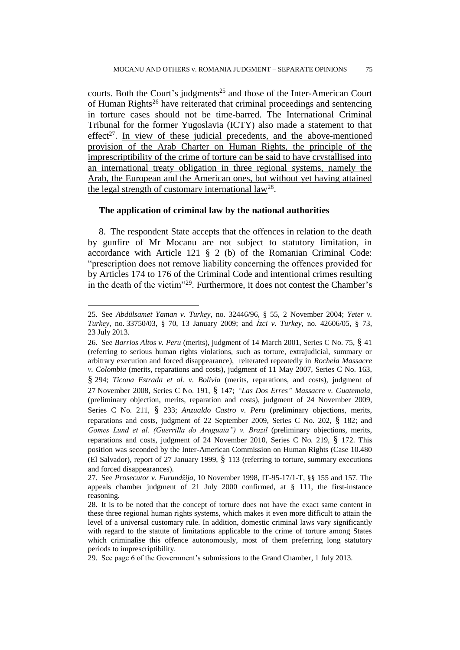courts. Both the Court's judgments<sup>25</sup> and those of the Inter-American Court of Human Rights<sup>26</sup> have reiterated that criminal proceedings and sentencing in torture cases should not be time-barred. The International Criminal Tribunal for the former Yugoslavia (ICTY) also made a statement to that effect<sup>27</sup>. In view of these judicial precedents, and the above-mentioned provision of the Arab Charter on Human Rights, the principle of the imprescriptibility of the crime of torture can be said to have crystallised into an international treaty obligation in three regional systems, namely the Arab, the European and the American ones, but without yet having attained the legal strength of customary international law<sup>28</sup>.

## **The application of criminal law by the national authorities**

 $\overline{a}$ 

8. The respondent State accepts that the offences in relation to the death by gunfire of Mr Mocanu are not subject to statutory limitation, in accordance with Article 121 § 2 (b) of the Romanian Criminal Code: "prescription does not remove liability concerning the offences provided for by Articles 174 to 176 of the Criminal Code and intentional crimes resulting in the death of the victim"<sup>29</sup> . Furthermore, it does not contest the Chamber's

<sup>25.</sup> See *Abdülsamet Yaman v. Turkey*, no. 32446/96, § 55, 2 November 2004; *Yeter v. Turkey*, no. 33750/03, § 70, 13 January 2009; and *İzci v. Turkey*, no. 42606/05, § 73, 23 July 2013.

<sup>26.</sup> See *Barrios Altos v. Peru* (merits), judgment of 14 March 2001, Series C No. 75, § 41 (referring to serious human rights violations, such as torture, extrajudicial, summary or arbitrary execution and forced disappearance), reiterated repeatedly in *Rochela Massacre v. Colombia* (merits, reparations and costs), judgment of 11 May 2007, Series C No. 163, § 294; *Ticona Estrada et al. v. Bolivia* (merits, reparations, and costs), judgment of 27 November 2008, Series C No. 191, § 147; *"Las Dos Erres" Massacre v. Guatemala,*  (preliminary objection, merits, reparation and costs), judgment of 24 November 2009, Series C No. 211, § 233; *Anzualdo Castro v. Peru* (preliminary objections, merits, reparations and costs, judgment of 22 September 2009, Series C No. 202, § 182; and *Gomes Lund et al. (Guerrilla do Araguaia") v. Brazil* (preliminary objections, merits, reparations and costs, judgment of 24 November 2010, Series C No. 219, § 172. This position was seconded by the Inter-American Commission on Human Rights (Case 10.480 (El Salvador), report of 27 January 1999, § 113 (referring to torture, summary executions and forced disappearances).

<sup>27.</sup> See *Prosecutor v. Furundžija*, 10 November 1998, IT-95-17/1-T, §§ 155 and 157. The appeals chamber judgment of 21 July 2000 confirmed, at § 111, the first-instance reasoning.

<sup>28.</sup> It is to be noted that the concept of torture does not have the exact same content in these three regional human rights systems, which makes it even more difficult to attain the level of a universal customary rule. In addition, domestic criminal laws vary significantly with regard to the statute of limitations applicable to the crime of torture among States which criminalise this offence autonomously, most of them preferring long statutory periods to imprescriptibility.

<sup>29.</sup> See page 6 of the Government's submissions to the Grand Chamber, 1 July 2013.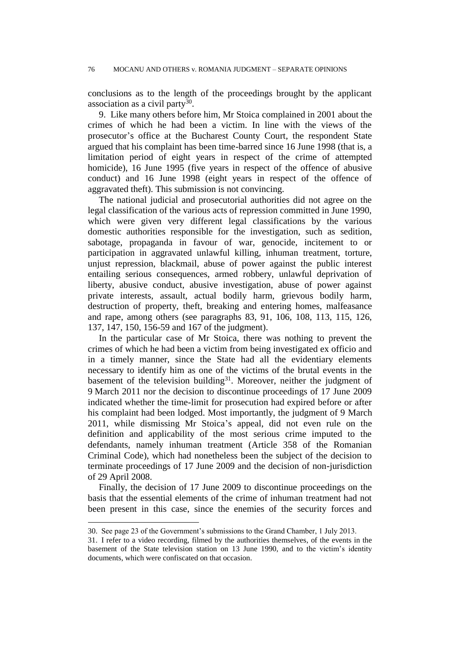conclusions as to the length of the proceedings brought by the applicant association as a civil party<sup>30</sup>.

9. Like many others before him, Mr Stoica complained in 2001 about the crimes of which he had been a victim. In line with the views of the prosecutor's office at the Bucharest County Court, the respondent State argued that his complaint has been time-barred since 16 June 1998 (that is, a limitation period of eight years in respect of the crime of attempted homicide), 16 June 1995 (five years in respect of the offence of abusive conduct) and 16 June 1998 (eight years in respect of the offence of aggravated theft). This submission is not convincing.

The national judicial and prosecutorial authorities did not agree on the legal classification of the various acts of repression committed in June 1990, which were given very different legal classifications by the various domestic authorities responsible for the investigation, such as sedition, sabotage, propaganda in favour of war, genocide, incitement to or participation in aggravated unlawful killing, inhuman treatment, torture, unjust repression, blackmail, abuse of power against the public interest entailing serious consequences, armed robbery, unlawful deprivation of liberty, abusive conduct, abusive investigation, abuse of power against private interests, assault, actual bodily harm, grievous bodily harm, destruction of property, theft, breaking and entering homes, malfeasance and rape, among others (see paragraphs 83, 91, 106, 108, 113, 115, 126, 137, 147, 150, 156-59 and 167 of the judgment).

In the particular case of Mr Stoica, there was nothing to prevent the crimes of which he had been a victim from being investigated ex officio and in a timely manner, since the State had all the evidentiary elements necessary to identify him as one of the victims of the brutal events in the basement of the television building<sup>31</sup>. Moreover, neither the judgment of 9 March 2011 nor the decision to discontinue proceedings of 17 June 2009 indicated whether the time-limit for prosecution had expired before or after his complaint had been lodged. Most importantly, the judgment of 9 March 2011, while dismissing Mr Stoica's appeal, did not even rule on the definition and applicability of the most serious crime imputed to the defendants, namely inhuman treatment (Article 358 of the Romanian Criminal Code), which had nonetheless been the subject of the decision to terminate proceedings of 17 June 2009 and the decision of non-jurisdiction of 29 April 2008.

Finally, the decision of 17 June 2009 to discontinue proceedings on the basis that the essential elements of the crime of inhuman treatment had not been present in this case, since the enemies of the security forces and

<sup>30.</sup> See page 23 of the Government's submissions to the Grand Chamber, 1 July 2013.

<sup>31.</sup> I refer to a video recording, filmed by the authorities themselves, of the events in the basement of the State television station on 13 June 1990, and to the victim's identity documents, which were confiscated on that occasion.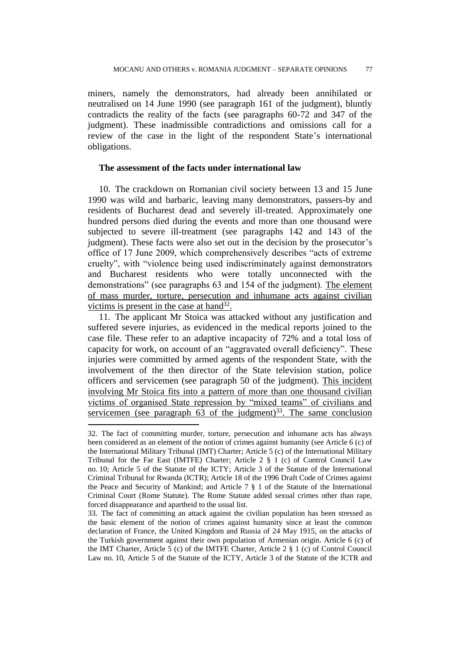miners, namely the demonstrators, had already been annihilated or neutralised on 14 June 1990 (see paragraph 161 of the judgment), bluntly contradicts the reality of the facts (see paragraphs 60-72 and 347 of the judgment). These inadmissible contradictions and omissions call for a review of the case in the light of the respondent State's international obligations.

# **The assessment of the facts under international law**

10. The crackdown on Romanian civil society between 13 and 15 June 1990 was wild and barbaric, leaving many demonstrators, passers-by and residents of Bucharest dead and severely ill-treated. Approximately one hundred persons died during the events and more than one thousand were subjected to severe ill-treatment (see paragraphs 142 and 143 of the judgment). These facts were also set out in the decision by the prosecutor's office of 17 June 2009, which comprehensively describes "acts of extreme cruelty", with "violence being used indiscriminately against demonstrators and Bucharest residents who were totally unconnected with the demonstrations" (see paragraphs 63 and 154 of the judgment). The element of mass murder, torture, persecution and inhumane acts against civilian victims is present in the case at hand $32$ .

11. The applicant Mr Stoica was attacked without any justification and suffered severe injuries, as evidenced in the medical reports joined to the case file. These refer to an adaptive incapacity of 72% and a total loss of capacity for work, on account of an "aggravated overall deficiency". These injuries were committed by armed agents of the respondent State, with the involvement of the then director of the State television station, police officers and servicemen (see paragraph 50 of the judgment). This incident involving Mr Stoica fits into a pattern of more than one thousand civilian victims of organised State repression by "mixed teams" of civilians and servicemen (see paragraph  $63$  of the judgment)<sup>33</sup>. The same conclusion

<sup>32.</sup> The fact of committing murder, torture, persecution and inhumane acts has always been considered as an element of the notion of crimes against humanity (see Article 6 (c) of the International Military Tribunal (IMT) Charter; Article 5 (c) of the International Military Tribunal for the Far East (IMTFE) Charter; Article 2 § 1 (c) of Control Council Law no. 10; Article 5 of the Statute of the ICTY; Article 3 of the Statute of the International Criminal Tribunal for Rwanda (ICTR); Article 18 of the 1996 Draft Code of Crimes against the Peace and Security of Mankind; and Article  $7 \n\text{ } \S 1$  of the Statute of the International Criminal Court (Rome Statute). The Rome Statute added sexual crimes other than rape, forced disappearance and apartheid to the usual list.

<sup>33.</sup> The fact of committing an attack against the civilian population has been stressed as the basic element of the notion of crimes against humanity since at least the common declaration of France, the United Kingdom and Russia of 24 May 1915, on the attacks of the Turkish government against their own population of Armenian origin. Article 6 (c) of the IMT Charter, Article 5 (c) of the IMTFE Charter, Article 2 § 1 (c) of Control Council Law no. 10, Article 5 of the Statute of the ICTY, Article 3 of the Statute of the ICTR and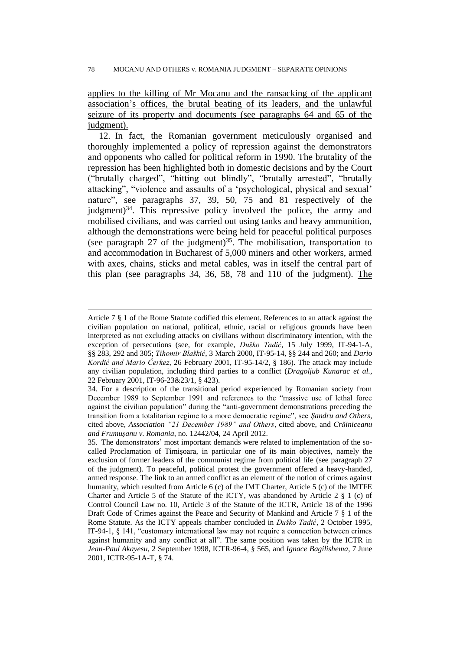applies to the killing of Mr Mocanu and the ransacking of the applicant association's offices, the brutal beating of its leaders, and the unlawful seizure of its property and documents (see paragraphs 64 and 65 of the judgment).

12. In fact, the Romanian government meticulously organised and thoroughly implemented a policy of repression against the demonstrators and opponents who called for political reform in 1990. The brutality of the repression has been highlighted both in domestic decisions and by the Court ("brutally charged", "hitting out blindly", "brutally arrested", "brutally attacking", "violence and assaults of a 'psychological, physical and sexual' nature", see paragraphs 37, 39, 50, 75 and 81 respectively of the judgment) $34$ . This repressive policy involved the police, the army and mobilised civilians, and was carried out using tanks and heavy ammunition, although the demonstrations were being held for peaceful political purposes (see paragraph 27 of the judgment)<sup>35</sup>. The mobilisation, transportation to and accommodation in Bucharest of 5,000 miners and other workers, armed with axes, chains, sticks and metal cables, was in itself the central part of this plan (see paragraphs 34, 36, 58, 78 and 110 of the judgment). The

Article 7 § 1 of the Rome Statute codified this element. References to an attack against the civilian population on national, political, ethnic, racial or religious grounds have been interpreted as not excluding attacks on civilians without discriminatory intention, with the exception of persecutions (see, for example, *Duško Tadić*, 15 July 1999, IT-94-1-A, §§ 283, 292 and 305; *Tihomir Blaškić*, 3 March 2000, IT-95-14, §§ 244 and 260; and *Dario Kordić and Mario Čerkez*, 26 February 2001, IT-95-14/2, § 186). The attack may include any civilian population, including third parties to a conflict (*Dragoljub Kunarac et al.*, 22 February 2001, IT-96-23&23/1, § 423).

<sup>34.</sup> For a description of the transitional period experienced by Romanian society from December 1989 to September 1991 and references to the "massive use of lethal force against the civilian population" during the "anti-government demonstrations preceding the transition from a totalitarian regime to a more democratic regime", see *Şandru and Others*, cited above, *Association "21 December 1989" and Others*, cited above, and *Crăiniceanu and Frumuşanu v. Romania*, no. 12442/04, 24 April 2012.

<sup>35.</sup> The demonstrators' most important demands were related to implementation of the socalled Proclamation of Timişoara, in particular one of its main objectives, namely the exclusion of former leaders of the communist regime from political life (see paragraph 27 of the judgment). To peaceful, political protest the government offered a heavy-handed, armed response. The link to an armed conflict as an element of the notion of crimes against humanity, which resulted from Article 6 (c) of the IMT Charter, Article 5 (c) of the IMTFE Charter and Article 5 of the Statute of the ICTY, was abandoned by Article 2  $\S$  1 (c) of Control Council Law no. 10, Article 3 of the Statute of the ICTR, Article 18 of the 1996 Draft Code of Crimes against the Peace and Security of Mankind and Article 7 § 1 of the Rome Statute. As the ICTY appeals chamber concluded in *Duško Tadić*, 2 October 1995, IT-94-1, § 141, "customary international law may not require a connection between crimes against humanity and any conflict at all". The same position was taken by the ICTR in *Jean-Paul Akayesu*, 2 September 1998, ICTR-96-4, § 565, and *Ignace Bagilishema*, 7 June 2001, ICTR-95-1A-T, § 74.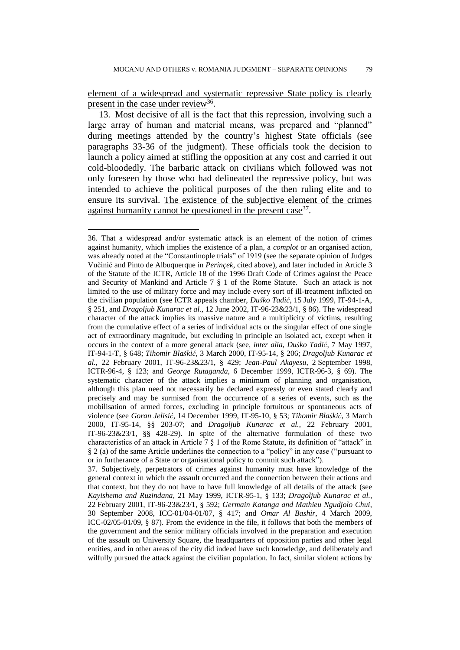element of a widespread and systematic repressive State policy is clearly present in the case under review<sup>36</sup>.

13. Most decisive of all is the fact that this repression, involving such a large array of human and material means, was prepared and "planned" during meetings attended by the country's highest State officials (see paragraphs 33-36 of the judgment). These officials took the decision to launch a policy aimed at stifling the opposition at any cost and carried it out cold-bloodedly. The barbaric attack on civilians which followed was not only foreseen by those who had delineated the repressive policy, but was intended to achieve the political purposes of the then ruling elite and to ensure its survival. The existence of the subjective element of the crimes against humanity cannot be questioned in the present case<sup>37</sup>.

<sup>36.</sup> That a widespread and/or systematic attack is an element of the notion of crimes against humanity, which implies the existence of a plan, a *complot* or an organised action, was already noted at the "Constantinople trials" of 1919 (see the separate opinion of Judges Vučinić and Pinto de Albuquerque in *Perinçek*, cited above), and later included in Article 3 of the Statute of the ICTR, Article 18 of the 1996 Draft Code of Crimes against the Peace and Security of Mankind and Article 7 § 1 of the Rome Statute. Such an attack is not limited to the use of military force and may include every sort of ill-treatment inflicted on the civilian population (see ICTR appeals chamber, *Duško Tadić*, 15 July 1999, IT-94-1-A, § 251, and *Dragoljub Kunarac et al.*, 12 June 2002, IT-96-23&23/1, § 86). The widespread character of the attack implies its massive nature and a multiplicity of victims, resulting from the cumulative effect of a series of individual acts or the singular effect of one single act of extraordinary magnitude, but excluding in principle an isolated act, except when it occurs in the context of a more general attack (see, *inter alia*, *Duško Tadić*, 7 May 1997, IT-94-1-T, § 648; *Tihomir Blaškić*, 3 March 2000, IT-95-14, § 206; *Dragoljub Kunarac et al.*, 22 February 2001, IT-96-23&23/1, § 429; *Jean-Paul Akayesu*, 2 September 1998, ICTR-96-4, § 123; and *George Rutaganda*, 6 December 1999, ICTR-96-3, § 69). The systematic character of the attack implies a minimum of planning and organisation, although this plan need not necessarily be declared expressly or even stated clearly and precisely and may be surmised from the occurrence of a series of events, such as the mobilisation of armed forces, excluding in principle fortuitous or spontaneous acts of violence (see *Goran Jelisić*, 14 December 1999, IT-95-10, § 53; *Tihomir Blaškić*, 3 March 2000, IT-95-14, §§ 203-07; and *Dragoljub Kunarac et al.*, 22 February 2001, IT-96-23&23/1, §§ 428-29). In spite of the alternative formulation of these two characteristics of an attack in Article 7 § 1 of the Rome Statute, its definition of "attack" in § 2 (a) of the same Article underlines the connection to a "policy" in any case ("pursuant to or in furtherance of a State or organisational policy to commit such attack").

<sup>37.</sup> Subjectively, perpetrators of crimes against humanity must have knowledge of the general context in which the assault occurred and the connection between their actions and that context, but they do not have to have full knowledge of all details of the attack (see *Kayishema and Ruzindana*, 21 May 1999, ICTR-95-1, § 133; *Dragoljub Kunarac et al.*, 22 February 2001, IT-96-23&23/1, § 592; *Germain Katanga and Mathieu Ngudjolo Chui*, 30 September 2008, ICC-01/04-01/07, § 417; and *Omar Al Bashir*, 4 March 2009, ICC-02/05-01/09, § 87). From the evidence in the file, it follows that both the members of the government and the senior military officials involved in the preparation and execution of the assault on University Square, the headquarters of opposition parties and other legal entities, and in other areas of the city did indeed have such knowledge, and deliberately and wilfully pursued the attack against the civilian population. In fact, similar violent actions by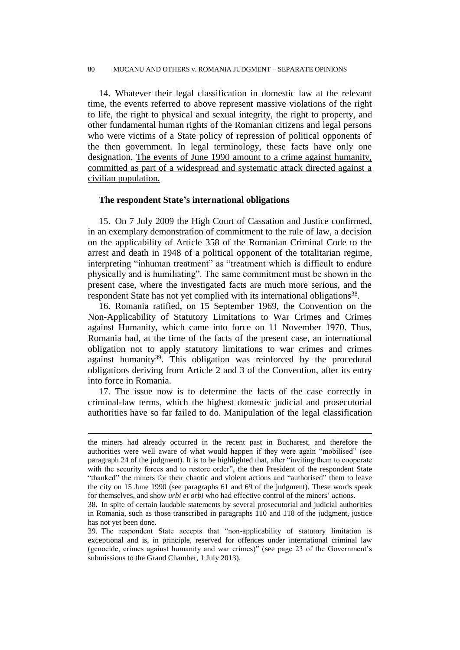#### 80 MOCANU AND OTHERS v. ROMANIA JUDGMENT – SEPARATE OPINIONS

14. Whatever their legal classification in domestic law at the relevant time, the events referred to above represent massive violations of the right to life, the right to physical and sexual integrity, the right to property, and other fundamental human rights of the Romanian citizens and legal persons who were victims of a State policy of repression of political opponents of the then government. In legal terminology, these facts have only one designation. The events of June 1990 amount to a crime against humanity, committed as part of a widespread and systematic attack directed against a civilian population.

#### **The respondent State's international obligations**

15. On 7 July 2009 the High Court of Cassation and Justice confirmed, in an exemplary demonstration of commitment to the rule of law, a decision on the applicability of Article 358 of the Romanian Criminal Code to the arrest and death in 1948 of a political opponent of the totalitarian regime, interpreting "inhuman treatment" as "treatment which is difficult to endure physically and is humiliating". The same commitment must be shown in the present case, where the investigated facts are much more serious, and the respondent State has not yet complied with its international obligations<sup>38</sup>.

16. Romania ratified, on 15 September 1969, the Convention on the Non-Applicability of Statutory Limitations to War Crimes and Crimes against Humanity, which came into force on 11 November 1970. Thus, Romania had, at the time of the facts of the present case, an international obligation not to apply statutory limitations to war crimes and crimes against humanity<sup>39</sup>. This obligation was reinforced by the procedural obligations deriving from Article 2 and 3 of the Convention, after its entry into force in Romania.

17. The issue now is to determine the facts of the case correctly in criminal-law terms, which the highest domestic judicial and prosecutorial authorities have so far failed to do. Manipulation of the legal classification

the miners had already occurred in the recent past in Bucharest, and therefore the authorities were well aware of what would happen if they were again "mobilised" (see paragraph 24 of the judgment). It is to be highlighted that, after "inviting them to cooperate with the security forces and to restore order", the then President of the respondent State "thanked" the miners for their chaotic and violent actions and "authorised" them to leave the city on 15 June 1990 (see paragraphs 61 and 69 of the judgment). These words speak for themselves, and show *urbi et orbi* who had effective control of the miners' actions.

<sup>38.</sup> In spite of certain laudable statements by several prosecutorial and judicial authorities in Romania, such as those transcribed in paragraphs 110 and 118 of the judgment, justice has not yet been done.

<sup>39.</sup> The respondent State accepts that "non-applicability of statutory limitation is exceptional and is, in principle, reserved for offences under international criminal law (genocide, crimes against humanity and war crimes)" (see page 23 of the Government's submissions to the Grand Chamber, 1 July 2013).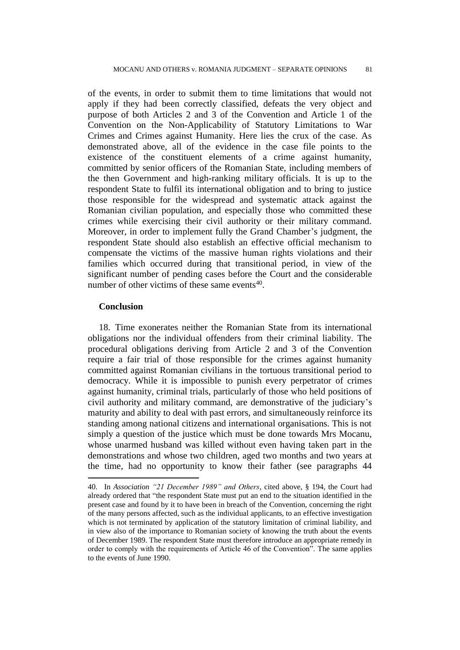of the events, in order to submit them to time limitations that would not apply if they had been correctly classified, defeats the very object and purpose of both Articles 2 and 3 of the Convention and Article 1 of the Convention on the Non-Applicability of Statutory Limitations to War Crimes and Crimes against Humanity. Here lies the crux of the case. As demonstrated above, all of the evidence in the case file points to the existence of the constituent elements of a crime against humanity, committed by senior officers of the Romanian State, including members of the then Government and high-ranking military officials. It is up to the respondent State to fulfil its international obligation and to bring to justice those responsible for the widespread and systematic attack against the Romanian civilian population, and especially those who committed these crimes while exercising their civil authority or their military command. Moreover, in order to implement fully the Grand Chamber's judgment, the respondent State should also establish an effective official mechanism to compensate the victims of the massive human rights violations and their families which occurred during that transitional period, in view of the significant number of pending cases before the Court and the considerable number of other victims of these same events<sup>40</sup>.

#### **Conclusion**

 $\overline{a}$ 

18. Time exonerates neither the Romanian State from its international obligations nor the individual offenders from their criminal liability. The procedural obligations deriving from Article 2 and 3 of the Convention require a fair trial of those responsible for the crimes against humanity committed against Romanian civilians in the tortuous transitional period to democracy. While it is impossible to punish every perpetrator of crimes against humanity, criminal trials, particularly of those who held positions of civil authority and military command, are demonstrative of the judiciary's maturity and ability to deal with past errors, and simultaneously reinforce its standing among national citizens and international organisations. This is not simply a question of the justice which must be done towards Mrs Mocanu, whose unarmed husband was killed without even having taken part in the demonstrations and whose two children, aged two months and two years at the time, had no opportunity to know their father (see paragraphs 44

<sup>40.</sup> In *Association "21 December 1989" and Others*, cited above, § 194, the Court had already ordered that "the respondent State must put an end to the situation identified in the present case and found by it to have been in breach of the Convention, concerning the right of the many persons affected, such as the individual applicants, to an effective investigation which is not terminated by application of the statutory limitation of criminal liability, and in view also of the importance to Romanian society of knowing the truth about the events of December 1989. The respondent State must therefore introduce an appropriate remedy in order to comply with the requirements of Article 46 of the Convention". The same applies to the events of June 1990.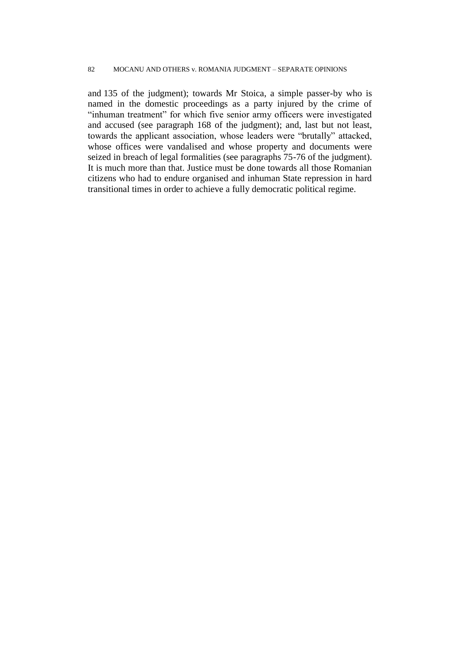#### 82 MOCANU AND OTHERS v. ROMANIA JUDGMENT – SEPARATE OPINIONS

and 135 of the judgment); towards Mr Stoica, a simple passer-by who is named in the domestic proceedings as a party injured by the crime of "inhuman treatment" for which five senior army officers were investigated and accused (see paragraph 168 of the judgment); and, last but not least, towards the applicant association, whose leaders were "brutally" attacked, whose offices were vandalised and whose property and documents were seized in breach of legal formalities (see paragraphs 75-76 of the judgment). It is much more than that. Justice must be done towards all those Romanian citizens who had to endure organised and inhuman State repression in hard transitional times in order to achieve a fully democratic political regime.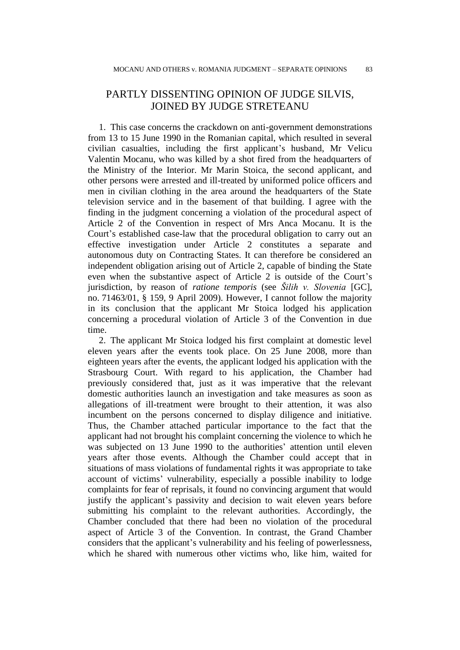# PARTLY DISSENTING OPINION OF JUDGE SILVIS, JOINED BY JUDGE STRETEANU

1. This case concerns the crackdown on anti-government demonstrations from 13 to 15 June 1990 in the Romanian capital, which resulted in several civilian casualties, including the first applicant's husband, Mr Velicu Valentin Mocanu, who was killed by a shot fired from the headquarters of the Ministry of the Interior. Mr Marin Stoica, the second applicant, and other persons were arrested and ill-treated by uniformed police officers and men in civilian clothing in the area around the headquarters of the State television service and in the basement of that building. I agree with the finding in the judgment concerning a violation of the procedural aspect of Article 2 of the Convention in respect of Mrs Anca Mocanu. It is the Court's established case-law that the procedural obligation to carry out an effective investigation under Article 2 constitutes a separate and autonomous duty on Contracting States. It can therefore be considered an independent obligation arising out of Article 2, capable of binding the State even when the substantive aspect of Article 2 is outside of the Court's jurisdiction, by reason of *ratione temporis* (see *Šilih v. Slovenia* [GC], no. 71463/01, § 159, 9 April 2009). However, I cannot follow the majority in its conclusion that the applicant Mr Stoica lodged his application concerning a procedural violation of Article 3 of the Convention in due time.

2. The applicant Mr Stoica lodged his first complaint at domestic level eleven years after the events took place. On 25 June 2008, more than eighteen years after the events, the applicant lodged his application with the Strasbourg Court. With regard to his application, the Chamber had previously considered that, just as it was imperative that the relevant domestic authorities launch an investigation and take measures as soon as allegations of ill-treatment were brought to their attention, it was also incumbent on the persons concerned to display diligence and initiative. Thus, the Chamber attached particular importance to the fact that the applicant had not brought his complaint concerning the violence to which he was subjected on 13 June 1990 to the authorities' attention until eleven years after those events. Although the Chamber could accept that in situations of mass violations of fundamental rights it was appropriate to take account of victims' vulnerability, especially a possible inability to lodge complaints for fear of reprisals, it found no convincing argument that would justify the applicant's passivity and decision to wait eleven years before submitting his complaint to the relevant authorities. Accordingly, the Chamber concluded that there had been no violation of the procedural aspect of Article 3 of the Convention. In contrast, the Grand Chamber considers that the applicant's vulnerability and his feeling of powerlessness, which he shared with numerous other victims who, like him, waited for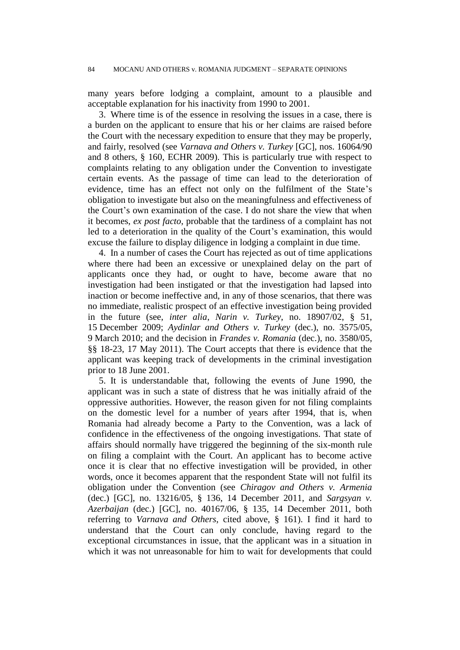many years before lodging a complaint, amount to a plausible and acceptable explanation for his inactivity from 1990 to 2001.

3. Where time is of the essence in resolving the issues in a case, there is a burden on the applicant to ensure that his or her claims are raised before the Court with the necessary expedition to ensure that they may be properly, and fairly, resolved (see *Varnava and Others v. Turkey* [GC], nos. 16064/90 and 8 others, § 160, ECHR 2009). This is particularly true with respect to complaints relating to any obligation under the Convention to investigate certain events. As the passage of time can lead to the deterioration of evidence, time has an effect not only on the fulfilment of the State's obligation to investigate but also on the meaningfulness and effectiveness of the Court's own examination of the case. I do not share the view that when it becomes, *ex post facto*, probable that the tardiness of a complaint has not led to a deterioration in the quality of the Court's examination, this would excuse the failure to display diligence in lodging a complaint in due time.

4. In a number of cases the Court has rejected as out of time applications where there had been an excessive or unexplained delay on the part of applicants once they had, or ought to have, become aware that no investigation had been instigated or that the investigation had lapsed into inaction or become ineffective and, in any of those scenarios, that there was no immediate, realistic prospect of an effective investigation being provided in the future (see, *inter alia*, *Narin v. Turkey*, no. 18907/02, § 51, 15 December 2009; *Aydinlar and Others v. Turkey* (dec.), no. 3575/05, 9 March 2010; and the decision in *Frandes v. Romania* (dec.), no. 3580/05, §§ 18-23, 17 May 2011). The Court accepts that there is evidence that the applicant was keeping track of developments in the criminal investigation prior to 18 June 2001.

5. It is understandable that, following the events of June 1990, the applicant was in such a state of distress that he was initially afraid of the oppressive authorities. However, the reason given for not filing complaints on the domestic level for a number of years after 1994, that is, when Romania had already become a Party to the Convention, was a lack of confidence in the effectiveness of the ongoing investigations. That state of affairs should normally have triggered the beginning of the six-month rule on filing a complaint with the Court. An applicant has to become active once it is clear that no effective investigation will be provided, in other words, once it becomes apparent that the respondent State will not fulfil its obligation under the Convention (see *Chiragov and Others v. Armenia* (dec.) [GC], no. 13216/05, § 136, 14 December 2011, and *Sargsyan v. Azerbaijan* (dec.) [GC], no. 40167/06, § 135, 14 December 2011, both referring to *Varnava and Others*, cited above, § 161). I find it hard to understand that the Court can only conclude, having regard to the exceptional circumstances in issue, that the applicant was in a situation in which it was not unreasonable for him to wait for developments that could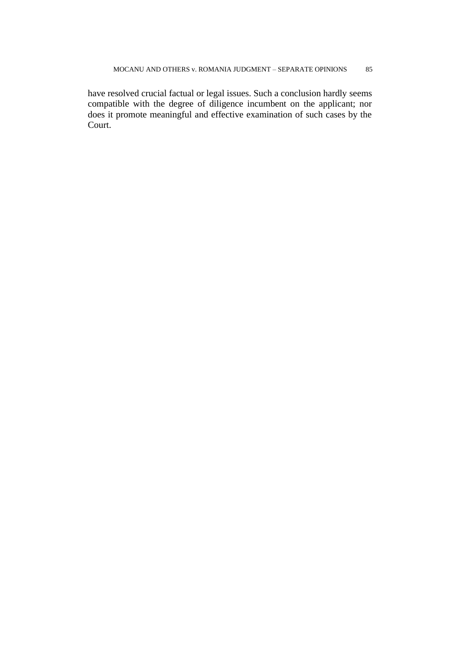have resolved crucial factual or legal issues. Such a conclusion hardly seems compatible with the degree of diligence incumbent on the applicant; nor does it promote meaningful and effective examination of such cases by the Court.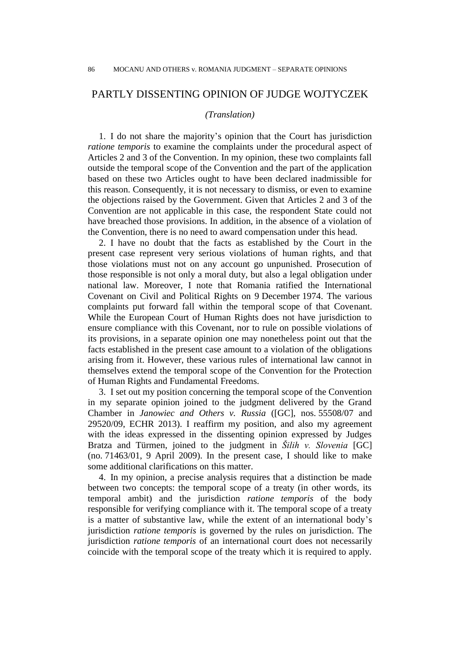# PARTLY DISSENTING OPINION OF JUDGE WOJTYCZEK

### *(Translation)*

1. I do not share the majority's opinion that the Court has jurisdiction *ratione temporis* to examine the complaints under the procedural aspect of Articles 2 and 3 of the Convention. In my opinion, these two complaints fall outside the temporal scope of the Convention and the part of the application based on these two Articles ought to have been declared inadmissible for this reason. Consequently, it is not necessary to dismiss, or even to examine the objections raised by the Government. Given that Articles 2 and 3 of the Convention are not applicable in this case, the respondent State could not have breached those provisions. In addition, in the absence of a violation of the Convention, there is no need to award compensation under this head.

2. I have no doubt that the facts as established by the Court in the present case represent very serious violations of human rights, and that those violations must not on any account go unpunished. Prosecution of those responsible is not only a moral duty, but also a legal obligation under national law. Moreover, I note that Romania ratified the International Covenant on Civil and Political Rights on 9 December 1974. The various complaints put forward fall within the temporal scope of that Covenant. While the European Court of Human Rights does not have jurisdiction to ensure compliance with this Covenant, nor to rule on possible violations of its provisions, in a separate opinion one may nonetheless point out that the facts established in the present case amount to a violation of the obligations arising from it. However, these various rules of international law cannot in themselves extend the temporal scope of the Convention for the Protection of Human Rights and Fundamental Freedoms.

3. I set out my position concerning the temporal scope of the Convention in my separate opinion joined to the judgment delivered by the Grand Chamber in *Janowiec and Others v. Russia* ([GC], nos. 55508/07 and 29520/09, ECHR 2013). I reaffirm my position, and also my agreement with the ideas expressed in the dissenting opinion expressed by Judges Bratza and Türmen, joined to the judgment in *Šilih v. Slovenia* [GC] (no. 71463/01, 9 April 2009). In the present case, I should like to make some additional clarifications on this matter.

4. In my opinion, a precise analysis requires that a distinction be made between two concepts: the temporal scope of a treaty (in other words, its temporal ambit) and the jurisdiction *ratione temporis* of the body responsible for verifying compliance with it. The temporal scope of a treaty is a matter of substantive law, while the extent of an international body's jurisdiction *ratione temporis* is governed by the rules on jurisdiction. The jurisdiction *ratione temporis* of an international court does not necessarily coincide with the temporal scope of the treaty which it is required to apply.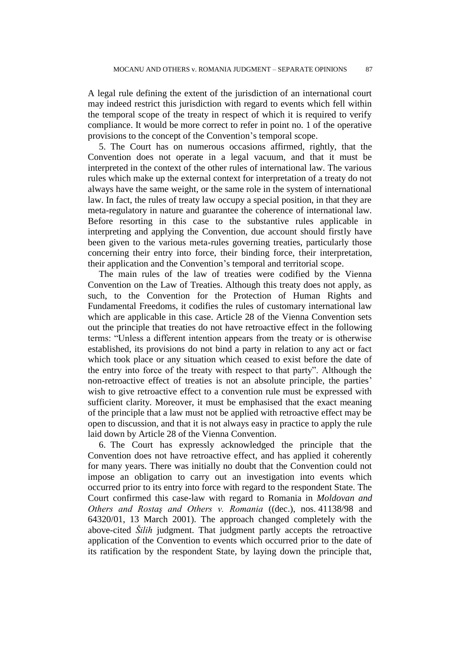A legal rule defining the extent of the jurisdiction of an international court may indeed restrict this jurisdiction with regard to events which fell within the temporal scope of the treaty in respect of which it is required to verify compliance. It would be more correct to refer in point no. 1 of the operative provisions to the concept of the Convention's temporal scope.

5. The Court has on numerous occasions affirmed, rightly, that the Convention does not operate in a legal vacuum, and that it must be interpreted in the context of the other rules of international law. The various rules which make up the external context for interpretation of a treaty do not always have the same weight, or the same role in the system of international law. In fact, the rules of treaty law occupy a special position, in that they are meta-regulatory in nature and guarantee the coherence of international law. Before resorting in this case to the substantive rules applicable in interpreting and applying the Convention, due account should firstly have been given to the various meta-rules governing treaties, particularly those concerning their entry into force, their binding force, their interpretation, their application and the Convention's temporal and territorial scope.

The main rules of the law of treaties were codified by the Vienna Convention on the Law of Treaties. Although this treaty does not apply, as such, to the Convention for the Protection of Human Rights and Fundamental Freedoms, it codifies the rules of customary international law which are applicable in this case. Article 28 of the Vienna Convention sets out the principle that treaties do not have retroactive effect in the following terms: "Unless a different intention appears from the treaty or is otherwise established, its provisions do not bind a party in relation to any act or fact which took place or any situation which ceased to exist before the date of the entry into force of the treaty with respect to that party". Although the non-retroactive effect of treaties is not an absolute principle, the parties' wish to give retroactive effect to a convention rule must be expressed with sufficient clarity. Moreover, it must be emphasised that the exact meaning of the principle that a law must not be applied with retroactive effect may be open to discussion, and that it is not always easy in practice to apply the rule laid down by Article 28 of the Vienna Convention.

6. The Court has expressly acknowledged the principle that the Convention does not have retroactive effect, and has applied it coherently for many years. There was initially no doubt that the Convention could not impose an obligation to carry out an investigation into events which occurred prior to its entry into force with regard to the respondent State. The Court confirmed this case-law with regard to Romania in *Moldovan and Others and Rostaş and Others v. Romania* ((dec.), nos. 41138/98 and 64320/01, 13 March 2001). The approach changed completely with the above-cited *Šilih* judgment. That judgment partly accepts the retroactive application of the Convention to events which occurred prior to the date of its ratification by the respondent State, by laying down the principle that,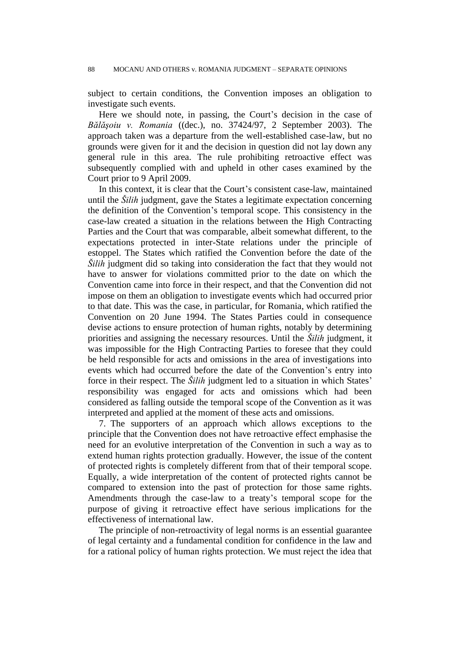subject to certain conditions, the Convention imposes an obligation to investigate such events.

Here we should note, in passing, the Court's decision in the case of *Bălăşoiu v. Romania* ((dec.), no. 37424/97, 2 September 2003). The approach taken was a departure from the well-established case-law, but no grounds were given for it and the decision in question did not lay down any general rule in this area. The rule prohibiting retroactive effect was subsequently complied with and upheld in other cases examined by the Court prior to 9 April 2009.

In this context, it is clear that the Court's consistent case-law, maintained until the *Šilih* judgment, gave the States a legitimate expectation concerning the definition of the Convention's temporal scope. This consistency in the case-law created a situation in the relations between the High Contracting Parties and the Court that was comparable, albeit somewhat different, to the expectations protected in inter-State relations under the principle of estoppel. The States which ratified the Convention before the date of the *Šilih* judgment did so taking into consideration the fact that they would not have to answer for violations committed prior to the date on which the Convention came into force in their respect, and that the Convention did not impose on them an obligation to investigate events which had occurred prior to that date. This was the case, in particular, for Romania, which ratified the Convention on 20 June 1994. The States Parties could in consequence devise actions to ensure protection of human rights, notably by determining priorities and assigning the necessary resources. Until the *Šilih* judgment, it was impossible for the High Contracting Parties to foresee that they could be held responsible for acts and omissions in the area of investigations into events which had occurred before the date of the Convention's entry into force in their respect. The *Šilih* judgment led to a situation in which States' responsibility was engaged for acts and omissions which had been considered as falling outside the temporal scope of the Convention as it was interpreted and applied at the moment of these acts and omissions.

7. The supporters of an approach which allows exceptions to the principle that the Convention does not have retroactive effect emphasise the need for an evolutive interpretation of the Convention in such a way as to extend human rights protection gradually. However, the issue of the content of protected rights is completely different from that of their temporal scope. Equally, a wide interpretation of the content of protected rights cannot be compared to extension into the past of protection for those same rights. Amendments through the case-law to a treaty's temporal scope for the purpose of giving it retroactive effect have serious implications for the effectiveness of international law.

The principle of non-retroactivity of legal norms is an essential guarantee of legal certainty and a fundamental condition for confidence in the law and for a rational policy of human rights protection. We must reject the idea that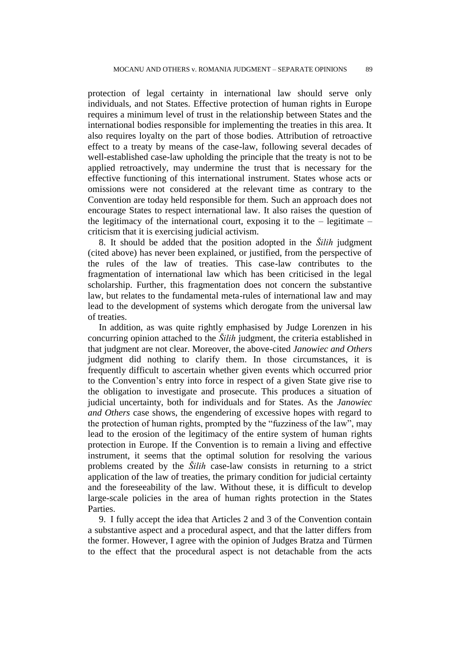protection of legal certainty in international law should serve only individuals, and not States. Effective protection of human rights in Europe requires a minimum level of trust in the relationship between States and the international bodies responsible for implementing the treaties in this area. It also requires loyalty on the part of those bodies. Attribution of retroactive effect to a treaty by means of the case-law, following several decades of well-established case-law upholding the principle that the treaty is not to be applied retroactively, may undermine the trust that is necessary for the effective functioning of this international instrument. States whose acts or omissions were not considered at the relevant time as contrary to the Convention are today held responsible for them. Such an approach does not encourage States to respect international law. It also raises the question of the legitimacy of the international court, exposing it to the  $-$  legitimate  $$ criticism that it is exercising judicial activism.

8. It should be added that the position adopted in the *Šilih* judgment (cited above) has never been explained, or justified, from the perspective of the rules of the law of treaties. This case-law contributes to the fragmentation of international law which has been criticised in the legal scholarship. Further, this fragmentation does not concern the substantive law, but relates to the fundamental meta-rules of international law and may lead to the development of systems which derogate from the universal law of treaties.

In addition, as was quite rightly emphasised by Judge Lorenzen in his concurring opinion attached to the *Šilih* judgment, the criteria established in that judgment are not clear. Moreover, the above-cited *Janowiec and Others* judgment did nothing to clarify them. In those circumstances, it is frequently difficult to ascertain whether given events which occurred prior to the Convention's entry into force in respect of a given State give rise to the obligation to investigate and prosecute. This produces a situation of judicial uncertainty, both for individuals and for States. As the *Janowiec and Others* case shows, the engendering of excessive hopes with regard to the protection of human rights, prompted by the "fuzziness of the law", may lead to the erosion of the legitimacy of the entire system of human rights protection in Europe. If the Convention is to remain a living and effective instrument, it seems that the optimal solution for resolving the various problems created by the *Šilih* case-law consists in returning to a strict application of the law of treaties, the primary condition for judicial certainty and the foreseeability of the law. Without these, it is difficult to develop large-scale policies in the area of human rights protection in the States Parties.

9. I fully accept the idea that Articles 2 and 3 of the Convention contain a substantive aspect and a procedural aspect, and that the latter differs from the former. However, I agree with the opinion of Judges Bratza and Türmen to the effect that the procedural aspect is not detachable from the acts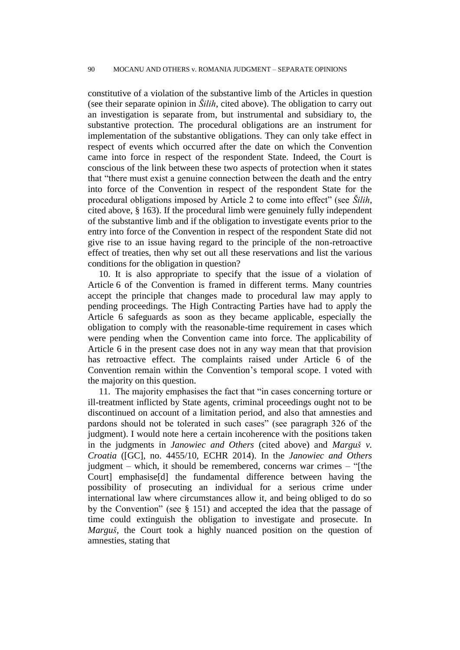constitutive of a violation of the substantive limb of the Articles in question (see their separate opinion in *Šilih*, cited above). The obligation to carry out an investigation is separate from, but instrumental and subsidiary to, the substantive protection. The procedural obligations are an instrument for implementation of the substantive obligations. They can only take effect in respect of events which occurred after the date on which the Convention came into force in respect of the respondent State. Indeed, the Court is conscious of the link between these two aspects of protection when it states that "there must exist a genuine connection between the death and the entry into force of the Convention in respect of the respondent State for the procedural obligations imposed by Article 2 to come into effect" (see *Šilih*, cited above, § 163). If the procedural limb were genuinely fully independent of the substantive limb and if the obligation to investigate events prior to the entry into force of the Convention in respect of the respondent State did not give rise to an issue having regard to the principle of the non-retroactive effect of treaties, then why set out all these reservations and list the various conditions for the obligation in question?

10. It is also appropriate to specify that the issue of a violation of Article 6 of the Convention is framed in different terms. Many countries accept the principle that changes made to procedural law may apply to pending proceedings. The High Contracting Parties have had to apply the Article 6 safeguards as soon as they became applicable, especially the obligation to comply with the reasonable-time requirement in cases which were pending when the Convention came into force. The applicability of Article 6 in the present case does not in any way mean that that provision has retroactive effect. The complaints raised under Article 6 of the Convention remain within the Convention's temporal scope. I voted with the majority on this question.

11. The majority emphasises the fact that "in cases concerning torture or ill-treatment inflicted by State agents, criminal proceedings ought not to be discontinued on account of a limitation period, and also that amnesties and pardons should not be tolerated in such cases" (see paragraph 326 of the judgment). I would note here a certain incoherence with the positions taken in the judgments in *Janowiec and Others* (cited above) and *Marguš v. Croatia* ([GC], no. 4455/10, ECHR 2014). In the *Janowiec and Others* judgment – which, it should be remembered, concerns war crimes – "[the Court] emphasise[d] the fundamental difference between having the possibility of prosecuting an individual for a serious crime under international law where circumstances allow it, and being obliged to do so by the Convention" (see § 151) and accepted the idea that the passage of time could extinguish the obligation to investigate and prosecute. In *Marguš*, the Court took a highly nuanced position on the question of amnesties, stating that